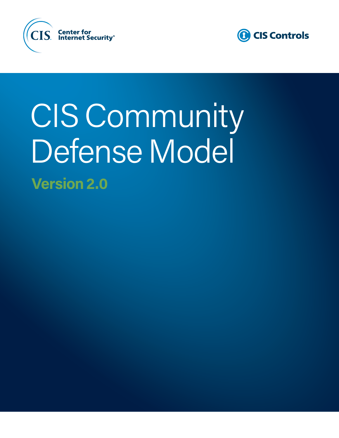



# CIS Community Defense Model **Version 2.0**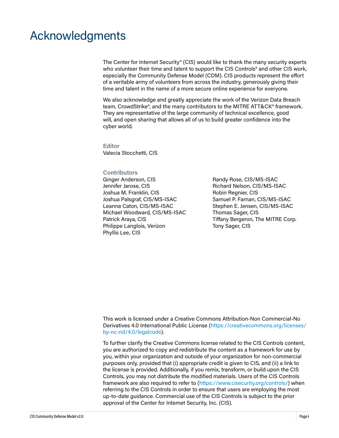### Acknowledgments

The Center for Internet Security® (CIS) would like to thank the many security experts who volunteer their time and talent to support the CIS Controls<sup>®</sup> and other CIS work, especially the Community Defense Model (CDM). CIS products represent the effort of a veritable army of volunteers from across the industry, generously giving their time and talent in the name of a more secure online experience for everyone.

We also acknowledge and greatly appreciate the work of the Verizon Data Breach team, CrowdStrike®, and the many contributors to the MITRE ATT&CK® framework. They are representative of the large community of technical excellence, good will, and open sharing that allows all of us to build greater confidence into the cyber world.

**Editor** Valecia Stocchetti, CIS

#### **Contributors** Ginger Anderson, CIS

Jennifer Jarose, CIS Joshua M. Franklin, CIS Joshua Palsgraf, CIS/MS-ISAC Leanna Caton, CIS/MS-ISAC Michael Woodward, CIS/MS-ISAC Patrick Araya, CIS Philippe Langlois, Verizon Phyllis Lee, CIS

Randy Rose, CIS/MS-ISAC Richard Nelson, CIS/MS-ISAC Robin Regnier, CIS Samuel P. Farnan, CIS/MS-ISAC Stephen E. Jensen, CIS/MS-ISAC Thomas Sager, CIS Tiffany Bergeron, The MITRE Corp. Tony Sager, CIS

This work is licensed under a Creative Commons Attribution-Non Commercial-No Derivatives 4.0 International Public License ([https://creativecommons.org/licenses/](https://creativecommons.org/licenses/by-nc-nd/4.0/legalcode) [by-nc-nd/4.0/legalcode](https://creativecommons.org/licenses/by-nc-nd/4.0/legalcode)).

To further clarify the Creative Commons license related to the CIS Controls content, you are authorized to copy and redistribute the content as a framework for use by you, within your organization and outside of your organization for non-commercial purposes only, provided that (i) appropriate credit is given to CIS, and (ii) a link to the license is provided. Additionally, if you remix, transform, or build upon the CIS Controls, you may not distribute the modified materials. Users of the CIS Controls framework are also required to refer to [\(https://www.cisecurity.org/controls/](https://www.cisecurity.org/controls/)) when referring to the CIS Controls in order to ensure that users are employing the most up-to-date guidance. Commercial use of the CIS Controls is subject to the prior approval of the Center for Internet Security, Inc. (CIS).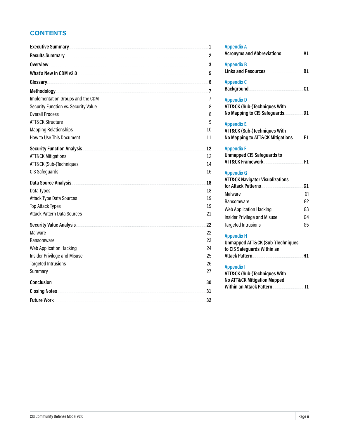### **CONTENTS**

| Executive Summary                                                      | 1              |
|------------------------------------------------------------------------|----------------|
|                                                                        | $\overline{2}$ |
| Overview                                                               | 3              |
| What's New in CDM v2.0                                                 | .5             |
| Glossary.                                                              | 6              |
| Methodology <b>Section 2008</b> Methodology <b>Section 2008</b>        | $\overline{7}$ |
| Implementation Groups and the CDM                                      | 7              |
| Security Function vs. Security Value                                   | 8              |
| <b>Overall Process</b>                                                 | 8              |
| <b>ATT&amp;CK Structure</b>                                            | 9              |
| <b>Mapping Relationships</b>                                           | 10             |
| How to Use This Document                                               | 11             |
| <b>Security Function Analysis</b>                                      | 12             |
| <b>ATT&amp;CK Mitigations</b>                                          | 12             |
| ATT&CK (Sub-)Techniques                                                | 14             |
| CIS Safeguards                                                         | 16             |
| Data Source Analysis.                                                  | 18             |
| Data Types                                                             | 18             |
| <b>Attack Type Data Sources</b>                                        | 19             |
| <b>Top Attack Types</b>                                                | 19             |
| <b>Attack Pattern Data Sources</b>                                     | 21             |
| <b>Security Value Analysis</b>                                         | 22             |
| Malware                                                                | 22             |
| Ransomware                                                             | 23             |
| <b>Web Application Hacking</b>                                         | 24             |
| Insider Privilege and Misuse                                           | 25             |
| <b>Targeted Intrusions</b>                                             | 26             |
| Summary                                                                | 27             |
| Conclusion.                                                            | 30             |
| Closing Notes <b>Executive Science Act of the Closing Notes</b> (2001) | 31             |
| <b>Future Work</b>                                                     | 32             |

| <b>Appendix A</b><br><b>Acronyms and Abbreviations</b>                                                                             | Α1             |
|------------------------------------------------------------------------------------------------------------------------------------|----------------|
| <b>Appendix B</b><br><b>Links and Resources</b>                                                                                    | B1             |
| <b>Appendix C</b><br><b>Background</b>                                                                                             | C <sub>1</sub> |
| <b>Appendix D</b><br><b>ATT&amp;CK (Sub-)Techniques With</b><br>No Mapping to CIS Safeguards                                       | D1             |
| <b>Appendix E</b><br>ATT&CK (Sub-)Techniques With<br>No Mapping to ATT&CK Mitigations                                              | E1             |
| <b>Appendix F</b><br><b>Unmapped CIS Safeguards to</b><br><b>ATT&amp;CK Framework</b>                                              | F1             |
|                                                                                                                                    |                |
| <b>Appendix G</b><br><b>ATT&amp;CK Navigator Visualizations</b>                                                                    |                |
| for Attack Patterns                                                                                                                | G1             |
| Malware                                                                                                                            | G1             |
| Ransomware                                                                                                                         | G <sub>2</sub> |
| <b>Web Application Hacking</b>                                                                                                     | G3             |
| <b>Insider Privilege and Misuse</b>                                                                                                | G4             |
| <b>Targeted Intrusions</b>                                                                                                         | G5             |
| <b>Appendix H</b><br><b>Unmapped ATT&amp;CK (Sub-)Techniques</b><br>to CIS Safeguards Within an<br><b>Attack Pattern</b>           | Η1             |
| <b>Appendix I</b><br><b>ATT&amp;CK (Sub-)Techniques With</b><br><b>No ATT&amp;CK Mitigation Mapped</b><br>Within an Attack Pattern | 11             |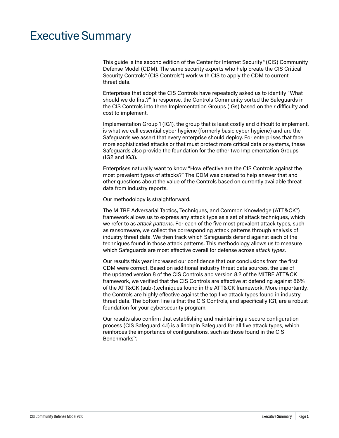## <span id="page-3-0"></span>Executive Summary

This guide is the second edition of the Center for Internet Security® (CIS) Community Defense Model (CDM). The same security experts who help create the CIS Critical Security Controls® (CIS Controls®) work with CIS to apply the CDM to current threat data.

Enterprises that adopt the CIS Controls have repeatedly asked us to identify "What should we do first?" In response, the Controls Community sorted the Safeguards in the CIS Controls into three Implementation Groups (IGs) based on their difficulty and cost to implement.

Implementation Group 1 (IG1), the group that is least costly and difficult to implement, is what we call essential cyber hygiene (formerly basic cyber hygiene) and are the Safeguards we assert that every enterprise should deploy. For enterprises that face more sophisticated attacks or that must protect more critical data or systems, these Safeguards also provide the foundation for the other two Implementation Groups (IG2 and IG3).

Enterprises naturally want to know "How effective are the CIS Controls against the most prevalent types of attacks?" The CDM was created to help answer that and other questions about the value of the Controls based on currently available threat data from industry reports.

Our methodology is straightforward.

The MITRE Adversarial Tactics, Techniques, and Common Knowledge (ATT&CK®) framework allows us to express any attack type as a set of attack techniques, which we refer to as *attack patterns*. For each of the five most prevalent attack types, such as ransomware, we collect the corresponding attack patterns through analysis of industry threat data. We then track which Safeguards defend against each of the techniques found in those attack patterns. This methodology allows us to measure which Safeguards are most effective overall for defense across *attack types*.

Our results this year increased our confidence that our conclusions from the first CDM were correct. Based on additional industry threat data sources, the use of the updated version 8 of the CIS Controls and version 8.2 of the MITRE ATT&CK framework, we verified that the CIS Controls are effective at defending against 86% of the ATT&CK (sub-)techniques found in the ATT&CK framework. More importantly, the Controls are highly effective against the top five attack types found in industry threat data. The bottom line is that the CIS Controls, and specifically IG1, are a robust foundation for your cybersecurity program.

Our results also confirm that establishing and maintaining a secure configuration process (CIS Safeguard 4.1) is a linchpin Safeguard for all five attack types, which reinforces the importance of configurations, such as those found in the CIS Benchmarks™.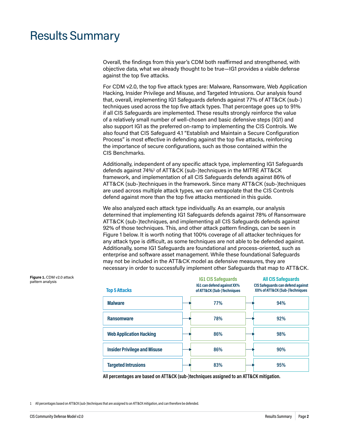### <span id="page-4-0"></span>Results Summary

Overall, the findings from this year's CDM both reaffirmed and strengthened, with objective data, what we already thought to be true—IG1 provides a viable defense against the top five attacks.

For CDM v2.0, the top five attack types are: Malware, Ransomware, Web Application Hacking, Insider Privilege and Misuse, and Targeted Intrusions. Our analysis found that, overall, implementing IG1 Safeguards defends against 77% of ATT&CK (sub-) techniques used across the top five attack types. That percentage goes up to 91% if all CIS Safeguards are implemented. These results strongly reinforce the value of a relatively small number of well-chosen and basic defensive steps (IG1) and also support IG1 as the preferred on-ramp to implementing the CIS Controls. We also found that CIS Safeguard 4.1 "Establish and Maintain a Secure Configuration Process" is most effective in defending against the top five attacks, reinforcing the importance of secure configurations, such as those contained within the CIS Benchmarks.

Additionally, independent of any specific attack type, implementing IG1 Safeguards defends against 74%**<sup>1</sup>** of ATT&CK (sub-)techniques in the MITRE ATT&CK framework, and implementation of all CIS Safeguards defends against 86% of ATT&CK (sub-)techniques in the framework. Since many ATT&CK (sub-)techniques are used across multiple attack types, we can extrapolate that the CIS Controls defend against more than the top five attacks mentioned in this guide.

We also analyzed each attack type individually. As an example, our analysis determined that implementing IG1 Safeguards defends against 78% of Ransomware ATT&CK (sub-)techniques, and implementing all CIS Safeguards defends against 92% of those techniques. This, and other attack pattern findings, can be seen in Figure 1 below. It is worth noting that 100% coverage of all attacker techniques for any attack type is difficult, as some techniques are not able to be defended against. Additionally, some IG1 Safeguards are foundational and process-oriented, such as enterprise and software asset management. While these foundational Safeguards may not be included in the ATT&CK model as defensive measures, they are necessary in order to successfully implement other Safeguards that map to ATT&CK.

| <b>Top 5 Attacks</b>                | <b>IG1 CIS Safeguards</b><br>IG1 can defend against XX%<br>of ATT&CK (Sub-)Techniques | <b>All CIS Safeguards</b><br>CIS Safequards can defend against<br>XX% of ATT&CK (Sub-)Techniques |
|-------------------------------------|---------------------------------------------------------------------------------------|--------------------------------------------------------------------------------------------------|
| <b>Malware</b>                      | 77%                                                                                   | 94%                                                                                              |
| <b>Ransomware</b>                   | 78%                                                                                   | 92%                                                                                              |
| <b>Web Application Hacking</b>      | 86%                                                                                   | 98%                                                                                              |
| <b>Insider Privilege and Misuse</b> | 86%                                                                                   | 90%                                                                                              |
| <b>Targeted Intrusions</b>          | 83%                                                                                   | 95%                                                                                              |

**All percentages are based on ATT&CK (sub-)techniques assigned to an ATT&CK mitigation.**

1 All percentages based on ATT&CK (sub-)techniques that are assigned to an ATT&CK mitigation, and can therefore be defended.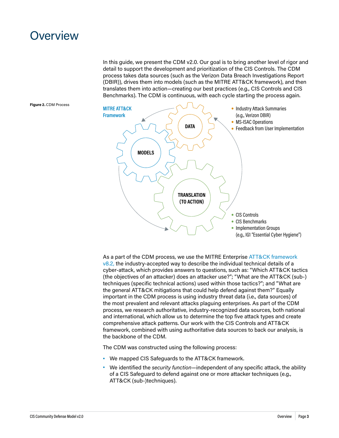### <span id="page-5-0"></span>**Overview**

In this guide, we present the CDM v2.0. Our goal is to bring another level of rigor and detail to support the development and prioritization of the CIS Controls. The CDM process takes data sources (such as the Verizon Data Breach Investigations Report (DBIR)), drives them into models (such as the MITRE ATT&CK framework), and then translates them into action—creating our best practices (e.g., CIS Controls and CIS Benchmarks). The CDM is continuous, with each cycle starting the process again.

**Figure 2.** CDM Process



As a part of the CDM process, we use the MITRE Enterprise [ATT&CK framework](https://attack.mitre.org/)   $v8.2$ , the industry-accepted way to describe the individual technical details of a cyber-attack, which provides answers to questions, such as: "Which ATT&CK tactics (the objectives of an attacker) does an attacker use?"; "What are the ATT&CK (sub-) techniques (specific technical actions) used within those tactics?"; and "What are the general ATT&CK mitigations that could help defend against them?" Equally important in the CDM process is using industry threat data (i.e., data sources) of the most prevalent and relevant attacks plaguing enterprises. As part of the CDM process, we research authoritative, industry-recognized data sources, both national and international, which allow us to determine the top five attack types and create comprehensive attack patterns. Our work with the CIS Controls and ATT&CK framework, combined with using authoritative data sources to back our analysis, is the backbone of the CDM.

The CDM was constructed using the following process:

- **•** We mapped CIS Safeguards to the ATT&CK framework.
- **•** We identified the *security function*—independent of any specific attack, the ability of a CIS Safeguard to defend against one or more attacker techniques (e.g., ATT&CK (sub-)techniques).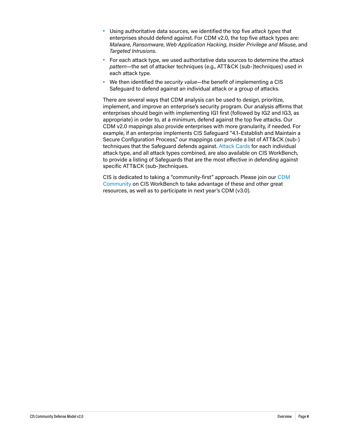- **•** Using authoritative data sources, we identified the top five *attack types* that enterprises should defend against. For CDM v2.0, the top five attack types are: *Malware*, *Ransomware*, *Web Application Hacking*, *Insider Privilege and Misuse*, and *Targeted Intrusions*.
- **•** For each attack type, we used authoritative data sources to determine the *attack pattern*—the set of attacker techniques (e.g., ATT&CK (sub-)techniques) used in each attack type.
- **•** We then identified the *security value*—the benefit of implementing a CIS Safeguard to defend against an individual attack or a group of attacks.

There are several ways that CDM analysis can be used to design, prioritize, implement, and improve an enterprise's security program. Our analysis affirms that enterprises should begin with implementing IG1 first (followed by IG2 and IG3, as appropriate) in order to, at a minimum, defend against the top five attacks. Our CDM v2.0 mappings also provide enterprises with more granularity, if needed. For example, if an enterprise implements CIS Safeguard "4.1–Establish and Maintain a Secure Configuration Process," our mappings can provide a list of ATT&CK (sub-) techniques that the Safeguard defends against. [Attack Cards](https://workbench.cisecurity.org/files/3467) for each individual attack type, and all attack types combined, are also available on CIS WorkBench, to provide a listing of Safeguards that are the most effective in defending against specific ATT&CK (sub-)techniques.

CIS is dedicated to taking a "community-first" approach. Please join our [CDM](https://workbench.cisecurity.org/communities/85)  [Community](https://workbench.cisecurity.org/communities/85) on CIS WorkBench to take advantage of these and other great resources, as well as to participate in next year's CDM (v3.0).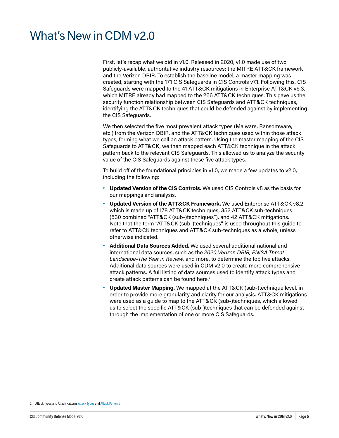# <span id="page-7-0"></span>What's New in CDM v2.0

First, let's recap what we did in v1.0. Released in 2020, v1.0 made use of two publicly-available, authoritative industry resources: the MITRE ATT&CK framework and the Verizon DBIR. To establish the baseline model, a master mapping was created, starting with the 171 CIS Safeguards in CIS Controls v7.1. Following this, CIS Safeguards were mapped to the 41 ATT&CK mitigations in Enterprise ATT&CK v6.3, which MITRE already had mapped to the 266 ATT&CK techniques. This gave us the security function relationship between CIS Safeguards and ATT&CK techniques, identifying the ATT&CK techniques that could be defended against by implementing the CIS Safeguards.

We then selected the five most prevalent attack types (Malware, Ransomware, etc.) from the Verizon DBIR, and the ATT&CK techniques used within those attack types, forming what we call an attack pattern. Using the master mapping of the CIS Safeguards to ATT&CK, we then mapped each ATT&CK technique in the attack pattern back to the relevant CIS Safeguards. This allowed us to analyze the security value of the CIS Safeguards against these five attack types.

To build off of the foundational principles in v1.0, we made a few updates to v2.0, including the following:

- **• Updated Version of the CIS Controls.** We used CIS Controls v8 as the basis for our mappings and analysis.
- **• Updated Version of the ATT&CK Framework.** We used Enterprise ATT&CK v8.2, which is made up of 178 ATT&CK techniques, 352 ATT&CK sub-techniques (530 combined "ATT&CK (sub-)techniques"), and 42 ATT&CK mitigations. Note that the term "ATT&CK (sub-)techniques" is used throughout this guide to refer to ATT&CK techniques and ATT&CK sub-techniques as a whole, unless otherwise indicated.
- **• Additional Data Sources Added.** We used several additional national and international data sources, such as the *2020 Verizon DBIR, ENISA Threat Landscape–The Year in Review,* and more, to determine the top five attacks. Additional data sources were used in CDM v2.0 to create more comprehensive attack patterns. A full listing of data sources used to identify attack types and create attack patterns can be found here.**<sup>2</sup>**
- **• Updated Master Mapping.** We mapped at the ATT&CK (sub-)technique level, in order to provide more granularity and clarity for our analysis. ATT&CK mitigations were used as a guide to map to the ATT&CK (sub-)techniques, which allowed us to select the specific ATT&CK (sub-)techniques that can be defended against through the implementation of one or more CIS Safeguards.

<sup>2</sup> Attack Types and Attack Patterns [Attack Types](#page-21-1) and [Attack Patterns](#page-23-1)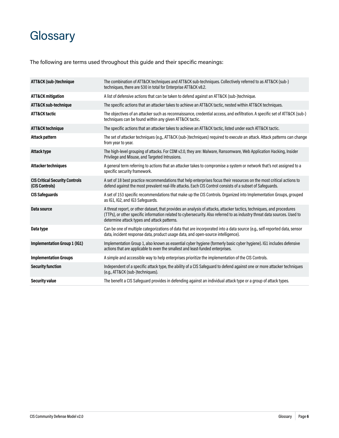# <span id="page-8-0"></span>**Glossary**

The following are terms used throughout this guide and their specific meanings:

| ATT&CK (sub-)technique                                  | The combination of ATT&CK techniques and ATT&CK sub-techniques. Collectively referred to as ATT&CK (sub-)<br>techniques, there are 530 in total for Enterprise ATT&CK v8.2.                                                                                                                       |
|---------------------------------------------------------|---------------------------------------------------------------------------------------------------------------------------------------------------------------------------------------------------------------------------------------------------------------------------------------------------|
| <b>ATT&amp;CK mitigation</b>                            | A list of defensive actions that can be taken to defend against an ATT&CK (sub-)technique.                                                                                                                                                                                                        |
| ATT&CK sub-technique                                    | The specific actions that an attacker takes to achieve an ATT&CK tactic, nested within ATT&CK techniques.                                                                                                                                                                                         |
| <b>ATT&amp;CK tactic</b>                                | The objectives of an attacker such as reconnaissance, credential access, and exfiltration. A specific set of ATT&CK (sub-)<br>techniques can be found within any given ATT&CK tactic.                                                                                                             |
| <b>ATT&amp;CK technique</b>                             | The specific actions that an attacker takes to achieve an ATT&CK tactic, listed under each ATT&CK tactic.                                                                                                                                                                                         |
| <b>Attack pattern</b>                                   | The set of attacker techniques (e.g., ATT&CK (sub-)techniques) required to execute an attack. Attack patterns can change<br>from year to year.                                                                                                                                                    |
| Attack type                                             | The high-level grouping of attacks. For CDM v2.0, they are: Malware, Ransomware, Web Application Hacking, Insider<br>Privilege and Misuse, and Targeted Intrusions.                                                                                                                               |
| <b>Attacker techniques</b>                              | A general term referring to actions that an attacker takes to compromise a system or network that's not assigned to a<br>specific security framework.                                                                                                                                             |
| <b>CIS Critical Security Controls</b><br>(CIS Controls) | A set of 18 best practice recommendations that help enterprises focus their resources on the most critical actions to<br>defend against the most prevalent real-life attacks. Each CIS Control consists of a subset of Safeguards.                                                                |
| <b>CIS Safeguards</b>                                   | A set of 153 specific recommendations that make up the CIS Controls. Organized into Implementation Groups, grouped<br>as IG1, IG2, and IG3 Safeguards.                                                                                                                                            |
| Data source                                             | A threat report, or other dataset, that provides an analysis of attacks, attacker tactics, techniques, and procedures<br>(TTPs), or other specific information related to cybersecurity. Also referred to as industry threat data sources. Used to<br>determine attack types and attack patterns. |
| Data type                                               | Can be one of multiple categorizations of data that are incorporated into a data source (e.g., self-reported data, sensor<br>data, incident response data, product usage data, and open-source intelligence).                                                                                     |
| <b>Implementation Group 1 (IG1)</b>                     | Implementation Group 1, also known as essential cyber hygiene (formerly basic cyber hygiene). IG1 includes defensive<br>actions that are applicable to even the smallest and least-funded enterprises.                                                                                            |
| <b>Implementation Groups</b>                            | A simple and accessible way to help enterprises prioritize the implementation of the CIS Controls.                                                                                                                                                                                                |
| <b>Security function</b>                                | Independent of a specific attack type, the ability of a CIS Safeguard to defend against one or more attacker techniques<br>(e.g., ATT&CK (sub-)techniques).                                                                                                                                       |
| <b>Security value</b>                                   | The benefit a CIS Safeguard provides in defending against an individual attack type or a group of attack types.                                                                                                                                                                                   |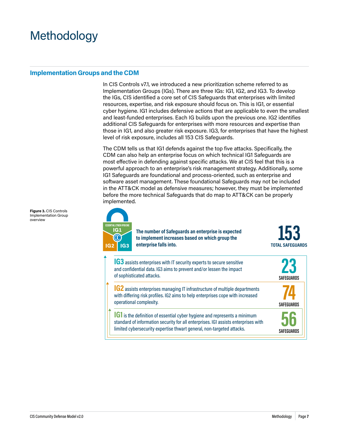# <span id="page-9-0"></span>Methodology

#### **Implementation Groups and the CDM**

In CIS Controls v7.1, we introduced a new prioritization scheme referred to as Implementation Groups (IGs). There are three IGs: IG1, IG2, and IG3. To develop the IGs, CIS identified a core set of CIS Safeguards that enterprises with limited resources, expertise, and risk exposure should focus on. This is IG1, or essential cyber hygiene. IG1 includes defensive actions that are applicable to even the smallest and least-funded enterprises. Each IG builds upon the previous one. IG2 identifies additional CIS Safeguards for enterprises with more resources and expertise than those in IG1, and also greater risk exposure. IG3, for enterprises that have the highest level of risk exposure, includes all 153 CIS Safeguards.

The CDM tells us that IG1 defends against the top five attacks. Specifically, the CDM can also help an enterprise focus on which technical IG1 Safeguards are most effective in defending against specific attacks. We at CIS feel that this is a powerful approach to an enterprise's risk management strategy. Additionally, some IG1 Safeguards are foundational and process-oriented, such as enterprise and software asset management. These foundational Safeguards may not be included in the ATT&CK model as defensive measures; however, they must be implemented before the more technical Safeguards that do map to ATT&CK can be properly implemented.



**The number of Safeguards an enterprise is expected to implement increases based on which group the enterprise falls into.**

153 **TOTAL SAFEGUARDS** 

**SAFEGUARDS**

**SAFEGUARDS**

**23**<br>SAFEGUARDS

**IG3** assists enterprises with IT security experts to secure sensitive and confidential data. IG3 aims to prevent and/or lessen the impact of sophisticated attacks.

**IG2** assists enterprises managing IT infrastructure of multiple departments with differing risk profiles. IG2 aims to help enterprises cope with increased operational complexity.

**IG1** is the definition of essential cyber hygiene and represents a minimum standard of information security for all enterprises. IG1 assists enterprises with limited cybersecurity expertise thwart general, non-targeted attacks.

**Figure 3.** CIS Controls Implementation Group overview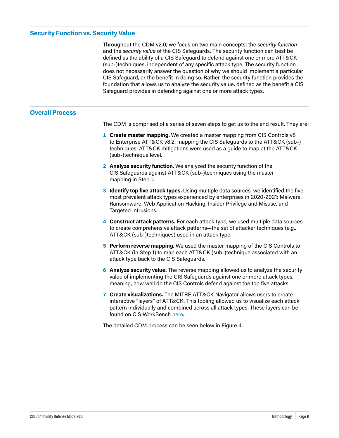#### <span id="page-10-0"></span>**Security Function vs. Security Value**

Throughout the CDM v2.0, we focus on two main concepts: the *security function* and the *security value* of the CIS Safeguards. The security function can best be defined as the ability of a CIS Safeguard to defend against one or more ATT&CK (sub-)techniques, independent of any specific attack type. The security function does not necessarily answer the question of why we should implement a particular CIS Safeguard, or the benefit in doing so. Rather, the security function provides the foundation that allows us to analyze the security value, defined as the benefit a CIS Safeguard provides in defending against one or more attack types.

#### **Overall Process**

The CDM is comprised of a series of seven steps to get us to the end result. They are:

- **1 Create master mapping.** We created a master mapping from CIS Controls v8 to Enterprise ATT&CK v8.2, mapping the CIS Safeguards to the ATT&CK (sub-) techniques. ATT&CK mitigations were used as a guide to map at the ATT&CK (sub-)technique level.
- **2 Analyze security function.** We analyzed the security function of the CIS Safeguards against ATT&CK (sub-)techniques using the master mapping in Step 1.
- **3 Identify top five attack types.** Using multiple data sources, we identified the five most prevalent attack types experienced by enterprises in 2020-2021: Malware, Ransomware, Web Application Hacking, Insider Privilege and Misuse, and Targeted Intrusions.
- **4 Construct attack patterns.** For each attack type, we used multiple data sources to create comprehensive attack patterns—the set of attacker techniques (e.g., ATT&CK (sub-)techniques) used in an attack type.
- **5 Perform reverse mapping.** We used the master mapping of the CIS Controls to ATT&CK (in Step 1) to map each ATT&CK (sub-)technique associated with an attack type back to the CIS Safeguards.
- **6 Analyze security value.** The reverse mapping allowed us to analyze the security value of implementing the CIS Safeguards against one or more attack types, meaning, how well do the CIS Controls defend against the top five attacks.
- **7 Create visualizations.** The MITRE ATT&CK Navigator allows users to create interactive "layers" of ATT&CK. This tooling allowed us to visualize each attack pattern individually and combined across all attack types. These layers can be found on CIS WorkBench [here.](https://workbench.cisecurity.org/community/85/files)

The detailed CDM process can be seen below in Figure 4.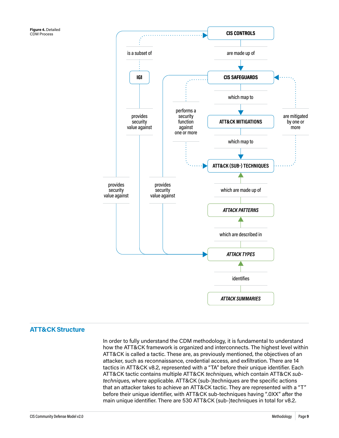<span id="page-11-0"></span>

#### **ATT&CK Structure**

In order to fully understand the CDM methodology, it is fundamental to understand how the ATT&CK framework is organized and interconnects. The highest level within ATT&CK is called a tactic. These are, as previously mentioned, the objectives of an attacker, such as reconnaissance, credential access, and exfiltration. There are 14 tactics in ATT&CK v8.2, represented with a "TA" before their unique identifier. Each ATT&CK tactic contains multiple ATT&CK *techniques*, which contain ATT&CK *subtechniques*, where applicable. ATT&CK (sub-)techniques are the specific actions that an attacker takes to achieve an ATT&CK tactic. They are represented with a "T" before their unique identifier, with ATT&CK sub-techniques having ".0XX" after the main unique identifier. There are 530 ATT&CK (sub-)techniques in total for v8.2.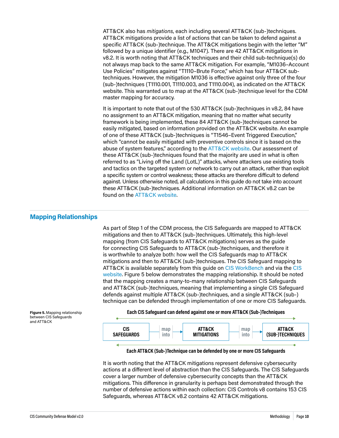<span id="page-12-0"></span>ATT&CK also has *mitigations*, each including several ATT&CK (sub-)techniques. ATT&CK mitigations provide a list of actions that can be taken to defend against a specific ATT&CK (sub-)technique. The ATT&CK mitigations begin with the letter "M" followed by a unique identifier (e.g., M1047). There are 42 ATT&CK mitigations in v8.2. It is worth noting that ATT&CK techniques and their child sub-technique(s) do not always map back to the same ATT&CK mitigation. For example, "M1036–Account Use Policies" mitigates against "T1110–Brute Force," which has four ATT&CK subtechniques. However, the mitigation M1036 is effective against only three of the four (sub-)techniques (T1110.001, T1110.003, and T1110.004), as indicated on the ATT&CK website. This warranted us to map at the ATT&CK (sub-)technique level for the CDM master mapping for accuracy.

It is important to note that out of the 530 ATT&CK (sub-)techniques in v8.2, 84 have no assignment to an ATT&CK mitigation, meaning that no matter what security framework is being implemented, these 84 ATT&CK (sub-)techniques cannot be easily mitigated, based on information provided on the ATT&CK website. An example of one of these ATT&CK (sub-)techniques is "T1546–Event Triggered Execution," which "cannot be easily mitigated with preventive controls since it is based on the abuse of system features," according to the [ATT&CK website.](https://attack.mitre.org/versions/v8/techniques/T1546/) Our assessment of these ATT&CK (sub-)techniques found that the majority are used in what is often referred to as "Living off the Land (LotL)" attacks, where attackers use existing tools and tactics on the targeted system or network to carry out an attack, rather than exploit a specific system or control weakness; these attacks are therefore difficult to defend against. Unless otherwise noted, all calculations in this guide do not take into account these ATT&CK (sub-)techniques. Additional information on ATT&CK v8.2 can be found on the [ATT&CK website.](https://attack.mitre.org/versions/v8/)

#### **Mapping Relationships**

As part of Step 1 of the CDM process, the CIS Safeguards are mapped to ATT&CK mitigations and then to ATT&CK (sub-)techniques. Ultimately, this high-level mapping (from CIS Safeguards to ATT&CK mitigations) serves as the guide for connecting CIS Safeguards to ATT&CK (sub-)techniques, and therefore it is worthwhile to analyze both: how well the CIS Safeguards map to ATT&CK mitigations and then to ATT&CK (sub-)techniques. The CIS Safeguard mapping to ATT&CK is available separately from this guide on [CIS WorkBench](https://workbench.cisecurity.org/files/3401) and via the [CIS](https://www.cisecurity.org/controls/cis-controls-navigator/)  [website](https://www.cisecurity.org/controls/cis-controls-navigator/). Figure 5 below demonstrates the mapping relationship. It should be noted that the mapping creates a many-to-many relationship between CIS Safeguards and ATT&CK (sub-)techniques, meaning that implementing a single CIS Safeguard defends against multiple ATT&CK (sub-)techniques, and a single ATT&CK (sub-) technique can be defended through implementation of one or more CIS Safeguards.

**Figure 5.** Mapping relationship between CIS Safeguards and ATT&CK





**Each ATT&CK (Sub-)Technique can be defended by one or more CIS Safeguards**

It is worth noting that the ATT&CK mitigations represent defensive cybersecurity actions at a different level of abstraction than the CIS Safeguards. The CIS Safeguards cover a larger number of defensive cybersecurity concepts than the ATT&CK mitigations. This difference in granularity is perhaps best demonstrated through the number of defensive actions within each collection: CIS Controls v8 contains 153 CIS Safeguards, whereas ATT&CK v8.2 contains 42 ATT&CK mitigations.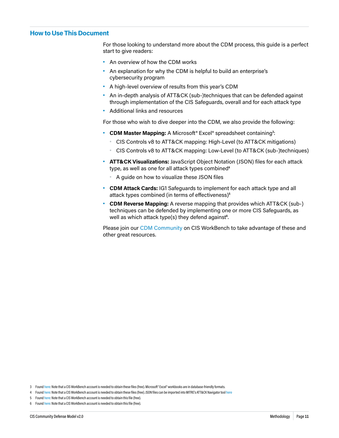#### <span id="page-13-0"></span>**How to Use This Document**

For those looking to understand more about the CDM process, this guide is a perfect start to give readers:

- **•** An overview of how the CDM works
- **•** An explanation for why the CDM is helpful to build an enterprise's cybersecurity program
- **•** A high-level overview of results from this year's CDM
- **•** An in-depth analysis of ATT&CK (sub-)techniques that can be defended against through implementation of the CIS Safeguards, overall and for each attack type
- **•** Additional links and resources

For those who wish to dive deeper into the CDM, we also provide the following:

- **• CDM Master Mapping:** A Microsoft® Excel® spreadsheet containing**<sup>3</sup>** :
	- **•** CIS Controls v8 to ATT&CK mapping: High-Level (to ATT&CK mitigations)
	- **•** CIS Controls v8 to ATT&CK mapping: Low-Level (to ATT&CK (sub-)techniques)
- **• ATT&CK Visualizations:** JavaScript Object Notation (JSON) files for each attack type, as well as one for all attack types combined**<sup>4</sup>**
	- **•** A guide on how to visualize these JSON files
- **• CDM Attack Cards:** IG1 Safeguards to implement for each attack type and all attack types combined (in terms of effectiveness)**<sup>5</sup>**
- **• CDM Reverse Mapping:** A reverse mapping that provides which ATT&CK (sub-) techniques can be defended by implementing one or more CIS Safeguards, as well as which attack type(s) they defend against**<sup>6</sup>** .

Please join our [CDM Community](https://workbench.cisecurity.org/communities/85) on CIS WorkBench to take advantage of these and other great resources.

3 Found [here:](https://workbench.cisecurity.org/files/3401) Note that a CIS WorkBench account is needed to obtain these files (free). Microsoft® Excel® workbooks are in database-friendly formats.

- 4 Found [here:](https://workbench.cisecurity.org/community/85/files) Note that a CIS WorkBench account is needed to obtain these files (free). JSON files can be imported into MITRE's ATT&CK Navigator tool [here](https://mitre-attack.github.io/attack-navigator/)
- 5 Found [here:](https://workbench.cisecurity.org/files/3467) Note that a CIS WorkBench account is needed to obtain this file (free).
- 6 Found [here:](https://workbench.cisecurity.org/files/3475) Note that a CIS WorkBench account is needed to obtain this file (free).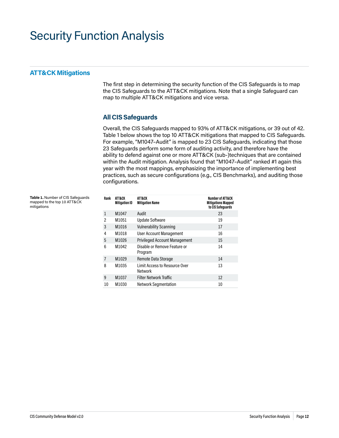## <span id="page-14-0"></span>Security Function Analysis

#### **ATT&CK Mitigations**

The first step in determining the security function of the CIS Safeguards is to map the CIS Safeguards to the ATT&CK mitigations. Note that a single Safeguard can map to multiple ATT&CK mitigations and vice versa.

### **All CIS Safeguards**

Overall, the CIS Safeguards mapped to 93% of ATT&CK mitigations, or 39 out of 42. Table 1 below shows the top 10 ATT&CK mitigations that mapped to CIS Safeguards. For example, "M1047–Audit" is mapped to 23 CIS Safeguards, indicating that those 23 Safeguards perform some form of auditing activity, and therefore have the ability to defend against one or more ATT&CK (sub-)techniques that are contained within the Audit mitigation. Analysis found that "M1047-Audit" ranked #1 again this year with the most mappings, emphasizing the importance of implementing best practices, such as secure configurations (e.g., CIS Benchmarks), and auditing those configurations.

| Table 1. Number of CIS Safequards |  |
|-----------------------------------|--|
| mapped to the top 10 ATT&CK       |  |
| mitigations                       |  |

| Rank | ATT&CK<br><b>Mitigation ID</b> | ATT&CK<br><b>Mitigation Name</b>         | <b>Number of ATT&amp;CK</b><br><b>Mitigations Mapped</b><br>to CIS Safeguards |
|------|--------------------------------|------------------------------------------|-------------------------------------------------------------------------------|
| 1    | M1047                          | Audit                                    | 23                                                                            |
| 2    | M1051                          | <b>Update Software</b>                   | 19                                                                            |
| 3    | M1016                          | <b>Vulnerability Scanning</b>            | 17                                                                            |
| 4    | M1018                          | <b>User Account Management</b>           | 16                                                                            |
| 5    | M1026                          | <b>Privileged Account Management</b>     | 15                                                                            |
| 6    | M1042                          | Disable or Remove Feature or<br>Program  | 14                                                                            |
| 7    | M1029                          | Remote Data Storage                      | 14                                                                            |
| 8    | M1035                          | Limit Access to Resource Over<br>Network | 13                                                                            |
| 9    | M1037                          | <b>Filter Network Traffic</b>            | 12                                                                            |
| 10   | M1030                          | <b>Network Segmentation</b>              | 10                                                                            |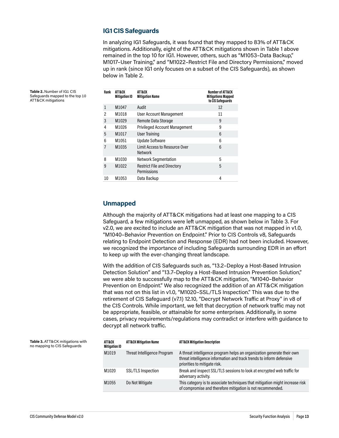#### **IG1 CIS Safeguards**

In analyzing IG1 Safeguards, it was found that they mapped to 83% of ATT&CK mitigations. Additionally, eight of the ATT&CK mitigations shown in Table 1 above remained in the top 10 for IG1. However, others, such as "M1053–Data Backup," M1017–User Training," and "M1022–Restrict File and Directory Permissions," moved up in rank (since IG1 only focuses on a subset of the CIS Safeguards), as shown below in Table 2.

| Rank | ATT&CK<br><b>Mitigation ID</b> | ATT&CK<br><b>Mitigation Name</b>                  | Number of ATT&CK<br><b>Mitigations Mapped</b><br>to CIS Safeguards |
|------|--------------------------------|---------------------------------------------------|--------------------------------------------------------------------|
| 1    | M1047                          | Audit                                             | 12                                                                 |
| 2    | M1018                          | User Account Management                           | 11                                                                 |
| 3    | M1029                          | Remote Data Storage                               | 9                                                                  |
| 4    | M1026                          | <b>Privileged Account Management</b>              | 9                                                                  |
| 5    | M1017                          | User Training                                     | 6                                                                  |
| 6    | M1051                          | <b>Update Software</b>                            | 6                                                                  |
| 7    | M1035                          | Limit Access to Resource Over<br><b>Network</b>   | 6                                                                  |
| 8    | M1030                          | <b>Network Segmentation</b>                       | 5                                                                  |
| 9    | M1022                          | <b>Restrict File and Directory</b><br>Permissions | 5                                                                  |
| 10   | M1053                          | Data Backup                                       | 4                                                                  |

### **Unmapped**

Although the majority of ATT&CK mitigations had at least one mapping to a CIS Safeguard, a few mitigations were left unmapped, as shown below in Table 3. For v2.0, we are excited to include an ATT&CK mitigation that was not mapped in v1.0, "M1040–Behavior Prevention on Endpoint." Prior to CIS Controls v8, Safeguards relating to Endpoint Detection and Response (EDR) had not been included. However, we recognized the importance of including Safeguards surrounding EDR in an effort to keep up with the ever-changing threat landscape.

With the addition of CIS Safeguards such as, "13.2–Deploy a Host-Based Intrusion Detection Solution" and "13.7–Deploy a Host-Based Intrusion Prevention Solution," we were able to successfully map to the ATT&CK mitigation, "M1040–Behavior Prevention on Endpoint." We also recognized the addition of an ATT&CK mitigation that was not on this list in v1.0, "M1020–SSL/TLS Inspection." This was due to the retirement of CIS Safeguard (v7.1) 12.10, "Decrypt Network Traffic at Proxy" in v8 of the CIS Controls. While important, we felt that decryption of network traffic may not be appropriate, feasible, or attainable for some enterprises. Additionally, in some cases, privacy requirements/regulations may contradict or interfere with guidance to decrypt all network traffic.

| ATT&CK<br><b>Mitigation ID</b> | <b>ATT&amp;CK Mitigation Name</b> | <b>ATT&amp;CK Mitigation Description</b>                                                                                                                                       |
|--------------------------------|-----------------------------------|--------------------------------------------------------------------------------------------------------------------------------------------------------------------------------|
| M1019                          | Threat Intelligence Program       | A threat intelligence program helps an organization generate their own<br>threat intelligence information and track trends to inform defensive<br>priorities to mitigate risk. |
| M1020                          | <b>SSL/TLS Inspection</b>         | Break and inspect SSL/TLS sessions to look at encrypted web traffic for<br>adversary activity.                                                                                 |
| M1055                          | Do Not Mitigate                   | This category is to associate techniques that mitigation might increase risk<br>of compromise and therefore mitigation is not recommended.                                     |

**Table 2.** Number of IG1 CIS Safeguards mapped to the top 10 ATT&CK mitigations

**Table 3.** ATT&CK mitigations with no mapping to CIS Safeguards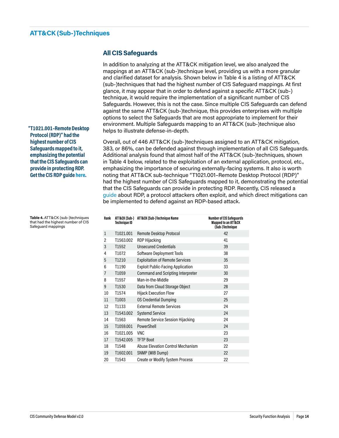### <span id="page-16-0"></span>**ATT&CK (Sub-)Techniques**

### **All CIS Safeguards**

In addition to analyzing at the ATT&CK mitigation level, we also analyzed the mappings at an ATT&CK (sub-)technique level, providing us with a more granular and clarified dataset for analysis. Shown below in Table 4 is a listing of ATT&CK (sub-)techniques that had the highest number of CIS Safeguard mappings. At first glance, it may appear that in order to defend against a specific ATT&CK (sub-) technique, it would require the implementation of a significant number of CIS Safeguards. However, this is not the case. Since multiple CIS Safeguards can defend against the same ATT&CK (sub-)technique, this provides enterprises with multiple options to select the Safeguards that are most appropriate to implement for their environment. Multiple Safeguards mapping to an ATT&CK (sub-)technique also helps to illustrate defense-in-depth.

Overall, out of 446 ATT&CK (sub-)techniques assigned to an ATT&CK mitigation, 383, or 86%, can be defended against through implementation of all CIS Safeguards. Additional analysis found that almost half of the ATT&CK (sub-)techniques, shown in Table 4 below, related to the exploitation of an external application, protocol, etc., emphasizing the importance of securing externally-facing systems. It also is worth noting that ATT&CK sub-technique "T1021.001–Remote Desktop Protocol (RDP)" had the highest number of CIS Safeguards mapped to it, demonstrating the potential that the CIS Safeguards can provide in protecting RDP. Recently, CIS released a [guide](https://www.cisecurity.org/white-papers/exploited-protocols-remote-desktop-protocol-rdp/) about RDP, a protocol attackers often exploit, and which direct mitigations can be implemented to defend against an RDP-based attack.

| Rank           | ATT&CK (Sub-)<br>Technique ID | ATT&CK (Sub-)Technique Name              | <b>Number of CIS Safequards</b><br><b>Mapped to an ATT&amp;CK</b><br>(Sub-)Technique |
|----------------|-------------------------------|------------------------------------------|--------------------------------------------------------------------------------------|
| $\mathbf{1}$   | T1021.001                     | Remote Desktop Protocol                  | 42                                                                                   |
| $\overline{2}$ | T1563.002                     | <b>RDP Hijacking</b>                     | 41                                                                                   |
| 3              | T1552                         | <b>Unsecured Credentials</b>             | 39                                                                                   |
| 4              | T1072                         | Software Deployment Tools                | 38                                                                                   |
| 5              | T1210                         | <b>Exploitation of Remote Services</b>   | 35                                                                                   |
| 6              | T1190                         | <b>Exploit Public-Facing Application</b> | 33                                                                                   |
| 7              | T1059                         | Command and Scripting Interpreter        | 30                                                                                   |
| 8              | T1557                         | Man-in-the-Middle                        | 29                                                                                   |
| 9              | T1530                         | Data from Cloud Storage Object           | 28                                                                                   |
| 10             | T1574                         | <b>Hijack Execution Flow</b>             | 27                                                                                   |
| 11             | T1003                         | <b>OS Credential Dumping</b>             | 25                                                                                   |
| 12             | T1133                         | <b>External Remote Services</b>          | 24                                                                                   |
| 13             | T1543,002                     | <b>Systemd Service</b>                   | 24                                                                                   |
| 14             | T1563                         | Remote Service Session Hijacking         | 24                                                                                   |
| 15             | T1059.001                     | PowerShell                               | 24                                                                                   |
| 16             | T1021.005                     | <b>VNC</b>                               | 23                                                                                   |
| 17             | T1542.005                     | <b>TFTP Boot</b>                         | 23                                                                                   |
| 18             | T1548                         | <b>Abuse Elevation Control Mechanism</b> | 22                                                                                   |
| 19             | T1602.001                     | SNMP (MIB Dump)                          | 22                                                                                   |
| 20             | T1543                         | <b>Create or Modify System Process</b>   | 22                                                                                   |

**"T1021.001–Remote Desktop Protocol (RDP)" had the highest number of CIS Safeguards mapped to it, emphasizing the potential that the CIS Safeguards can provide in protecting RDP. Get the CIS RDP guide [here](https://www.cisecurity.org/white-papers/exploited-protocols-remote-desktop-protocol-rdp/).**

**Table 4.** ATT&CK (sub-)techniques that had the highest number of CIS Safeguard mappings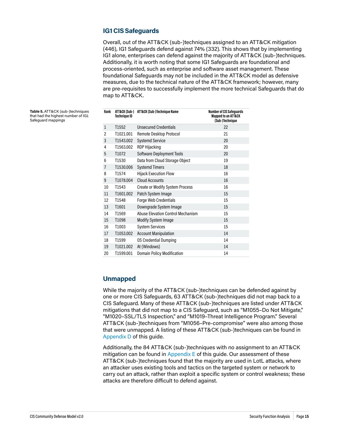### **IG1 CIS Safeguards**

Overall, out of the ATT&CK (sub-)techniques assigned to an ATT&CK mitigation (446), IG1 Safeguards defend against 74% (332). This shows that by implementing IG1 alone, enterprises can defend against the majority of ATT&CK (sub-)techniques. Additionally, it is worth noting that some IG1 Safeguards are foundational and process-oriented, such as enterprise and software asset management. These foundational Safeguards may not be included in the ATT&CK model as defensive measures, due to the technical nature of the ATT&CK framework; however, many are pre-requisites to successfully implement the more technical Safeguards that do map to ATT&CK.

**Table 5.** ATT&CK (sub-)techniques that had the highest number of IG1 Safeguard mappings

| Rank           | <b>Technique ID</b> | ATT&CK (Sub-) ATT&CK (Sub-)Technique Name | <b>Number of CIS Safeguards</b><br><b>Mapped to an ATT&amp;CK</b><br>(Sub-)Technique |
|----------------|---------------------|-------------------------------------------|--------------------------------------------------------------------------------------|
| $\mathbf{1}$   | T1552               | <b>Unsecured Credentials</b>              | 22                                                                                   |
| 2              | T1021.001           | Remote Desktop Protocol                   | 21                                                                                   |
| 3              | T1543,002           | <b>Systemd Service</b>                    | 20                                                                                   |
| 4              | T1563.002           | <b>RDP Hijacking</b>                      | 20                                                                                   |
| 5              | T1072               | Software Deployment Tools                 | 20                                                                                   |
| 6              | T1530               | Data from Cloud Storage Object            | 19                                                                                   |
| $\overline{7}$ | T1530.006           | <b>Systemd Timers</b>                     | 18                                                                                   |
| 8              | T1574               | <b>Hijack Execution Flow</b>              | 16                                                                                   |
| 9              | T1078,004           | <b>Cloud Accounts</b>                     | 16                                                                                   |
| 10             | T1543               | <b>Create or Modify System Process</b>    | 16                                                                                   |
| 11             | T1601.002           | Patch System Image                        | 15                                                                                   |
| 12             | T1548               | Forge Web Credentials                     | 15                                                                                   |
| 13             | T1601               | Downgrade System Image                    | 15                                                                                   |
| 14             | T1569               | <b>Abuse Elevation Control Mechanism</b>  | 15                                                                                   |
| 15             | T1098               | <b>Modify System Image</b>                | 15                                                                                   |
| 16             | T1003               | <b>System Services</b>                    | 15                                                                                   |
| 17             | T1053.002           | <b>Account Manipulation</b>               | 14                                                                                   |
| 18             | T1599               | <b>OS Credential Dumping</b>              | 14                                                                                   |
| 19             | T1021.002           | At (Windows)                              | 14                                                                                   |
| 20             | T1599.001           | <b>Domain Policy Modification</b>         | 14                                                                                   |

### **Unmapped**

While the majority of the ATT&CK (sub-)techniques can be defended against by one or more CIS Safeguards, 63 ATT&CK (sub-)techniques did not map back to a CIS Safeguard. Many of these ATT&CK (sub-)techniques are listed under ATT&CK mitigations that did not map to a CIS Safeguard, such as "M1055–Do Not Mitigate," "M1020–SSL/TLS Inspection," and "M1019–Threat Intelligence Program." Several ATT&CK (sub-)techniques from "M1056–Pre-compromise" were also among those that were unmapped. A listing of these ATT&CK (sub-)techniques can be found in [Appendix D](#page-38-1) of this guide.

Additionally, the 84 ATT&CK (sub-)techniques with no assignment to an ATT&CK mitigation can be found in Appendix  $E$  of this guide. Our assessment of these ATT&CK (sub-)techniques found that the majority are used in LotL attacks, where an attacker uses existing tools and tactics on the targeted system or network to carry out an attack, rather than exploit a specific system or control weakness; these attacks are therefore difficult to defend against.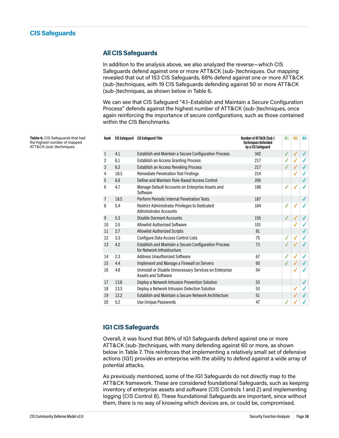### <span id="page-18-0"></span>**All CIS Safeguards**

In addition to the analysis above, we also analyzed the reverse—which CIS Safeguards defend against one or more ATT&CK (sub-)techniques. Our mapping revealed that out of 153 CIS Safeguards, 68% defend against one or more ATT&CK (sub-)techniques, with 19 CIS Safeguards defending against 50 or more ATT&CK (sub-)techniques, as shown below in Table 6.

We can see that CIS Safeguard "4.1–Establish and Maintain a Secure Configuration Process" defends against the highest number of ATT&CK (sub-)techniques, once again reinforcing the importance of secure configurations, such as those contained within the CIS Benchmarks.

| Rank           | CIS Safeguard | <b>CIS Safequard Title</b>                                                             | Number of ATT&CK (Sub-)<br><b>Techniques Defended</b><br>by a CIS Safeguard | 161          | IG <sub>2</sub> | 163 |
|----------------|---------------|----------------------------------------------------------------------------------------|-----------------------------------------------------------------------------|--------------|-----------------|-----|
| $\mathbf{1}$   | 4.1           | Establish and Maintain a Secure Configuration Process                                  | 342                                                                         | $\checkmark$ | √               | ✓   |
| 2              | 6.1           | Establish an Access Granting Process                                                   | 217                                                                         | $\checkmark$ | $\checkmark$    |     |
| 3              | 6.2           | Establish an Access Revoking Process                                                   | 217                                                                         |              |                 | √   |
| 4              | 18.3          | <b>Remediate Penetration Test Findings</b>                                             | 214                                                                         |              | $\checkmark$    |     |
| 5              | 6.8           | Define and Maintain Role-Based Access Control                                          | 206                                                                         |              |                 | ✓   |
| 6              | 4.7           | Manage Default Accounts on Enterprise Assets and<br>Software                           | 188                                                                         | √            | $\checkmark$    | ✓   |
| $\overline{7}$ | 18.5          | Perform Periodic Internal Penetration Tests                                            | 187                                                                         |              |                 | ✓   |
| 8              | 5.4           | <b>Restrict Administrator Privileges to Dedicated</b><br><b>Administrator Accounts</b> | 164                                                                         | √            | $\checkmark$    |     |
| 9              | 5.3           | <b>Disable Dormant Accounts</b>                                                        | 155                                                                         |              | ✓               | ✓   |
| 10             | 2.5           | <b>Allowlist Authorized Software</b>                                                   | 101                                                                         |              |                 |     |
| 11             | 2.7           | <b>Allowlist Authorized Scripts</b>                                                    | 81                                                                          |              |                 | ✓   |
| 12             | 3.3           | Configure Data Access Control Lists                                                    | 75                                                                          | √            | √               | ✓   |
| 13             | 4.2           | Establish and Maintain a Secure Configuration Process<br>for Network Infrastructure    | 73                                                                          |              |                 |     |
| 14             | 2.3           | <b>Address Unauthorized Software</b>                                                   | 67                                                                          | $\checkmark$ | √               | √   |
| 15             | 4.4           | Implement and Manage a Firewall on Servers                                             | 60                                                                          |              |                 |     |
| 16             | 4.8           | Uninstall or Disable Unnecessary Services on Enterprise<br><b>Assets and Software</b>  | 54                                                                          |              | $\checkmark$    |     |
| 17             | 13.8          | Deploy a Network Intrusion Prevention Solution                                         | 53                                                                          |              |                 | ✓   |
| 18             | 13.3          | Deploy a Network Intrusion Detection Solution                                          | 53                                                                          |              | √               | ✓   |
| 19             | 12.2          | Establish and Maintain a Secure Network Architecture                                   | 51                                                                          |              |                 |     |
| 20             | 5.2           | Use Unique Passwords                                                                   | 47                                                                          | √            |                 |     |

**Table 6.** CIS Safeguards that had the highest number of mapped ATT&CK (sub-)techniques

### **IG1 CIS Safeguards**

Overall, it was found that 86% of IG1 Safeguards defend against one or more ATT&CK (sub-)techniques, with many defending against 60 or more, as shown below in Table 7. This reinforces that implementing a relatively small set of defensive actions (IG1) provides an enterprise with the ability to defend against a wide array of potential attacks.

As previously mentioned, some of the IG1 Safeguards do not directly map to the ATT&CK framework. These are considered foundational Safeguards, such as keeping inventory of enterprise assets and software (CIS Controls 1 and 2) and implementing logging (CIS Control 8). These foundational Safeguards are important, since without them, there is no way of knowing which devices are, or could be, compromised.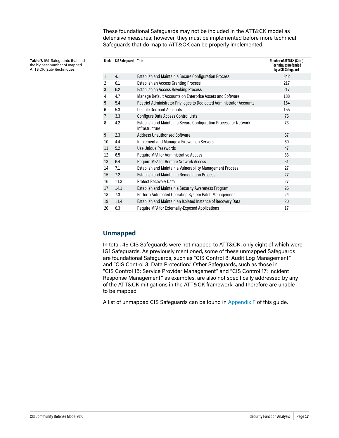These foundational Safeguards may not be included in the ATT&CK model as defensive measures; however, they must be implemented before more technical Safeguards that do map to ATT&CK can be properly implemented.

**Table 7.** IG1 Safeguards that had the highest number of mapped ATT&CK (sub-)techniques

| Rank           | <b>CIS Safeguard</b> | Title                                                                               | Number of ATT&CK (Sub-)<br><b>Techniques Defended</b><br>by a CIS Safeguard |
|----------------|----------------------|-------------------------------------------------------------------------------------|-----------------------------------------------------------------------------|
| $\mathbf{1}$   | 4.1                  | Establish and Maintain a Secure Configuration Process                               | 342                                                                         |
| 2              | 6.1                  | <b>Establish an Access Granting Process</b>                                         | 217                                                                         |
| 3              | 6.2                  | Establish an Access Revoking Process                                                | 217                                                                         |
| 4              | 4.7                  | Manage Default Accounts on Enterprise Assets and Software                           | 188                                                                         |
| 5              | 5.4                  | Restrict Administrator Privileges to Dedicated Administrator Accounts               | 164                                                                         |
| 6              | 5.3                  | <b>Disable Dormant Accounts</b>                                                     | 155                                                                         |
| $\overline{7}$ | 3.3                  | <b>Configure Data Access Control Lists</b>                                          | 75                                                                          |
| 8              | 4.2                  | Establish and Maintain a Secure Configuration Process for Network<br>Infrastructure | 73                                                                          |
| 9              | 2.3                  | <b>Address Unauthorized Software</b>                                                | 67                                                                          |
| 10             | 4.4                  | Implement and Manage a Firewall on Servers                                          | 60                                                                          |
| 11             | 5.2                  | Use Unique Passwords                                                                | 47                                                                          |
| 12             | 6.5                  | Require MFA for Administrative Access                                               | 33                                                                          |
| 13             | 6.4                  | Require MFA for Remote Network Access                                               | 31                                                                          |
| 14             | 7.1                  | Establish and Maintain a Vulnerability Management Process                           | 27                                                                          |
| 15             | 7.2                  | <b>Establish and Maintain a Remediation Process</b>                                 | 27                                                                          |
| 16             | 11.3                 | <b>Protect Recovery Data</b>                                                        | 27                                                                          |
| 17             | 14.1                 | Establish and Maintain a Security Awareness Program                                 | 25                                                                          |
| 18             | 7.3                  | Perform Automated Operating System Patch Management                                 | 24                                                                          |
| 19             | 11.4                 | Establish and Maintain an Isolated Instance of Recovery Data                        | 20                                                                          |
| 20             | 6.3                  | Require MFA for Externally-Exposed Applications                                     | 17                                                                          |

### **Unmapped**

In total, 49 CIS Safeguards were not mapped to ATT&CK, only eight of which were IG1 Safeguards. As previously mentioned, some of these unmapped Safeguards are foundational Safeguards, such as "CIS Control 8: Audit Log Management" and "CIS Control 3: Data Protection." Other Safeguards, such as those in "CIS Control 15: Service Provider Management" and "CIS Control 17: Incident Response Management," as examples, are also not specifically addressed by any of the ATT&CK mitigations in the ATT&CK framework, and therefore are unable to be mapped.

A list of unmapped CIS Safeguards can be found in [Appendix F](#page-40-1) of this guide.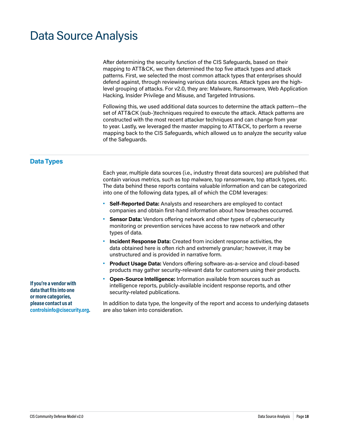# <span id="page-20-0"></span>Data Source Analysis

After determining the security function of the CIS Safeguards, based on their mapping to ATT&CK, we then determined the top five attack types and attack patterns. First, we selected the most common attack types that enterprises should defend against, through reviewing various data sources. Attack types are the highlevel grouping of attacks. For v2.0, they are: Malware, Ransomware, Web Application Hacking, Insider Privilege and Misuse, and Targeted Intrusions.

Following this, we used additional data sources to determine the attack pattern—the set of ATT&CK (sub-)techniques required to execute the attack. Attack patterns are constructed with the most recent attacker techniques and can change from year to year. Lastly, we leveraged the master mapping to ATT&CK, to perform a reverse mapping back to the CIS Safeguards, which allowed us to analyze the security value of the Safeguards.

### **Data Types**

Each year, multiple data sources (i.e., industry threat data sources) are published that contain various metrics, such as top malware, top ransomware, top attack types, etc. The data behind these reports contains valuable information and can be categorized into one of the following data types, all of which the CDM leverages:

- **• Self-Reported Data:** Analysts and researchers are employed to contact companies and obtain first-hand information about how breaches occurred.
- **• Sensor Data:** Vendors offering network and other types of cybersecurity monitoring or prevention services have access to raw network and other types of data.
- **• Incident Response Data:** Created from incident response activities, the data obtained here is often rich and extremely granular; however, it may be unstructured and is provided in narrative form.
- **• Product Usage Data:** Vendors offering software-as-a-service and cloud-based products may gather security-relevant data for customers using their products.
- **• Open-Source Intelligence:** Information available from sources such as intelligence reports, publicly-available incident response reports, and other security-related publications.

In addition to data type, the longevity of the report and access to underlying datasets are also taken into consideration.

**If you're a vendor with data that fits into one or more categories, please contact us at [controlsinfo@cisecurity.org.](mailto:controlsinfo%40cisecurity.org?subject=)**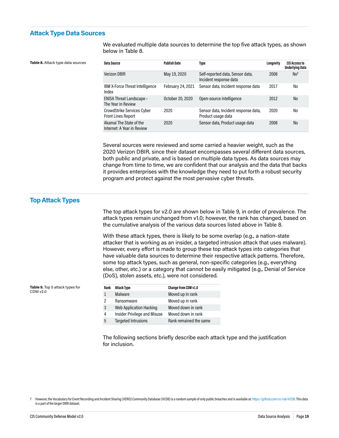#### <span id="page-21-1"></span><span id="page-21-0"></span>**Attack Type Data Sources**

We evaluated multiple data sources to determine the top five attack types, as shown below in Table 8.

| Data Source                                             | <b>Publish Date</b> | Type                                                       | Longevity | <b>CIS Access to</b><br><b>Underlying Data</b> |
|---------------------------------------------------------|---------------------|------------------------------------------------------------|-----------|------------------------------------------------|
| <b>Verizon DBIR</b>                                     | May 19, 2020        | Self-reported data, Sensor data,<br>Incident response data | 2008      | No <sup>7</sup>                                |
| <b>IBM X-Force Threat Intelligence</b><br>Index         | February 24, 2021   | Sensor data, Incident response data                        | 2017      | No                                             |
| <b>ENISA Threat Landscape -</b><br>The Year in Review   | October 20, 2020    | Open-source intelligence                                   | 2012      | N <sub>o</sub>                                 |
| CrowdStrike Services Cyber<br><b>Front Lines Report</b> | 2020                | Sensor data, Incident response data,<br>Product usage data | 2020      | No                                             |
| Akamai The State of the<br>Internet: A Year in Review   | 2020                | Sensor data, Product usage data                            | 2008      | N <sub>o</sub>                                 |

Several sources were reviewed and some carried a heavier weight, such as the 2020 Verizon DBIR, since their dataset encompasses several different data sources, both public and private, and is based on multiple data types. As data sources may change from time to time, we are confident that our analysis and the data that backs it provides enterprises with the knowledge they need to put forth a robust security program and protect against the most pervasive cyber threats.

#### **Top Attack Types**

**Table 9.** Top 5 attack types for

CDM v2.0

The top attack types for v2.0 are shown below in Table 9, in order of prevalence. The attack types remain unchanged from v1.0; however, the rank has changed, based on the cumulative analysis of the various data sources listed above in Table 8.

With these attack types, there is likely to be some overlap (e.g., a nation-state attacker that is working as an insider, a targeted intrusion attack that uses malware). However, every effort is made to group these top attack types into categories that have valuable data sources to determine their respective attack patterns. Therefore, some top attack types, such as general, non-specific categories (e.g., everything else, other, etc.) or a category that cannot be easily mitigated (e.g., Denial of Service (DoS), stolen assets, etc.), were not considered.

| Rank | <b>Attack Type</b>                  | Change from CDM v1.0   |
|------|-------------------------------------|------------------------|
| 1    | Malware                             | Moved up in rank       |
| 2    | Ransomware                          | Moved up in rank       |
| 3    | <b>Web Application Hacking</b>      | Moved down in rank     |
| 4    | <b>Insider Privilege and Misuse</b> | Moved down in rank     |
| 5    | <b>Targeted Intrusions</b>          | Rank remained the same |

The following sections briefly describe each attack type and the justification for inclusion.

7 However, the Vocabulary for Event Recording and Incident Sharing (VERIS) Community Database (VCDB) is a random sample of only public breaches and is available at:<https://github.com/vz-risk/VCDB>. This data is a part of the larger DBIR dataset.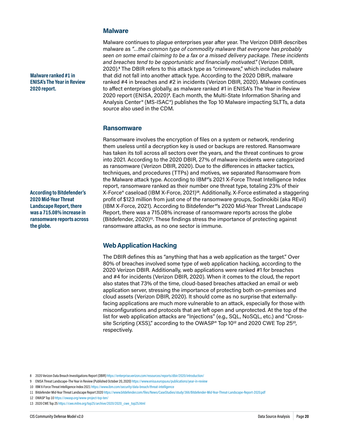#### **Malware**

**Malware ranked #1 in ENISA's The Year in Review 2020 report.**

**According to Bitdefender's 2020 Mid-Year Threat Landscape Report, there was a 715.08% increase in ransomware reports across the globe.**

Malware continues to plague enterprises year after year. The Verizon DBIR describes malware as *"…the common type of commodity malware that everyone has probably seen on some email claiming to be a fax or a missed delivery package. These incidents and breaches tend to be opportunistic and financially motivated."* (Verizon DBIR, 2020).**<sup>8</sup>** The DBIR refers to this attack type as "crimeware," which includes malware that did not fall into another attack type. According to the 2020 DBIR, malware ranked #4 in breaches and #2 in incidents (Verizon DBIR, 2020). Malware continues to affect enterprises globally, as malware ranked #1 in ENISA's The Year in Review 2020 report (ENISA, 2020)**<sup>9</sup>** . Each month, the Multi-State Information Sharing and Analysis Center® (MS-ISAC®) publishes the Top 10 Malware impacting SLTTs, a data source also used in the CDM.

#### **Ransomware**

Ransomware involves the encryption of files on a system or network, rendering them useless until a decryption key is used or backups are restored. Ransomware has taken its toll across all sectors over the years, and the threat continues to grow into 2021. According to the 2020 DBIR, 27% of malware incidents were categorized as ransomware (Verizon DBIR, 2020). Due to the differences in attacker tactics, techniques, and procedures (TTPs) and motives, we separated Ransomware from the Malware attack type. According to IBM®'s 2021 X-Force Threat Intelligence Index report, ransomware ranked as their number one threat type, totaling 23% of their X-Force® caseload (IBM X-Force, 2021)**10**. Additionally, X-Force estimated a staggering profit of \$123 million from just one of the ransomware groups, Sodinokibi (aka REvil) (IBM X-Force, 2021). According to Bitdefender®'s 2020 Mid-Year Threat Landscape Report, there was a 715.08% increase of ransomware reports across the globe (Bitdefender, 2020)**11**. These findings stress the importance of protecting against ransomware attacks, as no one sector is immune.

### **Web Application Hacking**

The DBIR defines this as "anything that has a web application as the target." Over 80% of breaches involved some type of web application hacking, according to the 2020 Verizon DBIR. Additionally, web applications were ranked #1 for breaches and #4 for incidents (Verizon DBIR, 2020). When it comes to the cloud, the report also states that 73% of the time, cloud-based breaches attacked an email or web application server, stressing the importance of protecting both on-premises and cloud assets (Verizon DBIR, 2020). It should come as no surprise that externallyfacing applications are much more vulnerable to an attack, especially for those with misconfigurations and protocols that are left open and unprotected. At the top of the list for web application attacks are "Injections" (e.g., SQL, NoSQL, etc.) and "Crosssite Scripting (XSS)," according to the OWASP® Top 10**12** and 2020 CWE Top 25**13**, respectively.

<sup>8 2020</sup> Verizon Data Breach Investigations Report (DBIR)<https://enterprise.verizon.com/resources/reports/dbir/2020/introduction/>

<sup>9</sup> ENISA Threat Landscape–The Year in Review (Published October 20, 2020)<https://www.enisa.europa.eu/publications/year-in-review>

<sup>10</sup> IBM X-Force Threat Intelligence Index 2021<https://www.ibm.com/security/data-breach/threat-intelligence>

<sup>11</sup> Bitdefender Mid-Year Threat Landscape Report 2020<https://www.bitdefender.com/files/News/CaseStudies/study/366/Bitdefender-Mid-Year-Threat-Landscape-Report-2020.pdf>

<sup>12</sup> OWASP Top 10<https://owasp.org/www-project-top-ten/>

<sup>13</sup> 2020 CWE Top 25 [https://cwe.mitre.org/top25/archive/2020/2020\\_cwe\\_top25.html](https://cwe.mitre.org/top25/archive/2020/2020_cwe_top25.html)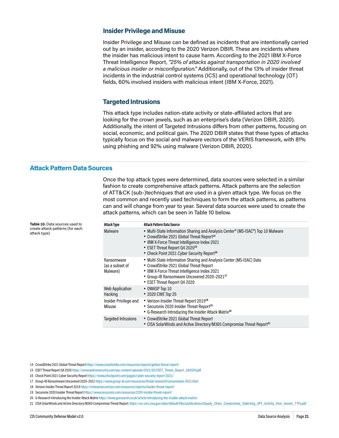#### <span id="page-23-0"></span>**Insider Privilege and Misuse**

Insider Privilege and Misuse can be defined as incidents that are intentionally carried out by an insider, according to the 2020 Verizon DBIR. These are incidents where the insider has malicious intent to cause harm. According to the 2021 IBM X-Force Threat Intelligence Report, *"25% of attacks against transportation in 2020 involved a malicious insider or misconfiguration."* Additionally, out of the 13% of insider threat incidents in the industrial control systems (ICS) and operational technology (OT) fields, 60% involved insiders with malicious intent (IBM X-Force, 2021).

#### **Targeted Intrusions**

This attack type includes nation-state activity or state-affiliated actors that are looking for the crown jewels, such as an enterprise's data (Verizon DBIR, 2020). Additionally, the intent of Targeted Intrusions differs from other patterns, focusing on social, economic, and political gain. The 2020 DBIR states that these types of attacks typically focus on the social and malware vectors of the VERIS framework, with 81% using phishing and 92% using malware (Verizon DBIR, 2020).

#### <span id="page-23-1"></span>**Attack Pattern Data Sources**

**Table 10.** Data sources used to create attack patterns (for each

attack type)

Once the top attack types were determined, data sources were selected in a similar fashion to create comprehensive attack patterns. Attack patterns are the selection of ATT&CK (sub-)techniques that are used in a given attack type. We focus on the most common and recently used techniques to form the attack patterns, as patterns can and will change from year to year. Several data sources were used to create the attack patterns, which can be seen in Table 10 below.

| <b>Attack Type</b>                        | <b>Attack Pattern Data Source</b>                                                                                                                                                                                                                                                                 |
|-------------------------------------------|---------------------------------------------------------------------------------------------------------------------------------------------------------------------------------------------------------------------------------------------------------------------------------------------------|
| Malware                                   | • Multi-State Information Sharing and Analysis Center® (MS-ISAC®) Top 10 Malware<br>• CrowdStrike 2021 Global Threat Report <sup>14</sup><br>• IBM X-Force Threat Intelligence Index 2021<br>• ESET Threat Report Q4 2020 <sup>15</sup><br>• Check Point 2021 Cyber Security Report <sup>16</sup> |
| Ransomware<br>(as a subset of<br>Malware) | • Multi-State Information Sharing and Analysis Center (MS-ISAC) Data<br>• CrowdStrike 2021 Global Threat Report<br>• IBM X-Force Threat Intelligence Index 2021<br>• Group-IB Ransomware Uncovered 2020-202117<br>• ESET Threat Report Q4 2020                                                    |
| <b>Web Application</b><br>Hacking         | • OWASP Top 10<br>• 2020 CWE Top 25                                                                                                                                                                                                                                                               |
| Insider Privilege and<br>Misuse           | • Verizon Insider Threat Report 2019 <sup>18</sup><br>• Securonix 2020 Insider Threat Report <sup>19</sup><br>• G-Research Introducing the Insider Attack Matrix <sup>20</sup>                                                                                                                    |
| <b>Targeted Intrusions</b>                | • CrowdStrike 2021 Global Threat Report<br>• CISA SolarWinds and Active Directory/M365 Compromise Threat Report <sup>21</sup>                                                                                                                                                                     |

14 CrowdStrike 2021 Global Threat Report<https://www.crowdstrike.com/resources/reports/global-threat-report/>

- 15 ESET Threat Report Q4 2020 [https://www.welivesecurity.com/wp-content/uploads/2021/02/ESET\\_Threat\\_Report\\_Q42020.pdf](https://www.welivesecurity.com/wp-content/uploads/2021/02/ESET_Threat_Report_Q42020.pdf)
- 16 Check Point 2021 Cyber Security Report <https://www.checkpoint.com/pages/cyber-security-report-2021/>
- 17 Group-IB Ransomware Uncovered 2020–2021<https://www.group-ib.com/resources/threat-research/ransomware-2021.html>
- 18 Verizon Insider Threat Report 2019<https://enterprise.verizon.com/resources/reports/insider-threat-report/>
- 19 Securonix 2020 Insider Threat Report<https://www.securonix.com/resources/2020-insider-threat-report/>
- 20 G-Research Introducing the Insider Attack Matrix https://www.gresearch.co.uk/article/introducing-the-insider-attack-matrix/
- 21 CISA SolarWinds and Active Directory/M365 Compromise Threat Report: [https://us-cert.cisa.gov/sites/default/files/publications/Supply\\_Chain\\_Compromise\\_Detecting\\_APT\\_Activity\\_from\\_known\\_TTPs.pdf](https://us-cert.cisa.gov/sites/default/files/publications/Supply_Chain_Compromise_Detecting_APT_Activity_from_known_TTPs.pdf)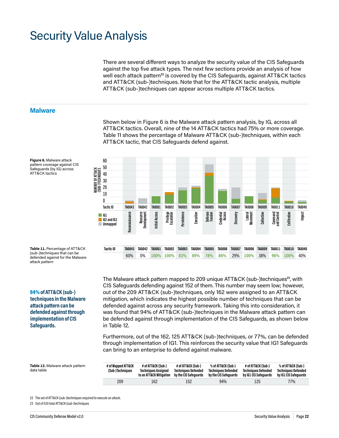# <span id="page-24-0"></span>Security Value Analysis

There are several different ways to analyze the security value of the CIS Safeguards against the top five attack types. The next few sections provide an analysis of how well each attack pattern<sup>22</sup> is covered by the CIS Safeguards, against ATT&CK tactics and ATT&CK (sub-)techniques. Note that for the ATT&CK tactic analysis, multiple ATT&CK (sub-)techniques can appear across multiple ATT&CK tactics.

#### **Malware**

**Figure 6.** Malware attack pattern coverage against CIS Safeguards (by IG) across ATT&CK tactics

Shown below in Figure 6 is the Malware attack pattern analysis, by IG, across all ATT&CK tactics. Overall, nine of the 14 ATT&CK tactics had 75% or more coverage. Table 11 shows the percentage of Malware ATT&CK (sub-)techniques, within each ATT&CK tactic, that CIS Safeguards defend against. 90



**Table 11.** Percentage of ATT&CK

(sub-)techniques that can be defended against for the Malware attack pattern

94% **of ATT&CK (sub-) techniques in the Malware attack pattern can be defended against through implementation of CIS Safeguards.**

The Malware attack pattern mapped to 209 unique ATT&CK (sub-)techniques**23**, with CIS Safeguards defending against 152 of them. This number may seem low; however, out of the 209 ATT&CK (sub-)techniques, only 162 were assigned to an ATT&CK mitigation, which indicates the highest possible number of techniques that can be defended against across any security framework. Taking this into consideration, it was found that 94% of ATT&CK (sub-)techniques in the Malware attack pattern can be defended against through implementation of the CIS Safeguards, as shown below in Table 12.

Furthermore, out of the 162, 125 ATT&CK (sub-)techniques, or 77%, can be defended through implementation of IG1. This reinforces the security value that IG1 Safeguards can bring to an enterprise to defend against malware.

**Table 12.** Malware attack pattern data table

| # of Mapped ATT&CK<br>(Sub-)Techniques | # of ATT&CK (Sub-)<br><b>Techniques Assigned</b><br>to an ATT&CK Mitigation | # of ATT&CK (Sub-)<br><b>Techniques Defended</b><br>by the CIS Safeguards | % of ATT&CK (Sub-)<br><b>Techniques Defended</b><br>by the CIS Safeguards | # of ATT&CK (Sub-)<br><b>Techniques Defended</b><br>by IG1 CIS Safeguards | % of ATT&CK (Sub-)<br><b>Techniques Defended</b><br>by IG1 CIS Safeguards |
|----------------------------------------|-----------------------------------------------------------------------------|---------------------------------------------------------------------------|---------------------------------------------------------------------------|---------------------------------------------------------------------------|---------------------------------------------------------------------------|
| 209                                    | 162                                                                         | 152                                                                       | 94%                                                                       | 125                                                                       | 77%                                                                       |

22 The set of ATT&CK (sub-)techniques required to execute an attack.

23 Out of 530 total ATT&CK (sub-)techniques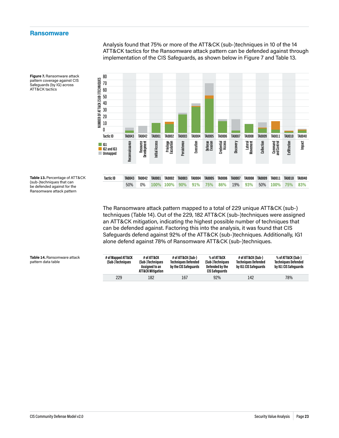#### <span id="page-25-0"></span>**Ransomware**

Analysis found that 75% or more of the ATT&CK (sub-)techniques in 10 of the 14 ATT&CK tactics for the Ransomware attack pattern can be defended against through 120 implementation of the CIS Safeguards, as shown below in Figure 7 and Table 13.



**Figure 7.** Ransomware attack pattern coverage against CIS Safeguards (by IG) across ATT&CK tactics

**Table 13.** Percentage of ATT&CK (sub-)techniques that can be defended against for the Ransomware attack pattern

> The Ransomware attack pattern mapped to a total of 229 unique ATT&CK (sub-) techniques (Table 14). Out of the 229, 182 ATT&CK (sub-)techniques were assigned an ATT&CK mitigation, indicating the highest possible number of techniques that can be defended against. Factoring this into the analysis, it was found that CIS Safeguards defend against 92% of the ATT&CK (sub-)techniques. Additionally, IG1 alone defend against 78% of Ransomware ATT&CK (sub-)techniques.

| Table 14. Ransomware attack |  |
|-----------------------------|--|
| pattern data table          |  |

| # of Mapped ATT&CK<br>(Sub-)Techniques | # of ATT&CK<br>(Sub-)Techniques<br>Assianed to an<br><b>ATT&amp;CK Mitigation</b> | # of ATT&CK (Sub-)<br><b>Techniques Defended</b><br>by the CIS Safeguards | % of ATT&CK<br>(Sub-)Techniques<br>Defended by the<br>CIS Safeguards | # of ATT&CK (Sub-)<br><b>Techniques Defended</b><br>by IG1 CIS Safeguards | % of ATT&CK (Sub-)<br><b>Techniques Defended</b><br>by IG1 CIS Safeguards |
|----------------------------------------|-----------------------------------------------------------------------------------|---------------------------------------------------------------------------|----------------------------------------------------------------------|---------------------------------------------------------------------------|---------------------------------------------------------------------------|
| 229                                    | 182                                                                               | 167                                                                       | 92%                                                                  | 142                                                                       | 78%                                                                       |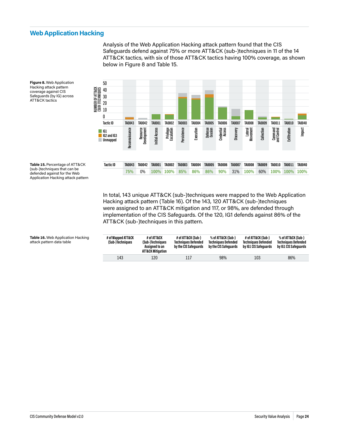#### <span id="page-26-0"></span>**Web Application Hacking** 120

Analysis of the Web Application Hacking attack pattern found that the CIS Safeguards defend against 75% or more ATT&CK (sub-)techniques in 11 of the 14 ATT&CK tactics, with six of those ATT&CK tactics having 100% coverage, as shown 90 below in Figure 8 and Table 15.



**Figure 8.** Web Application Hacking attack pattern coverage against CIS Safeguards (by IG) across ATT&CK tactics

> In total, 143 unique ATT&CK (sub-)techniques were mapped to the Web Application Hacking attack pattern (Table 16). Of the 143, 120 ATT&CK (sub-)techniques were assigned to an ATT&CK mitigation and 117, or 98%, are defended through implementation of the CIS Safeguards. Of the 120, IG1 defends against 86% of the ATT&CK (sub-)techniques in this pattern.

Application Hacking attack pattern

**Table 15.** Percentage of ATT&CK (sub-)techniques that can be defended against for the Web

> **# of Mapped ATT&CK (Sub-)Techniques # of ATT&CK (Sub-)Techniques Assigned to an ATT&CK Mitigation # of ATT&CK (Sub-) Techniques Defended by the CIS Safeguards % of ATT&CK (Sub-) Techniques Defended by the CIS Safeguards # of ATT&CK (Sub-) Techniques Defended by IG1 CIS Safeguards % of ATT&CK (Sub-) Techniques Defended by IG1 CIS Safeguards** 143 120 117 98% 103 86%

**Table 16.** Web Application Hacking attack pattern data table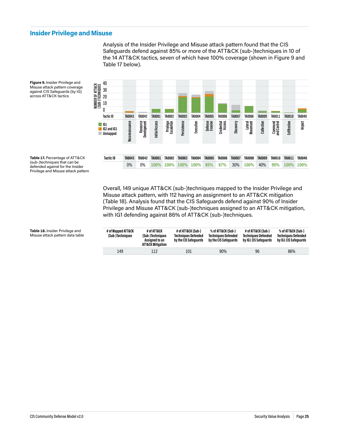#### <span id="page-27-0"></span>**Insider Privilege and Misuse** nu<br>1

Analysis of the Insider Privilege and Misuse attack pattern found that the CIS 100 Safeguards defend against 85% or more of the ATT&CK (sub-)techniques in 10 of the 14 ATT&CK tactics, seven of which have 100% coverage (shown in Figure 9 and 80 Table 17 below).



**Figure 9.** Insider Privilege and Misuse attack pattern coverage against CIS Safeguards (by IG) across ATT&CK tactics

**Table 17.** Percentage of ATT&CK (sub-)techniques that can be

| defended against for the Insider    | U% | U% |  |
|-------------------------------------|----|----|--|
| Privilege and Misuse attack pattern |    |    |  |
|                                     |    |    |  |
|                                     |    |    |  |

Overall, 149 unique ATT&CK (sub-)techniques mapped to the Insider Privilege and Misuse attack pattern, with 112 having an assignment to an ATT&CK mitigation (Table 18). Analysis found that the CIS Safeguards defend against 90% of Insider Privilege and Misuse ATT&CK (sub-)techniques assigned to an ATT&CK mitigation, with IG1 defending against 86% of ATT&CK (sub-)techniques.

| # of Mapped ATT&CK<br>(Sub-)Techniques | # of ATT&CK<br>(Sub-)Techniques<br>Assigned to an<br><b>ATT&amp;CK Mitigation</b> | # of ATT&CK (Sub-)<br><b>Techniques Defended</b><br>by the CIS Safeguards | % of ATT&CK (Sub-)<br><b>Techniques Defended</b><br>by the CIS Safeguards | # of ATT&CK (Sub-)<br><b>Techniques Defended</b><br>by IG1 CIS Safeguards | % of ATT&CK (Sub-)<br><b>Techniques Defended</b><br>by IG1 CIS Safeguards |
|----------------------------------------|-----------------------------------------------------------------------------------|---------------------------------------------------------------------------|---------------------------------------------------------------------------|---------------------------------------------------------------------------|---------------------------------------------------------------------------|
| 149                                    | 112                                                                               | 101                                                                       | 90%                                                                       | 96                                                                        | 86%                                                                       |

**Table 18.** Insider Privilege and Misuse attack pattern data table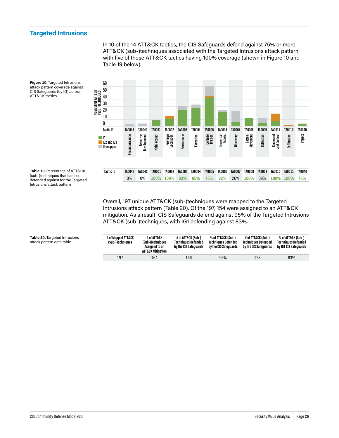### <span id="page-28-0"></span>**Targeted Intrusions**

In 10 of the 14 ATT&CK tactics, the CIS Safeguards defend against 75% or more ATT&CK (sub-)techniques associated with the Targeted Intrusions attack pattern, with five of those ATT&CK tactics having 100% coverage (shown in Figure 10 and Table 19 below).



**Figure 10.** Targeted Intrusions attack pattern coverage against CIS Safeguards (by IG) across ATT&CK tactics

**Table 19.** Percentage of ATT&CK (sub-)techniques that can be defended against for the Targeted Intrusions attack pattern

> Overall, 197 unique ATT&CK (sub-)techniques were mapped to the Targeted Intrusions attack pattern (Table 20). Of the 197, 154 were assigned to an ATT&CK mitigation. As a result, CIS Safeguards defend against 95% of the Targeted Intrusions ATT&CK (sub-)techniques, with IG1 defending against 83%.

| # of Mapped ATT&CK<br>(Sub-)Techniques | # of ATT&CK<br>(Sub-)Techniques<br>Assigned to an<br>ATT&CK Mitigation | # of ATT&CK (Sub-)<br><b>Techniques Defended</b><br>by the CIS Safeguards | % of ATT&CK (Sub-)<br><b>Techniques Defended</b><br>by the CIS Safeguards | # of ATT&CK (Sub-)<br><b>Techniques Defended</b><br>by IG1 CIS Safeguards | % of ATT&CK (Sub-)<br><b>Techniques Defended</b><br>by IG1 CIS Safequards |
|----------------------------------------|------------------------------------------------------------------------|---------------------------------------------------------------------------|---------------------------------------------------------------------------|---------------------------------------------------------------------------|---------------------------------------------------------------------------|
| 197                                    | 154                                                                    | 146                                                                       | 95%                                                                       | 128                                                                       | 83%                                                                       |

**Table 20.** Targeted Intrusions attack pattern data table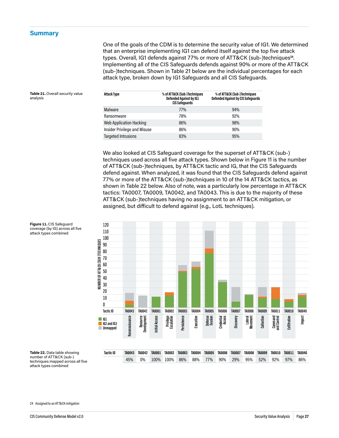#### <span id="page-29-0"></span>**Summary**

Table 21. Overall security value

analysis

One of the goals of the CDM is to determine the security value of IG1. We determined that an enterprise implementing IG1 can defend itself against the top five attack types. Overall, IG1 defends against 77% or more of ATT&CK (sub-)techniques**24**. Implementing all of the CIS Safeguards defends against 90% or more of the ATT&CK (sub-)techniques. Shown in Table 21 below are the individual percentages for each attack type, broken down by IG1 Safeguards and all CIS Safeguards.

| Attack Type                         | % of ATT&CK (Sub-)Techniques<br>Defended Against by IG1<br><b>CIS Safequards</b> | % of ATT&CK (Sub-)Techniques<br><b>Defended Against by CIS Safeguards</b> |
|-------------------------------------|----------------------------------------------------------------------------------|---------------------------------------------------------------------------|
| Malware                             | 77%                                                                              | 94%                                                                       |
| Ransomware                          | 78%                                                                              | 92%                                                                       |
| <b>Web Application Hacking</b>      | 86%                                                                              | 98%                                                                       |
| <b>Insider Privilege and Misuse</b> | 86%                                                                              | 90%                                                                       |
| <b>Targeted Intrusions</b>          | 83%                                                                              | 95%                                                                       |

We also looked at CIS Safeguard coverage for the superset of ATT&CK (sub-) techniques used across all five attack types. Shown below in Figure 11 is the number of ATT&CK (sub-)techniques, by ATT&CK tactic and IG, that the CIS Safeguards defend against. When analyzed, it was found that the CIS Safeguards defend against 77% or more of the ATT&CK (sub-)techniques in 10 of the 14 ATT&CK tactics, as shown in Table 22 below. Also of note, was a particularly low percentage in ATT&CK tactics: TA0007, TA0009, TA0042, and TA0043. This is due to the majority of these ATT&CK (sub-)techniques having no assignment to an ATT&CK mitigation, or assigned, but difficult to defend against (e.g., LotL techniques).





**Table 22.** Data table showing number of ATT&CK (sub-) techniques mapped across all five attack types combined

24 Assigned to an ATT&CK mitigation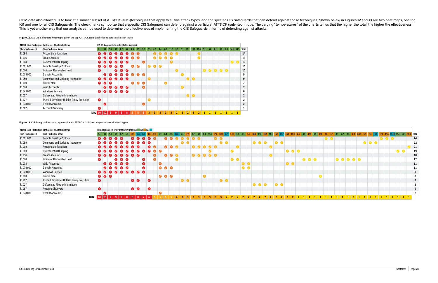CDM data also allowed us to look at a smaller subset of ATT&CK (sub-)techniques that apply to all five attack types, and the specific CIS Safeguards that can defend against those techniques. Shown below in Figures 12 and 1 IG1 and one for all CIS Safeguards. The checkmarks symbolize that a specific CIS Safeguard can defend against a particular ATT&CK (sub-)technique. The varying "temperatures" of the charts tell us that the higher the total, This is yet another way that our analysis can be used to determine the effectiveness of implementing the CIS Safeguards in terms of defending against attacks.

Figure 12. IG1 CIS Safeguard heatmap against the top ATT&CK (sub-)techniques across all attack types

|                    | ATT&CK (Sub-)Techniques Used Across All Attack Patterns |                    | IG1 CIS Safequards (In order of effectiveness) |            |                 |                                                                                                 |     |                |                     |           |           |                     |                           |           |                |                  |                |                |                  |                |              |       |     |                 |              |              |               |                |
|--------------------|---------------------------------------------------------|--------------------|------------------------------------------------|------------|-----------------|-------------------------------------------------------------------------------------------------|-----|----------------|---------------------|-----------|-----------|---------------------|---------------------------|-----------|----------------|------------------|----------------|----------------|------------------|----------------|--------------|-------|-----|-----------------|--------------|--------------|---------------|----------------|
| (Sub-)Technique ID | (Sub-)Technique Name                                    | 4.1                | 4.7                                            | 5.3        | 6.1             | 6.2                                                                                             | 5.4 | 6.4            | 6.5                 | 5.2       | 2.3       | 4.2                 | 4.4                       | 6.3       | 11.3           | 3.3 <sub>z</sub> | $-5.1$         |                | $10.1$ 10.2 11.4 |                | 3.1          | 3.4   | 8.1 | 8.2             |              |              | 8.3 14.1 14.3 | <b>TOTAL</b>   |
| T1098              | <b>Account Manipulation</b>                             |                    |                                                | $\bullet$  | $\omega$        |                                                                                                 |     |                |                     |           |           |                     |                           |           | $\bullet$      | $\sqrt{ }$       |                |                |                  | V              |              |       |     |                 |              |              |               | 14             |
| T1136              | <b>Create Account</b>                                   |                    | $\bullet$                                      | $\bullet$  |                 | $\sqrt{2}$                                                                                      |     |                | $\bullet$ $\bullet$ |           |           |                     | $\mathbf{v}$ $\mathbf{v}$ | $\bullet$ | $\overline{U}$ |                  |                |                |                  |                |              |       |     |                 |              |              |               | 13             |
| T1003              | <b>OS Credential Dumping</b>                            |                    |                                                |            |                 | $\bullet$ $\bullet$ $\bullet$                                                                   |     |                |                     | (J        |           |                     |                           |           |                |                  |                |                |                  |                |              |       |     |                 |              |              |               | 10             |
| T1021.001          | Remote Desktop Protocol                                 |                    |                                                | $\omega$   |                 | $\overline{u}$                                                                                  |     | $\bullet$      | $\bullet$           |           | $\bullet$ | $\bullet$ $\bullet$ |                           |           |                |                  |                |                |                  |                |              |       |     |                 |              |              |               | 10             |
| T1070              | Indicator Removal on Host                               | $\bullet$          |                                                |            |                 | $\bullet$ $\bullet$                                                                             |     |                |                     |           |           |                     |                           |           |                |                  |                |                |                  |                |              | 00000 |     |                 |              |              |               | 10             |
| T1078,002          | Domain Accounts                                         |                    | $\bullet$                                      | $\bullet$  |                 | $\bullet$ $\bullet$ $\bullet$                                                                   |     | $\bullet$      | $\bullet$           |           |           |                     |                           |           |                |                  |                |                |                  |                |              |       |     |                 |              |              |               | 9              |
| T1059              | Command and Scripting Interpreter                       |                    |                                                | $\bullet$  | $\bullet$       | $\bullet$ $\bullet$                                                                             |     |                |                     |           |           |                     |                           |           |                |                  |                |                | $\bullet\bullet$ |                |              |       |     |                 |              |              |               | 9              |
| T1110              | <b>Brute Force</b>                                      | $\bullet$          | $\bullet$                                      | $\sqrt{2}$ |                 |                                                                                                 |     | $\bullet$      | $\bullet$           | $\bullet$ |           |                     |                           | $\bullet$ |                |                  |                |                |                  |                |              |       |     |                 |              |              |               |                |
| T1078              | Valid Accounts                                          |                    |                                                |            |                 | 00000                                                                                           |     |                |                     | Ø         |           |                     |                           |           |                |                  | $\bullet$      |                |                  |                |              |       |     |                 |              |              |               |                |
| T1543,003          | <b>Windows Service</b>                                  | $\bullet$          | $\bullet$                                      |            |                 | $\begin{array}{c c c c c} \hline \textbf{0} & \textbf{0} & \textbf{0} & \textbf{0} \end{array}$ |     |                |                     |           |           |                     |                           |           |                |                  |                |                |                  |                |              |       |     |                 |              |              |               | n              |
| T1027              | Obfuscated Files or Information                         |                    |                                                |            |                 |                                                                                                 |     |                |                     |           |           |                     |                           |           |                |                  |                | $\bullet$      |                  |                |              |       |     |                 |              |              |               | $\mathbf{2}$   |
| T1127              | Trusted Developer Utilities Proxy Execution             | $\bullet$          |                                                |            |                 |                                                                                                 |     |                |                     |           | Ø         |                     |                           |           |                |                  |                |                |                  |                |              |       |     |                 |              |              |               | 2              |
| T1078,001          | <b>Default Accounts</b>                                 |                    | (V                                             |            |                 |                                                                                                 |     |                |                     | $\bm{U}$  |           |                     |                           |           |                |                  |                |                |                  |                |              |       |     |                 |              |              |               | $\overline{2}$ |
| T1087              | <b>Account Discovery</b>                                | $\bullet$          |                                                |            |                 |                                                                                                 |     |                |                     |           |           |                     |                           |           |                |                  |                |                |                  |                |              |       |     |                 |              |              |               |                |
|                    |                                                         | 10<br><b>TOTAL</b> | 10                                             |            | $9 \mid 9 \mid$ | -9                                                                                              | 8   | 5 <sup>5</sup> | 5                   | 5         | 3         | 3                   | 3                         | 3         | 3              | $\mathbf{2}$     | 2 <sup>1</sup> | 2 <sup>1</sup> | $\overline{2}$   | $\overline{2}$ | $\mathbf{1}$ |       |     | $1 \mid 1 \mid$ | $\mathbf{1}$ | $\mathbf{1}$ |               |                |

**Figure 13.** CIS Safeguard heatmap against the top ATT&CK (sub-)techniques across all attack types

|                    | ATT&CK (Sub-)Techniques Used Across All Attack Patterns |           | CIS Safeguards (in order of effectiveness) IG1   IG2   IG3                  |                     |  |                               |           |                     |              |                                                                                    |                                                                              |                     |  |           |       |           |                  |           |           |                                                                             |           |                                        |     |           |  |  |                     |  |  |  |                               |           |                 |    |
|--------------------|---------------------------------------------------------|-----------|-----------------------------------------------------------------------------|---------------------|--|-------------------------------|-----------|---------------------|--------------|------------------------------------------------------------------------------------|------------------------------------------------------------------------------|---------------------|--|-----------|-------|-----------|------------------|-----------|-----------|-----------------------------------------------------------------------------|-----------|----------------------------------------|-----|-----------|--|--|---------------------|--|--|--|-------------------------------|-----------|-----------------|----|
| (Sub-)Technique ID | (Sub-)Technique Name                                    |           | 4.1 4.7 5.3 6.1 6.2 5.4 18.3 18.5 6.8                                       |                     |  |                               |           |                     |              |                                                                                    |                                                                              |                     |  |           |       |           |                  |           |           |                                                                             |           |                                        |     |           |  |  |                     |  |  |  |                               |           | 14.3 16.8 TOTAL |    |
| T1021.001          | Remote Desktop Protocol                                 |           |                                                                             |                     |  | $\bullet$ $\bullet$ $\bullet$ |           | $\sqrt{2}$          |              | $\mathcal{J}$                                                                      |                                                                              |                     |  |           |       | $\bullet$ |                  |           |           |                                                                             |           |                                        |     |           |  |  | $\bullet$ $\bullet$ |  |  |  | $\bullet$ $\bullet$ $\bullet$ |           |                 | 24 |
| T1059              | <b>Command and Scripting Interpreter</b>                |           | 0000000000                                                                  |                     |  |                               |           |                     |              |                                                                                    |                                                                              | $\bullet$ $\bullet$ |  |           |       |           | $\bullet\bullet$ |           |           | $\bullet\bullet$                                                            | $\bullet$ | $\overline{\bullet}\overline{\bullet}$ |     |           |  |  |                     |  |  |  |                               |           |                 | 22 |
| T1098              | <b>Account Manipulation</b>                             |           | 00000000                                                                    |                     |  |                               |           | $\bullet$ $\bullet$ |              |                                                                                    |                                                                              |                     |  |           | 00000 |           |                  |           |           |                                                                             |           |                                        |     |           |  |  |                     |  |  |  |                               |           |                 | 21 |
| T1003              | OS Credential Dumping                                   |           |                                                                             |                     |  |                               |           |                     | 000000000000 |                                                                                    |                                                                              |                     |  |           |       |           |                  | $\bullet$ |           |                                                                             |           |                                        |     |           |  |  |                     |  |  |  |                               | $\bullet$ |                 | 19 |
| T1136              | <b>Create Account</b>                                   |           | 00000000                                                                    |                     |  |                               |           |                     |              |                                                                                    | $\begin{array}{c c} \hline \textbf{O} & \textbf{O} & \textbf{O} \end{array}$ |                     |  |           | 00000 |           |                  |           |           |                                                                             |           |                                        |     |           |  |  |                     |  |  |  |                               |           |                 | 18 |
| T1070              | Indicator Removal on Host                               |           |                                                                             | $\bullet$ $\bullet$ |  |                               | $\bullet$ |                     | $\bullet$    |                                                                                    |                                                                              |                     |  |           |       |           |                  | $\bullet$ |           |                                                                             |           |                                        |     |           |  |  |                     |  |  |  |                               |           |                 | 17 |
| T1078              | <b>Valid Accounts</b>                                   |           | $\begin{array}{c c c c c} \hline \circ & \circ & \circ & \circ \end{array}$ |                     |  |                               | Ø         |                     | $\bullet$    |                                                                                    |                                                                              |                     |  |           |       |           |                  |           | $\bullet$ |                                                                             |           |                                        |     | $\bullet$ |  |  |                     |  |  |  |                               |           |                 | 11 |
| T1078.002          | Domain Accounts                                         |           | 00000                                                                       |                     |  |                               | $\bullet$ |                     |              |                                                                                    |                                                                              |                     |  |           |       |           |                  |           | $\bullet$ |                                                                             |           |                                        |     |           |  |  |                     |  |  |  |                               |           |                 | 11 |
| T1543.003          | <b>Windows Service</b>                                  |           | 000000000                                                                   |                     |  |                               |           |                     |              |                                                                                    |                                                                              |                     |  |           |       |           |                  |           |           |                                                                             |           |                                        |     |           |  |  |                     |  |  |  |                               |           |                 |    |
| T1110              | <b>Brute Force</b>                                      |           |                                                                             |                     |  |                               |           |                     |              | $\begin{array}{c c c c c} \hline \textbf{O} & \textbf{O} & \textbf{O} \end{array}$ |                                                                              |                     |  | $\bullet$ |       |           |                  |           |           |                                                                             |           |                                        |     |           |  |  |                     |  |  |  |                               |           |                 |    |
| T1127              | Trusted Developer Utilities Proxy Execution             | Ø         |                                                                             |                     |  | $\bullet$ $\bullet$           |           | $\bullet$           |              |                                                                                    |                                                                              | $\bullet$           |  |           |       |           | $\bullet$        |           |           |                                                                             |           |                                        |     |           |  |  |                     |  |  |  |                               |           |                 |    |
| T1027              | Obfuscated Files or Information                         |           |                                                                             |                     |  |                               |           |                     |              |                                                                                    |                                                                              |                     |  |           |       |           |                  |           |           | $\begin{array}{c c c c c c} \hline \bullet & \bullet & \bullet \end{array}$ |           | $\bullet$                              |     |           |  |  |                     |  |  |  |                               |           |                 |    |
| T1087              | <b>Account Discovery</b>                                | $\bullet$ |                                                                             |                     |  | $\bullet$                     |           | $\bullet$           |              |                                                                                    |                                                                              |                     |  |           |       |           |                  |           |           |                                                                             |           |                                        |     |           |  |  |                     |  |  |  |                               |           |                 |    |
| T1078.001          | Default Accounts                                        |           |                                                                             |                     |  |                               |           |                     | $\bullet$    |                                                                                    |                                                                              |                     |  |           |       |           |                  |           |           |                                                                             |           |                                        |     |           |  |  |                     |  |  |  |                               |           |                 |    |
|                    | <b>TOTAL</b>                                            |           |                                                                             |                     |  |                               |           |                     |              |                                                                                    |                                                                              |                     |  |           |       |           |                  |           |           |                                                                             |           | $\blacksquare$ 20.                     | 222 |           |  |  |                     |  |  |  |                               |           |                 |    |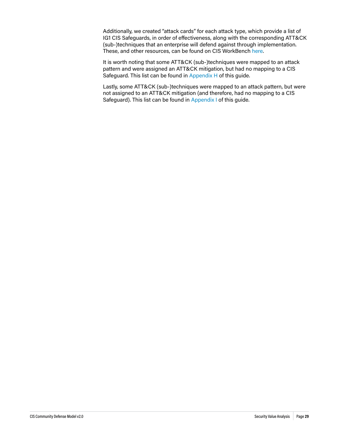Additionally, we created "attack cards" for each attack type, which provide a list of IG1 CIS Safeguards, in order of effectiveness, along with the corresponding ATT&CK (sub-)techniques that an enterprise will defend against through implementation. These, and other resources, can be found on CIS WorkBench [here.](https://workbench.cisecurity.org/files/3467)

It is worth noting that some ATT&CK (sub-)techniques were mapped to an attack pattern and were assigned an ATT&CK mitigation, but had no mapping to a CIS Safeguard. This list can be found in [Appendix H](#page-46-1) of this guide.

Lastly, some ATT&CK (sub-)techniques were mapped to an attack pattern, but were not assigned to an ATT&CK mitigation (and therefore, had no mapping to a CIS Safeguard). This list can be found in [Appendix I](#page-47-1) of this guide.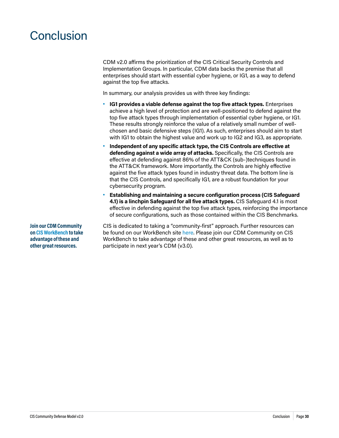# <span id="page-32-0"></span>**Conclusion**

CDM v2.0 affirms the prioritization of the CIS Critical Security Controls and Implementation Groups. In particular, CDM data backs the premise that all enterprises should start with essential cyber hygiene, or IG1, as a way to defend against the top five attacks.

In summary, our analysis provides us with three key findings:

- **• IG1 provides a viable defense against the top five attack types.** Enterprises achieve a high level of protection and are well-positioned to defend against the top five attack types through implementation of essential cyber hygiene, or IG1. These results strongly reinforce the value of a relatively small number of wellchosen and basic defensive steps (IG1). As such, enterprises should aim to start with IG1 to obtain the highest value and work up to IG2 and IG3, as appropriate.
- **• Independent of any specific attack type, the CIS Controls are effective at defending against a wide array of attacks.** Specifically, the CIS Controls are effective at defending against 86% of the ATT&CK (sub-)techniques found in the ATT&CK framework. More importantly, the Controls are highly effective against the five attack types found in industry threat data. The bottom line is that the CIS Controls, and specifically IG1, are a robust foundation for your cybersecurity program.
- **• Establishing and maintaining a secure configuration process (CIS Safeguard 4.1) is a linchpin Safeguard for all five attack types.** CIS Safeguard 4.1 is most effective in defending against the top five attack types, reinforcing the importance of secure configurations, such as those contained within the CIS Benchmarks.

**Join our CDM Community on [CIS WorkBench](https://workbench.cisecurity.org) to take advantage of these and other great resources.**

CIS is dedicated to taking a "community-first" approach. Further resources can be found on our WorkBench site [here](https://workbench.cisecurity.org/community/85/files). Please join our CDM Community on CIS WorkBench to take advantage of these and other great resources, as well as to participate in next year's CDM (v3.0).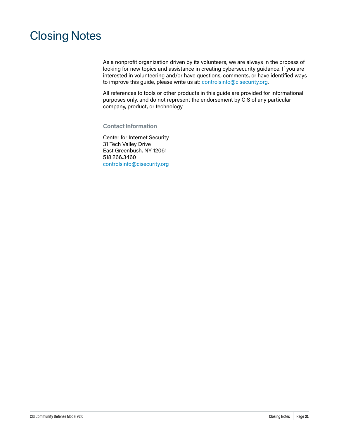# <span id="page-33-0"></span>Closing Notes

As a nonprofit organization driven by its volunteers, we are always in the process of looking for new topics and assistance in creating cybersecurity guidance. If you are interested in volunteering and/or have questions, comments, or have identified ways to improve this guide, please write us at: [controlsinfo@cisecurity.org.](mailto:controlsinfo%40cisecurity.org?subject=)

All references to tools or other products in this guide are provided for informational purposes only, and do not represent the endorsement by CIS of any particular company, product, or technology.

#### **Contact Information**

Center for Internet Security 31 Tech Valley Drive East Greenbush, NY 12061 518.266.3460 [controlsinfo@cisecurity.org](mailto:controlsinfo%40cisecurity.org?subject=)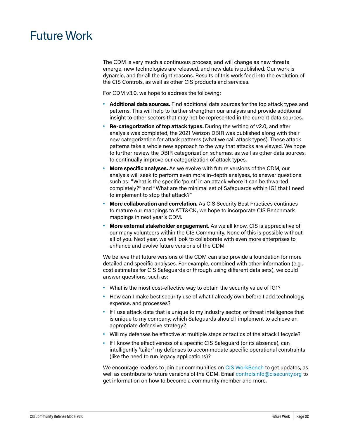## <span id="page-34-0"></span>Future Work

The CDM is very much a continuous process, and will change as new threats emerge, new technologies are released, and new data is published. Our work is dynamic, and for all the right reasons. Results of this work feed into the evolution of the CIS Controls, as well as other CIS products and services.

For CDM v3.0, we hope to address the following:

- **• Additional data sources.** Find additional data sources for the top attack types and patterns. This will help to further strengthen our analysis and provide additional insight to other sectors that may not be represented in the current data sources.
- **Re-categorization of top attack types.** During the writing of v2.0, and after analysis was completed, the 2021 Verizon DBIR was published along with their new categorization for attack patterns (what we call attack types). These attack patterns take a whole new approach to the way that attacks are viewed. We hope to further review the DBIR categorization schemas, as well as other data sources, to continually improve our categorization of attack types.
- **• More specific analyses.** As we evolve with future versions of the CDM, our analysis will seek to perform even more in-depth analyses, to answer questions such as: "What is the specific 'point' in an attack where it can be thwarted completely?" and "What are the minimal set of Safeguards within IG1 that I need to implement to stop that attack?"
- **• More collaboration and correlation.** As CIS Security Best Practices continues to mature our mappings to ATT&CK, we hope to incorporate CIS Benchmark mappings in next year's CDM.
- **• More external stakeholder engagement.** As we all know, CIS is appreciative of our many volunteers within the CIS Community. None of this is possible without all of you. Next year, we will look to collaborate with even more enterprises to enhance and evolve future versions of the CDM.

We believe that future versions of the CDM can also provide a foundation for more detailed and specific analyses. For example, combined with other information (e.g., cost estimates for CIS Safeguards or through using different data sets), we could answer questions, such as:

- **•** What is the most cost-effective way to obtain the security value of IG1?
- **•** How can I make best security use of what I already own before I add technology, expense, and processes?
- **•** If I use attack data that is unique to my industry sector, or threat intelligence that is unique to my company, which Safeguards should I implement to achieve an appropriate defensive strategy?
- **•** Will my defenses be effective at multiple steps or tactics of the attack lifecycle?
- **•** If I know the effectiveness of a specific CIS Safeguard (or its absence), can I intelligently 'tailor' my defenses to accommodate specific operational constraints (like the need to run legacy applications)?

We encourage readers to join our communities on [CIS WorkBench](https://workbench.cisecurity.org/) to get updates, as well as contribute to future versions of the CDM. Email [controlsinfo@cisecurity.org](mailto:controlsinfo@cisecurity.org) to get information on how to become a community member and more.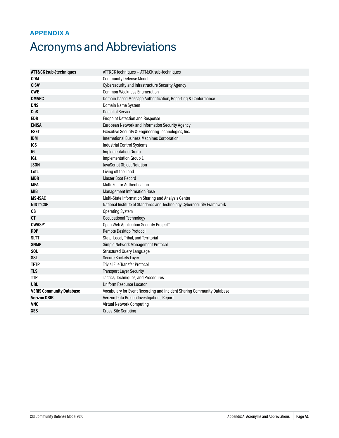### <span id="page-35-0"></span>**APPENDIX A**

# Acronyms and Abbreviations

| <b>ATT&amp;CK (sub-)techniques</b> | ATT&CK techniques + ATT&CK sub-techniques                              |  |  |  |  |  |  |
|------------------------------------|------------------------------------------------------------------------|--|--|--|--|--|--|
| CDM                                | <b>Community Defense Model</b>                                         |  |  |  |  |  |  |
| <b>CISA®</b>                       | Cybersecurity and Infrastructure Security Agency                       |  |  |  |  |  |  |
| <b>CWE</b>                         | <b>Common Weakness Enumeration</b>                                     |  |  |  |  |  |  |
| <b>DMARC</b>                       | Domain-based Message Authentication, Reporting & Conformance           |  |  |  |  |  |  |
| <b>DNS</b>                         | Domain Name System                                                     |  |  |  |  |  |  |
| <b>DoS</b>                         | <b>Denial of Service</b>                                               |  |  |  |  |  |  |
| <b>EDR</b>                         | <b>Endpoint Detection and Response</b>                                 |  |  |  |  |  |  |
| <b>ENISA</b>                       | European Network and Information Security Agency                       |  |  |  |  |  |  |
| <b>ESET</b>                        | Executive Security & Engineering Technologies, Inc.                    |  |  |  |  |  |  |
| <b>IBM</b>                         | <b>International Business Machines Corporation</b>                     |  |  |  |  |  |  |
| <b>ICS</b>                         | <b>Industrial Control Systems</b>                                      |  |  |  |  |  |  |
| IG                                 | <b>Implementation Group</b>                                            |  |  |  |  |  |  |
| IG1                                | Implementation Group 1                                                 |  |  |  |  |  |  |
| <b>JSON</b>                        | JavaScript Object Notation                                             |  |  |  |  |  |  |
| LotL                               | Living off the Land                                                    |  |  |  |  |  |  |
| <b>MBR</b>                         | <b>Master Boot Record</b>                                              |  |  |  |  |  |  |
| <b>MFA</b>                         | <b>Multi-Factor Authentication</b>                                     |  |  |  |  |  |  |
| <b>MIB</b>                         | <b>Management Information Base</b>                                     |  |  |  |  |  |  |
| <b>MS-ISAC</b>                     | Multi-State Information Sharing and Analysis Center                    |  |  |  |  |  |  |
| <b>NIST®CSF</b>                    | National Institute of Standards and Technology Cybersecurity Framework |  |  |  |  |  |  |
| OS.                                | <b>Operating System</b>                                                |  |  |  |  |  |  |
| 0T                                 | Occupational Technology                                                |  |  |  |  |  |  |
| <b>OWASP®</b>                      | Open Web Application Security Project®                                 |  |  |  |  |  |  |
| <b>RDP</b>                         | Remote Desktop Protocol                                                |  |  |  |  |  |  |
| <b>SLTT</b>                        | State, Local, Tribal, and Territorial                                  |  |  |  |  |  |  |
| <b>SNMP</b>                        | Simple Network Management Protocol                                     |  |  |  |  |  |  |
| SQL                                | <b>Structured Query Language</b>                                       |  |  |  |  |  |  |
| <b>SSL</b>                         | Secure Sockets Layer                                                   |  |  |  |  |  |  |
| <b>TFTP</b>                        | <b>Trivial File Transfer Protocol</b>                                  |  |  |  |  |  |  |
| <b>TLS</b>                         | <b>Transport Layer Security</b>                                        |  |  |  |  |  |  |
| <b>TTP</b>                         | Tactics, Techniques, and Procedures                                    |  |  |  |  |  |  |
| <b>URL</b>                         | Uniform Resource Locator                                               |  |  |  |  |  |  |
| <b>VERIS Community Database</b>    | Vocabulary for Event Recording and Incident Sharing Community Database |  |  |  |  |  |  |
| <b>Verizon DBIR</b>                | Verizon Data Breach Investigations Report                              |  |  |  |  |  |  |
| <b>VNC</b>                         | <b>Virtual Network Computing</b>                                       |  |  |  |  |  |  |
| <b>XSS</b>                         | <b>Cross-Site Scripting</b>                                            |  |  |  |  |  |  |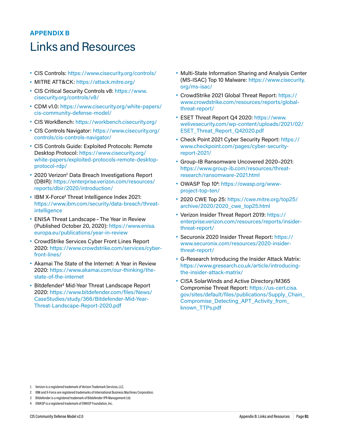### <span id="page-36-0"></span>**APPENDIX B**

### Links and Resources

- **•** CIS Controls: <https://www.cisecurity.org/controls/>
- **•** MITRE ATT&CK: <https://attack.mitre.org/>
- **•** CIS Critical Security Controls v8: [https://www.](https://www.cisecurity.org/controls/v8/) [cisecurity.org/controls/v8/](https://www.cisecurity.org/controls/v8/)
- **•** CDM v1.0: [https://www.cisecurity.org/white-papers/](https://www.cisecurity.org/white-papers/cis-community-defense-model/) [cis-community-defense-model/](https://www.cisecurity.org/white-papers/cis-community-defense-model/)
- **•** CIS WorkBench:<https://workbench.cisecurity.org/>
- **•** CIS Controls Navigator: [https://www.cisecurity.org/](https://www.cisecurity.org/controls/cis-controls-navigator/) [controls/cis-controls-navigator/](https://www.cisecurity.org/controls/cis-controls-navigator/)
- **•** CIS Controls Guide: Exploited Protocols: Remote Desktop Protocol: [https://www.cisecurity.org/](https://www.cisecurity.org/white-papers/exploited-protocols-remote-desktop-protocol-rdp/) [white-papers/exploited-protocols-remote-desktop](https://www.cisecurity.org/white-papers/exploited-protocols-remote-desktop-protocol-rdp/)[protocol-rdp/](https://www.cisecurity.org/white-papers/exploited-protocols-remote-desktop-protocol-rdp/)
- **2020 Verizon<sup>1</sup> Data Breach Investigations Report** (DBIR): [https://enterprise.verizon.com/resources/](https://enterprise.verizon.com/resources/reports/dbir/2020/introduction/) [reports/dbir/2020/introduction/](https://enterprise.verizon.com/resources/reports/dbir/2020/introduction/)
- **•** IBM X-Force**<sup>2</sup>** Threat Intelligence Index 2021: [https://www.ibm.com/security/data-breach/threat](https://www.ibm.com/security/data-breach/threat-intelligence)[intelligence](https://www.ibm.com/security/data-breach/threat-intelligence)
- **•** ENISA Threat Landscape–The Year in Review (Published October 20, 2020): [https://www.enisa.](https://www.enisa.europa.eu/publications/year-in-review) [europa.eu/publications/year-in-review](https://www.enisa.europa.eu/publications/year-in-review)
- **•** CrowdStrike Services Cyber Front Lines Report 2020: [https://www.crowdstrike.com/services/cyber](https://www.crowdstrike.com/services/cyber-front-lines/)[front-lines/](https://www.crowdstrike.com/services/cyber-front-lines/)
- **•** Akamai The State of the Internet: A Year in Review 2020: [https://www.akamai.com/our-thinking/the](https://www.akamai.com/our-thinking/the-state-of-the-internet)[state-of-the-internet](https://www.akamai.com/our-thinking/the-state-of-the-internet)
- **•** Bitdefender**<sup>3</sup>** Mid-Year Threat Landscape Report 2020: [https://www.bitdefender.com/files/News/](https://www.bitdefender.com/files/News/CaseStudies/study/366/Bitdefender-Mid-Year-Threat-Landscape-Report-2020.pdf) [CaseStudies/study/366/Bitdefender-Mid-Year-](https://www.bitdefender.com/files/News/CaseStudies/study/366/Bitdefender-Mid-Year-Threat-Landscape-Report-2020.pdf)[Threat-Landscape-Report-2020.pdf](https://www.bitdefender.com/files/News/CaseStudies/study/366/Bitdefender-Mid-Year-Threat-Landscape-Report-2020.pdf)
- **•** Multi-State Information Sharing and Analysis Center (MS-ISAC) Top 10 Malware: [https://www.cisecurity.](https://www.cisecurity.org/ms-isac/) [org/ms-isac/](https://www.cisecurity.org/ms-isac/)
- **•** CrowdStrike 2021 Global Threat Report: [https://](https://www.crowdstrike.com/resources/reports/global-threat-report/) [www.crowdstrike.com/resources/reports/global](https://www.crowdstrike.com/resources/reports/global-threat-report/)[threat-report/](https://www.crowdstrike.com/resources/reports/global-threat-report/)
- **•** ESET Threat Report Q4 2020: [https://www.](https://www.welivesecurity.com/wp-content/uploads/2021/02/ESET_Threat_Report_Q42020.pdf) [welivesecurity.com/wp-content/uploads/2021/02/](https://www.welivesecurity.com/wp-content/uploads/2021/02/ESET_Threat_Report_Q42020.pdf) [ESET\\_Threat\\_Report\\_Q42020.pdf](https://www.welivesecurity.com/wp-content/uploads/2021/02/ESET_Threat_Report_Q42020.pdf)
- **•** Check Point 2021 Cyber Security Report: [https://](https://www.checkpoint.com/pages/cyber-security-report-2021/) [www.checkpoint.com/pages/cyber-security](https://www.checkpoint.com/pages/cyber-security-report-2021/)[report-2021/](https://www.checkpoint.com/pages/cyber-security-report-2021/)
- **•** Group-IB Ransomware Uncovered 2020–2021: [https://www.group-ib.com/resources/threat](https://www.group-ib.com/resources/threat-research/ransomware-2021.html)[research/ransomware-2021.html](https://www.group-ib.com/resources/threat-research/ransomware-2021.html)
- **•** OWASP Top 10**<sup>4</sup>** : [https://owasp.org/www](https://owasp.org/www-project-top-ten/)[project-top-ten/](https://owasp.org/www-project-top-ten/)
- **•** 2020 CWE Top 25: [https://cwe.mitre.org/top25/](https://cwe.mitre.org/top25/archive/2020/2020_cwe_top25.html) [archive/2020/2020\\_cwe\\_top25.html](https://cwe.mitre.org/top25/archive/2020/2020_cwe_top25.html)
- **•** Verizon Insider Threat Report 2019: [https://](https://enterprise.verizon.com/resources/reports/insider-threat-report/) [enterprise.verizon.com/resources/reports/insider](https://enterprise.verizon.com/resources/reports/insider-threat-report/)[threat-report/](https://enterprise.verizon.com/resources/reports/insider-threat-report/)
- **•** Securonix 2020 Insider Threat Report: [https://](https://www.securonix.com/resources/2020-insider-threat-report/) [www.securonix.com/resources/2020-insider](https://www.securonix.com/resources/2020-insider-threat-report/)[threat-report/](https://www.securonix.com/resources/2020-insider-threat-report/)
- **•** G-Research Introducing the Insider Attack Matrix: [https://www.gresearch.co.uk/article/introducing](https://www.gresearch.co.uk/article/introducing-the-insider-attack-matrix/)[the-insider-attack-matrix/](https://www.gresearch.co.uk/article/introducing-the-insider-attack-matrix/)
- **•** CISA SolarWinds and Active Directory/M365 Compromise Threat Report: [https://us-cert.cisa.](https://us-cert.cisa.gov/sites/default/files/publications/Supply_Chain_Compromise_Detecting_APT_Activity_from_known_TTPs.pdf) [gov/sites/default/files/publications/Supply\\_Chain\\_](https://us-cert.cisa.gov/sites/default/files/publications/Supply_Chain_Compromise_Detecting_APT_Activity_from_known_TTPs.pdf) [Compromise\\_Detecting\\_APT\\_Activity\\_from\\_](https://us-cert.cisa.gov/sites/default/files/publications/Supply_Chain_Compromise_Detecting_APT_Activity_from_known_TTPs.pdf) [known\\_TTPs.pdf](https://us-cert.cisa.gov/sites/default/files/publications/Supply_Chain_Compromise_Detecting_APT_Activity_from_known_TTPs.pdf)

- 2 IBM and X-Force are registered trademarks of International Business Machines Corporation.
- 3 Bitdefender is a registered trademark of Bitdefender IPR Management Ltd.
- 4 OWASP is a registered trademark of OWASP Foundation, Inc.

<sup>1</sup> Verizon is a registered trademark of Verizon Trademark Services, LLC.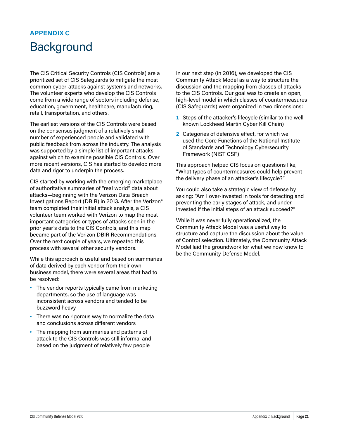### <span id="page-37-0"></span>**APPENDIX C Background**

The CIS Critical Security Controls (CIS Controls) are a prioritized set of CIS Safeguards to mitigate the most common cyber-attacks against systems and networks. The volunteer experts who develop the CIS Controls come from a wide range of sectors including defense, education, government, healthcare, manufacturing, retail, transportation, and others.

The earliest versions of the CIS Controls were based on the consensus judgment of a relatively small number of experienced people and validated with public feedback from across the industry. The analysis was supported by a simple list of important attacks against which to examine possible CIS Controls. Over more recent versions, CIS has started to develop more data and rigor to underpin the process.

CIS started by working with the emerging marketplace of authoritative summaries of "real world" data about attacks—beginning with the Verizon Data Breach Investigations Report (DBIR) in 2013. After the Verizon® team completed their initial attack analysis, a CIS volunteer team worked with Verizon to map the most important categories or types of attacks seen in the prior year's data to the CIS Controls, and this map became part of the Verizon DBIR Recommendations. Over the next couple of years, we repeated this process with several other security vendors.

While this approach is useful and based on summaries of data derived by each vendor from their own business model, there were several areas that had to be resolved:

- **•** The vendor reports typically came from marketing departments, so the use of language was inconsistent across vendors and tended to be buzzword heavy
- **•** There was no rigorous way to normalize the data and conclusions across different vendors
- **•** The mapping from summaries and patterns of attack to the CIS Controls was still informal and based on the judgment of relatively few people

In our next step (in 2016), we developed the CIS Community Attack Model as a way to structure the discussion and the mapping from classes of attacks to the CIS Controls. Our goal was to create an open, high-level model in which classes of countermeasures (CIS Safeguards) were organized in two dimensions:

- **1** Steps of the attacker's lifecycle (similar to the wellknown Lockheed Martin Cyber Kill Chain)
- **2** Categories of defensive effect, for which we used the Core Functions of the National Institute of Standards and Technology Cybersecurity Framework (NIST CSF)

This approach helped CIS focus on questions like, "What types of countermeasures could help prevent the delivery phase of an attacker's lifecycle?"

You could also take a strategic view of defense by asking: "Am I over-invested in tools for detecting and preventing the early stages of attack, and underinvested if the initial steps of an attack succeed?"

While it was never fully operationalized, the Community Attack Model was a useful way to structure and capture the discussion about the value of Control selection. Ultimately, the Community Attack Model laid the groundwork for what we now know to be the Community Defense Model.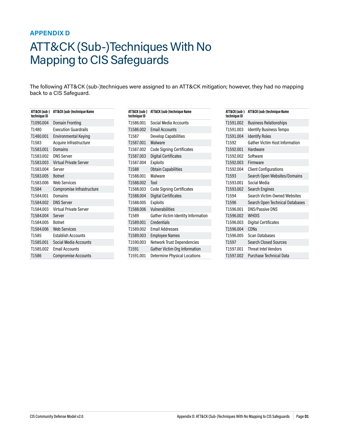### <span id="page-38-1"></span><span id="page-38-0"></span>**APPENDIX D**

# ATT&CK (Sub-)Techniques With No Mapping to CIS Safeguards

The following ATT&CK (sub-)techniques were assigned to an ATT&CK mitigation; however, they had no mapping back to a CIS Safeguard.

| ATT&CK (sub-)<br>technique ID | ATT&CK (sub-)technique Name |
|-------------------------------|-----------------------------|
| T1090.004                     | Domain Fronting             |
| T1480                         | <b>Execution Guardrails</b> |
| T1480.001                     | <b>Environmental Keying</b> |
| T1583                         | Acquire Infrastructure      |
| T1583.001                     | Domains                     |
| T1583.002                     | <b>DNS Server</b>           |
| T1583.003                     | Virtual Private Server      |
| T1583.004                     | Server                      |
| T1583.005                     | <b>Botnet</b>               |
| T1583.006                     | <b>Web Services</b>         |
| T1584                         | Compromise Infrastructure   |
| T1584.001                     | Domains                     |
| T1584.002                     | <b>DNS Server</b>           |
| T1584.003                     | Virtual Private Server      |
| T1584.004                     | Server                      |
| T1584.005                     | <b>Botnet</b>               |
| T1584.006                     | <b>Web Services</b>         |
| T1585                         | <b>Establish Accounts</b>   |
| T1585.001                     | Social Media Accounts       |
| T1585.002                     | <b>Email Accounts</b>       |
| T1586                         | <b>Compromise Accounts</b>  |

| ATT&CK (sub-)<br>technique ID | ATT&CK (sub-)technique Name         |
|-------------------------------|-------------------------------------|
| T1586.001                     | Social Media Accounts               |
| T1586.002                     | <b>Email Accounts</b>               |
| T1587                         | <b>Develop Capabilities</b>         |
| T1587.001                     | Malware                             |
| T1587.002                     | <b>Code Signing Certificates</b>    |
| T1587.003                     | <b>Digital Certificates</b>         |
| T1587.004                     | <b>Exploits</b>                     |
| T1588                         | <b>Obtain Capabilities</b>          |
| T1588.001                     | Malware                             |
| T1588.002                     | Tool                                |
| T1588.003                     | <b>Code Signing Certificates</b>    |
| T1588.004                     | <b>Digital Certificates</b>         |
| T1588.005                     | <b>Exploits</b>                     |
| T1588.006                     | Vulnerabilities                     |
| T1589                         | Gather Victim Identity Information  |
| T1589.001                     | Credentials                         |
| T1589.002                     | <b>Fmail Addresses</b>              |
| T1589.003                     | <b>Employee Names</b>               |
| T1590.003                     | <b>Network Trust Dependencies</b>   |
| T1591                         | Gather Victim Org Information       |
| T1591.001                     | <b>Determine Physical Locations</b> |

| ATT&CK (sub-)<br>technique ID | ATT&CK (sub-)technique Name           |
|-------------------------------|---------------------------------------|
| T1591.002                     | <b>Business Relationships</b>         |
| T1591.003                     | <b>Identify Business Tempo</b>        |
| T1591.004                     | <b>Identify Roles</b>                 |
| T1592                         | <b>Gather Victim Host Information</b> |
| T1592.001                     | Hardware                              |
| T1592.002                     | Software                              |
| T1592.003                     | Firmware                              |
| T1592.004                     | <b>Client Configurations</b>          |
| T1593                         | Search Open Websites/Domains          |
| T1593.001                     | Social Media                          |
| T1593.002                     | <b>Search Engines</b>                 |
| T1594                         | Search Victim-Owned Websites          |
| T1596                         | Search Open Technical Databases       |
| T1596.001                     | DNS/Passive DNS                       |
| T1596.002                     | <b>WHOIS</b>                          |
| T1596.003                     | <b>Digital Certificates</b>           |
| T1596.004                     | CDN <sub>S</sub>                      |
| T1596.005                     | Scan Databases                        |
| T1597                         | <b>Search Closed Sources</b>          |
| T1597.001                     | <b>Threat Intel Vendors</b>           |
| T1597.002                     | <b>Purchase Technical Data</b>        |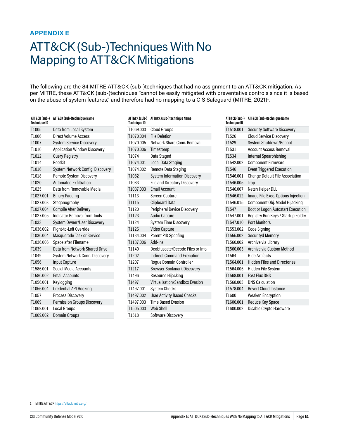### <span id="page-39-1"></span><span id="page-39-0"></span>**APPENDIX E**

# ATT&CK (Sub-)Techniques With No Mapping to ATT&CK Mitigations

The following are the 84 MITRE ATT&CK (sub-)techniques that had no assignment to an ATT&CK mitigation. As per MITRE, these ATT&CK (sub-)techniques "cannot be easily mitigated with preventative controls since it is based on the abuse of system features," and therefore had no mapping to a CIS Safeguard (MITRE, 2021)**<sup>1</sup>** .

| ATT&CK (sub-)<br><b>Technique ID</b> | ATT&CK (sub-)technique Name         |
|--------------------------------------|-------------------------------------|
| T1005                                | Data from Local System              |
| T1006                                | <b>Direct Volume Access</b>         |
| T1007                                | <b>System Service Discovery</b>     |
| T1010                                | <b>Application Window Discovery</b> |
| T1012                                | <b>Query Registry</b>               |
| T1014                                | Rootkit                             |
| T1016                                | System Network Config. Discovery    |
| T1018                                | Remote System Discovery             |
| T1020                                | <b>Automated Exfiltration</b>       |
| T1025                                | Data from Removable Media           |
| T1027.001                            | <b>Binary Padding</b>               |
| T1027.003                            | Steganography                       |
| T1027.004                            | <b>Compile After Delivery</b>       |
| T1027.005                            | <b>Indicator Removal from Tools</b> |
| T1033                                | System Owner/User Discovery         |
| T1036.002                            | Right-to-Left Override              |
| T1036.004                            | Masquerade Task or Service          |
| T1036.006                            | Space after Filename                |
| T1039                                | Data from Network Shared Drive      |
| T1049                                | System Network Conn. Discovery      |
| T1056                                | <b>Input Capture</b>                |
| T1586.001                            | Social Media Accounts               |
| T1586.002                            | <b>Email Accounts</b>               |
| T1056.001                            | Keylogging                          |
| T1056.004                            | <b>Credential API Hooking</b>       |
| T1057                                | Process Discovery                   |
| T1069                                | Permission Groups Discovery         |
| T1069.001                            | Local Groups                        |
| T1069.002                            | <b>Domain Groups</b>                |

| ATT&CK (sub-)<br><b>Technique ID</b> | ATT&CK (sub-)technique Name         |
|--------------------------------------|-------------------------------------|
| T1069.003                            | <b>Cloud Groups</b>                 |
| T1070.004                            | <b>File Deletion</b>                |
| T1070.005                            | Network Share Conn, Removal         |
| T1070.006                            | Timestomp                           |
| T1074                                | Data Staged                         |
| T1074.001                            | Local Data Staging                  |
| T1074.002                            | Remote Data Staging                 |
| T1082                                | <b>System Information Discovery</b> |
| T1083                                | <b>File and Directory Discovery</b> |
| T1087.003                            | <b>Fmail Account</b>                |
| T1113                                | <b>Screen Capture</b>               |
| T1115                                | <b>Clipboard Data</b>               |
| T1120                                | Peripheral Device Discovery         |
| T1123                                | <b>Audio Capture</b>                |
| T1124                                | System Time Discovery               |
| T1125                                | Video Capture                       |
| T1134.004                            | Parent PID Spoofing                 |
| T1137.006                            | Add-ins                             |
| T1140                                | Deobfuscate/Decode Files or Info.   |
| T1202                                | <b>Indirect Command Execution</b>   |
| T1207                                | <b>Roque Domain Controller</b>      |
| T1217                                | <b>Browser Bookmark Discovery</b>   |
| T1496                                | Resource Hijacking                  |
| T1497                                | Virtualization/Sandbox Evasion      |
| T1497.001                            | <b>System Checks</b>                |
| T1497.002                            | <b>User Activity Based Checks</b>   |
| T1497.003                            | <b>Time Based Evasion</b>           |
| T1505.003                            | <b>Web Shell</b>                    |
| T1518                                | Software Discovery                  |

| ATT&CK (sub-)<br>Technique ID | ATT&CK (sub-)technique Name            |
|-------------------------------|----------------------------------------|
| T1518.001                     | <b>Security Software Discovery</b>     |
| T1526                         | <b>Cloud Service Discovery</b>         |
| T1529                         | System Shutdown/Reboot                 |
| T1531                         | <b>Account Access Removal</b>          |
| T1534                         | Internal Spearphishing                 |
| T1542.002                     | <b>Component Firmware</b>              |
| T1546                         | <b>Event Triggered Execution</b>       |
| T1546.001                     | <b>Change Default File Association</b> |
| T1546.005                     | Trap                                   |
| T1546.007                     | Netsh Helper DLL                       |
| T1546.012                     | Image File Exec. Options Injection     |
| T1546.015                     | Component Obj. Model Hijacking         |
| T1547                         | Boot or Logon Autostart Execution      |
| T1547.001                     | Registry Run Keys / Startup Folder     |
| T1547.010                     | <b>Port Monitors</b>                   |
| T1553.002                     | Code Signing                           |
| T1555.002                     | <b>Securityd Memory</b>                |
| T1560.002                     | Archive via Library                    |
| T1560.003                     | Archive via Custom Method              |
| T1564                         | <b>Hide Artifacts</b>                  |
| T1564.001                     | <b>Hidden Files and Directories</b>    |
| T1564.005                     | Hidden File System                     |
| T1568.001                     | <b>Fast Flux DNS</b>                   |
| T1568.003                     | <b>DNS Calculation</b>                 |
| T1578.004                     | <b>Revert Cloud Instance</b>           |
| T1600                         | <b>Weaken Encryption</b>               |
| T1600.001                     | <b>Reduce Key Space</b>                |
| T1600.002                     | Disable Crypto Hardware                |

<sup>1</sup> MITRE ATT&CK<https://attack.mitre.org/>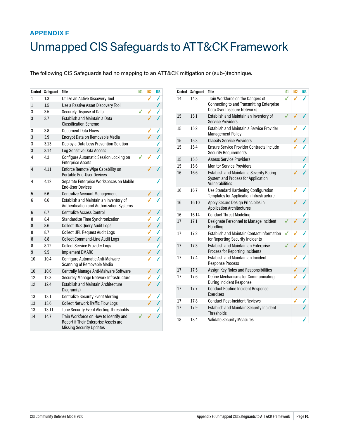### <span id="page-40-1"></span><span id="page-40-0"></span>**APPENDIX F**

# Unmapped CIS Safeguards to ATT&CK Framework

The following CIS Safeguards had no mapping to an ATT&CK mitigation or (sub-)technique.

| Control        | Safeguard | <b>Title</b>                                                                                                       | 161 | IG <sub>2</sub> | IG3          |
|----------------|-----------|--------------------------------------------------------------------------------------------------------------------|-----|-----------------|--------------|
| 1              | 1.3       | Utilize an Active Discovery Tool                                                                                   |     | √               | ✓            |
| $\mathbf{1}$   | 1.5       | Use a Passive Asset Discovery Tool                                                                                 |     |                 | √            |
| 3              | 3.5       | Securely Dispose of Data                                                                                           | √   | √               | ✓            |
| 3              | 3.7       | <b>Establish and Maintain a Data</b><br><b>Classification Scheme</b>                                               |     |                 | ✓            |
| 3              | 3.8       | <b>Document Data Flows</b>                                                                                         |     | ✓               | √            |
| 3              | 3.9       | Encrypt Data on Removable Media                                                                                    |     |                 | $\checkmark$ |
| 3              | 3.13      | Deploy a Data Loss Prevention Solution                                                                             |     |                 | $\checkmark$ |
| 3              | 3.14      | Log Sensitive Data Access                                                                                          |     |                 | ✓            |
| 4              | 4.3       | Configure Automatic Session Locking on<br><b>Enterprise Assets</b>                                                 |     |                 |              |
| $\overline{4}$ | 4.11      | Enforce Remote Wipe Capability on<br><b>Portable End-User Devices</b>                                              |     | √               |              |
| 4              | 4.12      | Separate Enterprise Workspaces on Mobile<br><b>Fnd-User Devices</b>                                                |     |                 |              |
| 5              | 5.6       | <b>Centralize Account Management</b>                                                                               |     | ✓               |              |
| 6              | 6.6       | Establish and Maintain an Inventory of<br>Authentication and Authorization Systems                                 |     |                 |              |
| 6              | 6.7       | <b>Centralize Access Control</b>                                                                                   |     | ✓               | √            |
| 8              | 8.4       | Standardize Time Synchronization                                                                                   |     | √               | ✓            |
| 8              | 8.6       | <b>Collect DNS Query Audit Logs</b>                                                                                |     | ✓               | √            |
| 8              | 8.7       | <b>Collect URL Request Audit Logs</b>                                                                              |     | √               | ✓            |
| 8              | 8.8       | <b>Collect Command-Line Audit Logs</b>                                                                             |     | √               | √            |
| 8              | 8.12      | <b>Collect Service Provider Logs</b>                                                                               |     |                 | ✓            |
| 9              | 9.5       | <b>Implement DMARC</b>                                                                                             |     | √               | √            |
| 10             | 10.4      | Configure Automatic Anti-Malware<br>Scanning of Removable Media                                                    |     | ✓               |              |
| 10             | 10.6      | Centrally Manage Anti-Malware Software                                                                             |     | √               | √            |
| 12             | 12.3      | Securely Manage Network Infrastructure                                                                             |     |                 |              |
| 12             | 12.4      | <b>Establish and Maintain Architecture</b><br>Diagram(s)                                                           |     |                 |              |
| 13             | 13.1      | <b>Centralize Security Event Alerting</b>                                                                          |     | √               |              |
| 13             | 13.6      | <b>Collect Network Traffic Flow Logs</b>                                                                           |     |                 | ✓            |
| 13             | 13.11     | Tune Security Event Alerting Thresholds                                                                            |     |                 |              |
| 14             | 14.7      | Train Workforce on How to Identify and<br>Report if Their Enterprise Assets are<br><b>Missing Security Updates</b> |     |                 |              |

| Control | Safeguard | <b>Title</b>                                                                                                  | <b>IG1</b> | IG <sub>2</sub> | IG3 |
|---------|-----------|---------------------------------------------------------------------------------------------------------------|------------|-----------------|-----|
| 14      | 14.8      | Train Workforce on the Dangers of<br>Connecting to and Transmitting Enterprise<br>Data Over Insecure Networks | √          | √               |     |
| 15      | 15.1      | Establish and Maintain an Inventory of<br><b>Service Providers</b>                                            |            |                 |     |
| 15      | 15.2      | Establish and Maintain a Service Provider<br><b>Management Policy</b>                                         |            |                 |     |
| 15      | 15.3      | <b>Classify Service Providers</b>                                                                             |            |                 |     |
| 15      | 15.4      | <b>Ensure Service Provider Contracts Include</b><br><b>Security Requirements</b>                              |            |                 |     |
| 15      | 15.5      | <b>Assess Service Providers</b>                                                                               |            |                 |     |
| 15      | 15.6      | <b>Monitor Service Providers</b>                                                                              |            |                 |     |
| 16      | 16.6      | <b>Establish and Maintain a Severity Rating</b><br>System and Process for Application<br>Vulnerabilities      |            |                 |     |
| 16      | 16.7      | Use Standard Hardening Configuration<br>Templates for Application Infrastructure                              |            |                 |     |
| 16      | 16.10     | Apply Secure Design Principles in<br><b>Application Architectures</b>                                         |            |                 |     |
| 16      | 16.14     | <b>Conduct Threat Modeling</b>                                                                                |            |                 |     |
| 17      | 17.1      | Designate Personnel to Manage Incident<br>Handling                                                            | ✓          |                 |     |
| 17      | 17.2      | <b>Establish and Maintain Contact Information</b><br>for Reporting Security Incidents                         | ✓          |                 |     |
| 17      | 17.3      | Establish and Maintain an Enterprise<br><b>Process for Reporting Incidents</b>                                |            |                 |     |
| 17      | 17.4      | <b>Establish and Maintain an Incident</b><br><b>Response Process</b>                                          |            |                 |     |
| 17      | 17.5      | Assign Key Roles and Responsibilities                                                                         |            |                 |     |
| 17      | 17.6      | Define Mechanisms for Communicating<br>During Incident Response                                               |            |                 |     |
| 17      | 17.7      | <b>Conduct Routine Incident Response</b><br>Exercises                                                         |            |                 |     |
| 17      | 17.8      | <b>Conduct Post-Incident Reviews</b>                                                                          |            |                 |     |
| 17      | 17.9      | <b>Establish and Maintain Security Incident</b><br><b>Thresholds</b>                                          |            |                 |     |
| 18      | 18.4      | <b>Validate Security Measures</b>                                                                             |            |                 |     |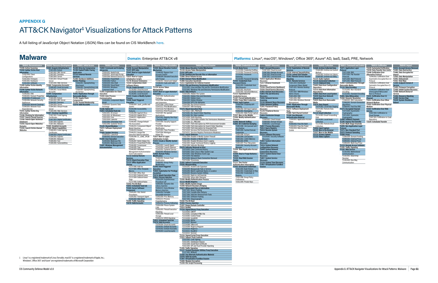# <span id="page-41-0"></span>**APPENDIX G** ATT&CK Navigator**<sup>1</sup>** Visualizations for Attack Patterns

A full listing of JavaScript Object Notation (JSON) files can be found on CIS WorkBench [here.](https://workbench.cisecurity.org/community/85/files)

**TA0040: Impact T1531: Account Access Removal T1485: Data Destruction T1486: Data Encrypted for Impact T1565: Data Manipulation T1491: Defacement T1561: Disk Wipe T1499: Endpoint Denial Service T1495: Firmware Corruption T1490: Inhibit System Recovery T1498: Network Denial of**  Service<br>T1496: Res **T1496: Resource Hijacking T1489: Service Stop T1529: System Shutdown/**

**Reboot**



| <b>TA0009: Collection</b>          | TA0011: Commar         |
|------------------------------------|------------------------|
| T1560: Archive Collected Data      | T1071: Applicatio      |
| T1560.003: Archive via Custom      | Protocol               |
| Method                             | T1071.004: DN:         |
| T1560.002: Archive via Library     | T1071.002: File        |
| T1560.001: Archive via Utility     | Protocols              |
| T1123: Audio Capture               | T1071.003: Mai         |
| <b>T1119: Automated Collection</b> | T1071.001: Wel         |
| T1115: Clipboard Data              | T1092: Communic        |
| T1602: Data from Configuration     | <b>Removable Media</b> |
| Repository                         | T1132: Data Enco       |
| T1213: Data from Information       | T1132.002: Nor         |
| <b>Repositories</b>                | Encodina               |
| T1005: Data from Local System      | T1132.001: Sta         |
| T1039: Data from Network           | T1001: Data Obfus      |
| <b>Shared Drive</b>                | T1568: Dynamic F       |
| T1025: Data from Removable         | T1568.003: DN:         |
| Media                              | T1568.002: Dor         |
| T1074: Data Staged                 | <b>Algorithms</b>      |
| T1074.001: Local Data Staging      | T1568.001: Fas         |
| T1074.002: Remote Data             | T1573: Encrypted       |
| Staging                            | T1573.002: Asy         |
| <b>T1114: Email Collection</b>     | Cryptography           |
| T1114.003: Email Forwarding        | T1573.001: Svn         |
| Rule                               | Cryptography           |
| T1114,001: Local Email             | T1008: Fallback C      |
| Collection                         | T1105: Ingress To      |
| T1114.002: Remote Email            | T1104: Multi-Stag      |
| Collection                         | T1095: Non-Applio      |
| T1056: Input Capture               | Protocol               |
| T1185: Man in the Browser          | T1571: Non-Stand       |
| T1557: Man-in-the-Middle           | T1572: Protocol T      |
| T1113: Screen Capture              | <b>T1090: Proxy</b>    |
| T1125: Video Capture               | T1090.004: Dor         |

| <b>TA0011: Command and Control</b>          |     |
|---------------------------------------------|-----|
| T1071: Application Laver                    | T1  |
| Protocol                                    | T1  |
| T1071.004: DNS                              | T1  |
| T1071.002: File Transfer                    | Alt |
| Protocols                                   |     |
| T1071.003: Mail Protocols                   |     |
| T1071.001: Web Protocols                    |     |
| T1092: Communication Through                |     |
| Removable Media                             |     |
| T1132: Data Encoding                        |     |
| T1132.002: Non-Standard                     |     |
| Encodina                                    |     |
| T1132.001: Standard Encoding                |     |
| T1001: Data Obfuscation                     | T1  |
| T1568: Dynamic Resolution                   | Ch  |
| T1568.003: DNS Calculation                  | T1  |
| T1568.002: Domain Generation                | Ne  |
| <b>Algorithms</b>                           | T1  |
| T1568.001: Fast Flux DNS                    | Me  |
| T1573: Encrypted Channel                    | T1  |
| T1573.002: Asymmetric                       | Se  |
| Cryptography                                |     |
| T1573.001: Symmetric                        |     |
| Cryptography                                |     |
| T1008: Fallback Channels                    |     |
| T1105: Ingress Tool Transfer                | T1( |
| T1104: Multi-Stage Channels                 |     |
| T1095: Non-Application Layer                |     |
| <b>Protocol</b><br>T1571: Non-Standard Port |     |
| T1572: Protocol Tunneling                   |     |
| <b>T1090: Proxy</b>                         |     |
| T1090.004: Domain Fronting                  |     |
| T1090.002: External Proxy                   |     |
| T1090.001: Internal Proxy                   |     |
| T1090.003: Multi-hop Proxy                  |     |
| T1219: Remote Access Software               |     |
| T1205: Traffic Signaling                    |     |
|                                             |     |

**T1205: Traffic Signaling T1102: Web Service** T1102.002: Bidirectional Communication T1102.001: Dead Drop Resolver T1102.003: One-Way Communication

**TA0010: Exfiltration T1020: Automated Exfiltration T1030: Data Transfer Size Limits T1048: Exfiltration Over Alternative Protocol** T1048.002: Exfiltration Over Asymmetric Encrypted Non-C2 Protocol T1048.001: Exfiltration Over Symmetric Encrypted Non-C2 Protocol T1048.003: Exfiltration Over Unencrypted/Obfuscated Non-C2 Protocol **T1041: Exfiltration Over C2 Channel T1011: Exfiltration Over Other Network Medium T1052: Exfiltration Over Physical Medium T1567: Exfiltration Over Web Service** T1567.002: Exfiltration to Cloud Storage T1567.001: Exfiltration to Code

Repository **T1029: Scheduled Transfer**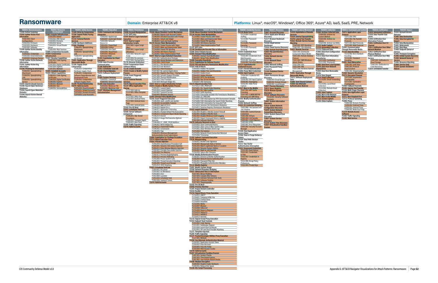### <span id="page-42-0"></span>**Ransomware Domain:** Enterprise ATT&CK v8 **Platforms:** Linux®, macOS®, Windows®, Office 365®, Azure® AD, IaaS, SaaS, PRE, Network

| TA0043: Reconnaissance                                      | TA0042: Resource                                          | <b>TA0001: Initial Access</b>                               | <b>TA0002: Execution</b>                                      | TA0003: Persistence                                                   |                                 | <b>TA0004: Privilege Escalation</b>                                                      | <b>TA0005: Defense Evasion</b>                                                                          | <b>TA0006: Credential Access</b>                               | TA0007: Discovery                                               |
|-------------------------------------------------------------|-----------------------------------------------------------|-------------------------------------------------------------|---------------------------------------------------------------|-----------------------------------------------------------------------|---------------------------------|------------------------------------------------------------------------------------------|---------------------------------------------------------------------------------------------------------|----------------------------------------------------------------|-----------------------------------------------------------------|
| T1595: Active Scanning                                      | <b>Development</b>                                        | T1189: Drive-by Compromise                                  | <b>T1059: Command and Scripting</b>                           | <b>T1098: Account Manipulation</b>                                    |                                 | <b>T1548: Abuse Elevation Control Mechanism</b>                                          | <b>1548: Abuse Elevation Control Mechanism</b>                                                          | T1110: Brute Force                                             | T1087: Account Discovery                                        |
| T1592: Gather Victim Host<br>Information                    | <b>T1583: Acquire Infrastructure</b><br>T1583.005: Botnet | <b>T1190: Exploit Public-Facing</b><br><b>Application</b>   | <b>Interpreter</b><br>T1059.002: AppleScript                  | T1197: BITS Jobs<br>T1547: Boot or Logon Autostart                    |                                 | T1548.002: Bypass User Account Control<br>1548.004: Elevated Execution with Prompt       | <b>T1134: Access Token Manipulation</b><br>T1134.002: Create Process with Token                         | T1110.004: Credential<br>Stuffina                              | <b>T1010: Application Window</b><br><b>Discovery</b>            |
| T1592.004: Client                                           | T1583.002: DNS Server                                     | <b>T1133: External Remote</b>                               | T1059.007: JavaScript/JScript                                 | <b>Execution</b>                                                      |                                 | 1548.001: Setuid and Setgid                                                              | T1134.003: Make and Impersonate Token                                                                   | T1110.002: Password                                            | <b>T1217: Browser Bookmark</b>                                  |
| <b>Configurations</b><br>T1592.003: Firmware                | T1583.001: Domains<br>T1583.004: Server                   | <b>Services</b><br>T1200: Hardware Additions                | T1059.008: Network<br>Device CLI                              | T1037: Boot or Logon<br><b>Initialization Scripts</b>                 |                                 | [1548.003: Sudo and Sudo Caching<br><b>T1134: Access Token Manipulation</b>              | T1134.004: Parent PID Spoofing<br>T1134.005: SID-History Injection                                      | Cracking<br>T1110.001: Password                                | Discovery<br>T1538: Cloud Service                               |
| T1592.001: Hardware                                         | T1583.003: Virtual Private                                | T1566: Phishing                                             | T1059.001: PowerShell                                         | T1037.002: Logon Script                                               |                                 | T1134.002: Create Process with Token                                                     | T1134.001: Token Impersonation/Thef                                                                     | Guessing                                                       | Dashboard                                                       |
| T1592.002: Software<br>[1589: Gather Victim Identity        | Server<br>T1583.006: Web Services                         | T1566.001: Spearphishing<br>Attachment                      | T1059.006: Python<br>T1059.004: Unix Shell                    | (Mac)<br>T1037.001: Logon Script                                      |                                 | T1134.003: Make and Impersonate Token<br>1134.004: Parent PID Spoofing                   | T1197: BITS Jobs<br>T1140: Deobfuscate/Decode Files or Information                                      | T1110.003: Password<br>Spraying                                | T1526: Cloud Service Disco<br><b>T1482: Domain Trust Discov</b> |
| Information                                                 | T1586: Compromise Accounts                                | T1566.002: Spearphishing                                    | T1059.005: Visual Basic                                       | (Windows)                                                             |                                 | T1134.005: SID-History Injection                                                         | T1006: Direct Volume Access                                                                             | <b>1555: Credentials from</b>                                  | T1083: File and Directory                                       |
| T1589.001: Credentials<br>T1589.002: Email Addresses        | T1584: Compromise<br><b>Infrastructure</b>                | T1566.003: Spearphishing                                    | T1059.003: Windows<br><b>Command Shell</b>                    | T1037.003: Network Logon<br>Script                                    |                                 | [1134.001: Token Impersonation/Theft<br><b>T1547: Boot or Logon Autostart Execution</b>  | <b>T1484: Domain Policy Modification</b><br>T1484.002: Domain Trust Modification                        | Password Stores<br>T1555.003: Credentials from                 | <b>Discovery</b><br>T1046: Network Service                      |
| T1589.003: Employee Names                                   | <b>T1587: Develop Capabilities</b>                        | via Service                                                 | <b>T1203: Exploitation for Client</b>                         | T1037.004: Rc.common                                                  |                                 | T1547.002: Authentication Package                                                        | [1484.001: Group Policy Modification                                                                    | <b>Web Browsers</b>                                            | <b>Scanning</b>                                                 |
| T1590: Gather Victim Network<br>Information                 | T1587.002: Code Signing<br>Certificates                   | <b>T1091: Replication Through</b><br><b>Removable Media</b> | <b>Execution</b><br>T1559: Inter-Process                      | T1037.005: Startup Items<br>T1176: Browser Extensions                 |                                 | [1547.006: Kernel Modules and Extensions                                                 | <b>T1480: Execution Guardrails</b><br><b>T1211: Exploitation for Defense Evasion</b>                    | T1555.001: Keychain                                            | T1135: Network Share                                            |
| T1591: Gather Victim Org                                    | T1587.003: Digital Certificates                           | T1195: Supply Chain                                         | Communication                                                 | T1554: Compromise Client                                              |                                 | T1547.008: LSASS Driver<br>[1547.011: Plist Modification                                 | T1222: File and Directory Permissions Modification                                                      | T1555.002: Securityd Memor<br><b>T1212: Exploitation for</b>   | <b>Discovery</b><br>T1040: Network Sniffing                     |
| Information                                                 | T1587.004: Exploits                                       | Compromise                                                  | T1106: Native API                                             | <b>Software Binary</b>                                                |                                 | T1547.010: Port Monitors                                                                 | T1564: Hide Artifacts<br>T1564.005: Hidden File System                                                  | <b>Credential Access</b>                                       | T1201: Password Policy                                          |
| T1598: Phishing for Information<br>T1598.002: Spearphishing | T1587.001: Malware<br><b>T1585: Establish Accounts</b>    | T1195.003: Compromise<br>Hardware Supply Chain              | T1053: Scheduled Task/Job<br><b>T1129: Shared Modules</b>     | <b>T1136: Create Account</b><br><b>T1543: Create or Modify System</b> |                                 | T1547.012: Print Processors<br>T1547.007: Re-opened Applications                         | T1564.001: Hidden Files and Directories                                                                 | T1187: Forced Authentication<br>T1606: Forge Web Credentials   | Discovery<br><b>T1120: Peripheral Device</b>                    |
| Attachment                                                  | <b>T1588: Obtain Capabilities</b>                         | T1195.001: Compromise                                       | T1072: Software Deployment                                    | <b>Process</b>                                                        |                                 | T1547.001: Registry Run Keys / Startup Folder                                            | T1564.002: Hidden Users                                                                                 | <b>T1056: Input Capture</b>                                    | <b>Discovery</b>                                                |
| T1598.003: Spearphishing<br>l ink                           | T1588.003: Code Signing<br><b>Certificates</b>            | Software Dependencies and<br><b>Development Tools</b>       | Tools<br>T1569: System Services                               | T1546: Event Triggered<br>Execution                                   |                                 | T1547.005: Security Support Provider<br>T1547.009: Shortcut Modification                 | T1564.003: Hidden Window<br>T1564.004: NTFS File Attributes                                             | T1056.004: Credential API<br>Hookina                           | <b>T1069: Permission Groups</b><br><b>Discovery</b>             |
| T1598.001: Spearphishing                                    | [1588.004: Digital Certificates                           | T1195.002: Compromise                                       | T1569.001: Launchctl                                          | T1133: External Remote                                                |                                 | T1547.003: Time Providers                                                                | T1564.006: Run Virtual Instance                                                                         | T1056.002: GUI Input Capture                                   | T1069.003: Cloud Groups                                         |
| Service<br>[1597: Search Closed Sources                     | T1588.005: Exploits<br>[1588.001: Malware                 | Software Supply Chain<br><b>T1199: Trusted Relationship</b> | T1569.002: Service Execution<br><b>T1204: User Execution</b>  | <b>Services</b><br><b>T1574: Hijack Execution Flow</b>                |                                 | T1547.004: Winlogon Helper DLL<br>T1037: Boot or Logon Initialization Scripts            | T1564.007: VBA Stomping<br><b>T1574: Hijack Execution Flow</b>                                          | 1056.001: Keylogging<br>T1056.003: Web Portal                  | T1069.002: Domain Group<br>T1069.001: Local Groups              |
| T1596: Search Open Technical                                | T1588.002: Tool                                           | <b>T1078: Valid Accounts</b>                                | T1204.002: Malicious File                                     | <b>T1137: Office Application</b>                                      |                                 | T1543: Create or Modify System Process                                                   | T1574.012: COR PROFILER                                                                                 | Capture                                                        | <b>T1057: Process Discovery</b>                                 |
| Databases<br>T1593: Search Open Websites/                   | T1588.006: Vulnerabilities                                | T1078.004: Cloud Accounts<br>T1078.001: Default Accounts    | T1204.001: Malicious Link<br><b>T1047: Windows Management</b> | <b>Startup</b><br>T1137.006: Add-ins                                  |                                 | T1543.001: Launch Agent<br>[1543.004: Launch Daemon                                      | T1574.001: DLL Search Order Hijacking<br>T1574.002: DLL Side-Loading                                    | T1557: Man-in-the-Middle<br>T1557.002: ARP Cache               | <b>T1012: Query Registry</b><br>T1018: Remote System            |
| Domains                                                     |                                                           | T1078.002: Domain Accounts                                  | Instrumentation                                               | T1137.001: Office Template                                            |                                 | T1543.002: Systemd Service                                                               | T1574.004: Dylib Hijacking                                                                              | Poisonina                                                      | <b>Discovery</b>                                                |
| T1594: Search Victim-Owned<br>Websites                      |                                                           | T1078.003: Local Accounts                                   |                                                               | <b>Macros</b><br>T1137.002: Office Test                               |                                 | T1543.003: Windows Service<br>T1484: Domain Policy Modification                          | T1574.005: Executable Installer File Permissions Weakness<br>T1574.006: LD PRELOAD                      | T1557.001: LLMNR/NBT-NS<br>Poisoning and SMB Relay             | <b>T1518: Software Discovery</b><br>T1518.001: Security Softw   |
|                                                             |                                                           |                                                             |                                                               | T1137.003: Outlook Forms                                              |                                 | T1546: Event Triggered Execution                                                         | T1574.007: Path Interception by PATH Environment Variable                                               | <b>T1556: Modify Authentication</b>                            | <b>Discovery</b>                                                |
|                                                             |                                                           |                                                             |                                                               | T1137.004: Outlook Home<br>Page                                       |                                 | T1546.004: .bash profile and .bashrc<br>T1546.008: Accessibility Features                | T1574.008: Path Interception by Search Order Hijacking<br>T1574.009: Path Interception by Unquoted Path | Process<br>T1040: Network Sniffing                             | <b>T1082: System Information</b><br><b>Discovery</b>            |
|                                                             |                                                           |                                                             |                                                               | T1137.005: Outlook Rules                                              |                                 | T1546.009: AppCert DLLs                                                                  | T1574.010: Services File Permissions Weakness                                                           | <b>T1003: OS Credential Dumping</b>                            | T1016: System Network                                           |
|                                                             |                                                           |                                                             |                                                               | <b>T1542: Pre-OS Boot</b><br>T1053: Scheduled Task/Job                |                                 | [1546.010: Applnit DLLs<br>T1546.011: Application Shimming                               | T1574.011: Services Registry Permissions Weakness<br><b>[1562: Impair Defenses</b>                      | T1003.008: /etc/passwd and<br>/etc/shadow                      | <b>Configuration Discovery</b>                                  |
|                                                             |                                                           |                                                             |                                                               | T1505: Server Software                                                |                                 | [1546.001: Change Default File Association                                               | T1562.004: Disable or Modify System Firewall                                                            | T1003.005: Cached Domain                                       | <b>T1049: System Network</b><br><b>Connections Discoverv</b>    |
|                                                             |                                                           |                                                             |                                                               | Component<br>T1505.001: SQL Stored                                    | T1546.014: Emond                | [1546.015: Component Object Model Hijacking                                              | T1562.001: Disable or Modify Tools<br>T1562.002: Disable Windows Event Logging                          | <b>Credentials</b><br>T1003.006: DCSync                        | T1033: System Owner/User                                        |
|                                                             |                                                           |                                                             |                                                               | Procedures                                                            |                                 | T1546.012: Image File Execution Options                                                  | T1562.003: Impair Command History Logging                                                               | 1003.004: LSA Secrets                                          | Discovery<br><b>T1007: System Service</b>                       |
|                                                             |                                                           |                                                             |                                                               | T1505.002: Transport Agent<br>T1505.003: Web Shell                    | Iniection                       | T1546.006: LC_LOAD_DYLIB Addition                                                        | T1562.006: Indicator Blocking<br>T1070: Indicator Removal on Host                                       | 1003.001: LSASS Memory<br>T1003.003: NTDS                      | <b>Discovery</b>                                                |
|                                                             |                                                           |                                                             |                                                               | T1205: Traffic Signaling                                              |                                 | [1546.007: Netsh Helper DLL                                                              | T1070.003: Clear Command History                                                                        | T1003.007: Proc Filesystem                                     | T1124: System Time Discov<br><b>T1497: Virtualization/Sandb</b> |
|                                                             |                                                           |                                                             |                                                               | <b>T1078: Valid Accounts</b>                                          |                                 | T1546.013: PowerShell Profile                                                            | T1070.002: Clear Linux or Mac System Logs                                                               | T1003.002: Security Account                                    | <b>Evasion</b>                                                  |
|                                                             |                                                           |                                                             |                                                               |                                                                       | Г1546.005: Trap                 | [1546.002: Screensaver                                                                   | T1070.001: Clear Windows Event Logs<br>T1070.004: File Deletion                                         | Manager<br><b>T1528: Steal Application</b>                     |                                                                 |
|                                                             |                                                           |                                                             |                                                               |                                                                       |                                 | [1546.003: Windows Management                                                            | T1070.005: Network Share Connection Removal                                                             | <b>Access Token</b>                                            |                                                                 |
|                                                             |                                                           |                                                             |                                                               |                                                                       |                                 | nstrumentation Event Subscription<br><b>T1068: Exploitation for Privilege Escalation</b> | T1070.006: Timestomp<br><b>T1202: Indirect Command Execution</b>                                        | T1558: Steal or Forge Kerberos<br>Tickets                      |                                                                 |
|                                                             |                                                           |                                                             |                                                               |                                                                       |                                 | <b>T1574: Hijack Execution Flow</b>                                                      | T1036: Masquerading                                                                                     | T1539: Steal Web Session                                       |                                                                 |
|                                                             |                                                           |                                                             |                                                               |                                                                       | <b>T1055: Process Injection</b> | T1055.004: Asynchronous Procedure Call                                                   | T1036.001: Invalid Code Signature<br>T1036.004: Masquerade Task or Service                              | Cookie<br>T1111: Two-Factor                                    |                                                                 |
|                                                             |                                                           |                                                             |                                                               |                                                                       |                                 | T1055.001: Dynamic-link Library Injection                                                | T1036.005: Match Legitimate Name or Location                                                            | <b>Authentication Interception</b>                             |                                                                 |
|                                                             |                                                           |                                                             |                                                               |                                                                       |                                 | T1055.011: Extra Window Memory Injection<br>T1055.002: Portable Executable Injection     | T1036.003: Rename System Utilities<br>T1036.002: Right-to-Left Override                                 | <b>T1552: Unsecured Credentials</b><br>T1552.003: Bash History |                                                                 |
|                                                             |                                                           |                                                             |                                                               |                                                                       |                                 | T1055.009: Proc Memory                                                                   | T1036.006: Space after Filename                                                                         | T1552.001: Credentials                                         |                                                                 |
|                                                             |                                                           |                                                             |                                                               |                                                                       |                                 | T1055.013: Process Doppelgänging<br>T1055.012: Process Hollowing                         | T1556: Modify Authentication Process<br>T1556.001: Domain Controller Authentication                     | In Files<br>T1552.002: Credentials in                          |                                                                 |
|                                                             |                                                           |                                                             |                                                               |                                                                       |                                 | T1055.008: Ptrace System Calls                                                           | T1556.004: Network Device Auther                                                                        | Registry                                                       |                                                                 |
|                                                             |                                                           |                                                             |                                                               |                                                                       |                                 | T1055.003: Thread Execution Hijacking                                                    | T1556.002: Password Filter DLL                                                                          | T1552.006: Group Policy                                        |                                                                 |
|                                                             |                                                           |                                                             |                                                               |                                                                       |                                 | T1055.005: Thread Local Storage<br>T1055.014: VDSO Hijacking                             | T1556.003: Pluggable Authentication Modules<br><b>T1112: Modify Registry</b>                            | Preferences<br>T1552.004: Private Keys                         |                                                                 |
|                                                             |                                                           |                                                             |                                                               |                                                                       |                                 | T1053: Scheduled Task/Job                                                                | T1601: Modify System Image                                                                              |                                                                |                                                                 |
|                                                             |                                                           |                                                             |                                                               |                                                                       |                                 | T1053.001: At (Linux)<br>T1053.002: At (Windows                                          | T1599: Network Boundary Bridging<br><b>T1027: Obfuscated Files or Information</b>                       |                                                                |                                                                 |
|                                                             |                                                           |                                                             |                                                               |                                                                       | T1053.003: Cron                 |                                                                                          | T1027.001: Binary Padding                                                                               |                                                                |                                                                 |
|                                                             |                                                           |                                                             |                                                               |                                                                       |                                 | [1053.004: Launchd<br>T1053.005: Scheduled Task                                          | [1027.004: Compile After Delivery<br>T1027.005: Indicator Removal from Tools                            |                                                                |                                                                 |
|                                                             |                                                           |                                                             |                                                               |                                                                       |                                 | [1053.006: Systemd Timers                                                                | [1027.002: Software Packing                                                                             |                                                                |                                                                 |
|                                                             |                                                           |                                                             |                                                               |                                                                       | <b>T1078: Valid Accounts</b>    |                                                                                          | T1027.003: Steganography<br>T1542: Pre-OS Boot                                                          |                                                                |                                                                 |
|                                                             |                                                           |                                                             |                                                               |                                                                       |                                 |                                                                                          | l 1055: Process Injection                                                                               |                                                                |                                                                 |
|                                                             |                                                           |                                                             |                                                               |                                                                       |                                 |                                                                                          | <b>T1207: Roque Domain Controller</b><br>T1014: Rootkit                                                 |                                                                |                                                                 |
|                                                             |                                                           |                                                             |                                                               |                                                                       |                                 |                                                                                          | <b>T1218: Signed Binary Proxy Execution</b>                                                             |                                                                |                                                                 |
|                                                             |                                                           |                                                             |                                                               |                                                                       |                                 |                                                                                          | T1218.003: CMSTP<br>T1218.001: Compiled HTML File                                                       |                                                                |                                                                 |
|                                                             |                                                           |                                                             |                                                               |                                                                       |                                 |                                                                                          | T1218.002: Control Panel                                                                                |                                                                |                                                                 |
|                                                             |                                                           |                                                             |                                                               |                                                                       |                                 |                                                                                          | T1218.004: InstallUtil<br>T1218.005: Mshta                                                              |                                                                |                                                                 |
|                                                             |                                                           |                                                             |                                                               |                                                                       |                                 |                                                                                          | T1218.007: Msiexec                                                                                      |                                                                |                                                                 |
|                                                             |                                                           |                                                             |                                                               |                                                                       |                                 |                                                                                          | T1218.008: Odbcconf                                                                                     |                                                                |                                                                 |
|                                                             |                                                           |                                                             |                                                               |                                                                       |                                 |                                                                                          | T1218.009: Regsvcs/Regasm<br>T1218.010: Regsvr32                                                        |                                                                |                                                                 |
|                                                             |                                                           |                                                             |                                                               |                                                                       |                                 |                                                                                          | T1218.011: Rundll32                                                                                     |                                                                |                                                                 |
|                                                             |                                                           |                                                             |                                                               |                                                                       |                                 |                                                                                          | T1218.012: Verclsid<br>T1216: Signed Script Proxy Execution                                             |                                                                |                                                                 |
|                                                             |                                                           |                                                             |                                                               |                                                                       |                                 |                                                                                          | T1553: Subvert Trust Controls                                                                           |                                                                |                                                                 |
|                                                             |                                                           |                                                             |                                                               |                                                                       |                                 |                                                                                          | T1553.002: Code Signing<br>T1553.001: Gatekeeper Bypass                                                 |                                                                |                                                                 |
|                                                             |                                                           |                                                             |                                                               |                                                                       |                                 |                                                                                          | T1553.004: Install Root Certificate                                                                     |                                                                |                                                                 |
|                                                             |                                                           |                                                             |                                                               |                                                                       |                                 |                                                                                          | T1553.003: SIP and Trust Provider Hijacking<br>T1221: Template Injection                                |                                                                |                                                                 |
|                                                             |                                                           |                                                             |                                                               |                                                                       |                                 |                                                                                          | T1205: Traffic Signaling                                                                                |                                                                |                                                                 |
|                                                             |                                                           |                                                             |                                                               |                                                                       |                                 |                                                                                          | <b>T1127: Trusted Developer Utilities Proxy Execution</b><br>T1127.001: MSBuild                         |                                                                |                                                                 |
|                                                             |                                                           |                                                             |                                                               |                                                                       |                                 |                                                                                          | <b>T1550: Use Alternate Authentication Material</b>                                                     |                                                                |                                                                 |
|                                                             |                                                           |                                                             |                                                               |                                                                       |                                 |                                                                                          | T1550.001: Application Access Token<br>T1550.002: Pass the Hash                                         |                                                                |                                                                 |
|                                                             |                                                           |                                                             |                                                               |                                                                       |                                 |                                                                                          | T1550,003: Pass the Ticket                                                                              |                                                                |                                                                 |
|                                                             |                                                           |                                                             |                                                               |                                                                       |                                 |                                                                                          | T1550.004: Web Session Cookie<br><b>T1078: Valid Accounts</b>                                           |                                                                |                                                                 |
|                                                             |                                                           |                                                             |                                                               |                                                                       |                                 |                                                                                          | <b>T1497: Virtualization/Sandbox Evasion</b>                                                            |                                                                |                                                                 |
|                                                             |                                                           |                                                             |                                                               |                                                                       |                                 |                                                                                          | T1497.001: System Checks<br>T1497.003: Time Based Evasion                                               |                                                                |                                                                 |
|                                                             |                                                           |                                                             |                                                               |                                                                       |                                 |                                                                                          | T1497.002: User Activity Based Checks                                                                   |                                                                |                                                                 |
|                                                             |                                                           |                                                             |                                                               |                                                                       |                                 |                                                                                          | <b>T1600: Weaken Encryption</b>                                                                         |                                                                |                                                                 |
|                                                             |                                                           |                                                             |                                                               |                                                                       |                                 |                                                                                          | T1600.002: Disable Crypto Hardware<br>T1600.001: Reduce Key Space                                       |                                                                |                                                                 |
| NG Community Defense Model v2 0                             |                                                           |                                                             |                                                               |                                                                       |                                 |                                                                                          | <b>T1220: XSL Script Processing</b>                                                                     |                                                                |                                                                 |

Collection **T1056: Input Capture T1185: Man in the Browser T1557: Man-in-the-Middle T1113: Screen Capture T1125: Video** 

**T1021: Re** 

| <b>TA0008: Lateral Movement</b> | <b>TA0009: Collection</b>            | <b>TA0011: Command and Control</b>  | <b>TA0010: Exfiltration</b>           | TA0040: Impact                 |
|---------------------------------|--------------------------------------|-------------------------------------|---------------------------------------|--------------------------------|
| T1210: Exploitation of Remote   | <b>T1560: Archive Collected Data</b> | <b>T1071: Application Layer</b>     | <b>T1020: Automated Exfiltration</b>  | T1531: Account Access          |
| Services                        | T1560.003: Archive via               | Protocol                            | T1030: Data Transfer Size             | Removal                        |
| T1534: Internal Spearphishing   | <b>Custom Method</b>                 | T1071.004: DNS                      | Limits                                | <b>T1485: Data Destruction</b> |
| T1570: Lateral Tool Transfer    | T1560.002: Archive via               | T1071.002: File Transfer            | T1048: Exfiltration Over              | T1486: Data Encrypted for      |
| T1563: Remote Service Session   | Library                              | <b>Protocols</b>                    | <b>Alternative Protocol</b>           | <b>Impact</b>                  |
| Hijacking                       | T1560.001: Archive via Utility       | T1071.003: Mail Protocols           | <b>T1041: Exfiltration Over C2</b>    | T1565: Data Manipulation       |
| T1563.002: RDP Hijacking        | <b>T1123: Audio Capture</b>          | T1071.001: Web Protocols            | <b>Channel</b>                        | T1491: Defacement              |
| T1563.001: SSH Hijacking        | <b>T1119: Automated Collection</b>   | T1092: Communication                | <b>T1011: Exfiltration Over Other</b> | T1561: Disk Wipe               |
| <b>T1021: Remote Services</b>   | T1115: Clipboard Data                | <b>Through Removable Media</b>      | <b>Network Medium</b>                 | T1499: Endpoint Denial of      |
| T1021.003: Distributed          | T1602: Data from Configuration       | <b>T1132: Data Encoding</b>         | T1052: Exfiltration Over              | Service                        |
| <b>Component Object Model</b>   | Repository                           | T1132.002: Non-Standard             | <b>Physical Medium</b>                | T1495: Firmware Corruption     |
| T1021.001: Remote Desktop       | T1213: Data from Information         | Encodina                            | T1567: Exfiltration Over Web          | T1490: Inhibit System Recovery |
| Protocol                        | Repositories                         | T1132.001: Standard                 | Service                               | T1498: Network Denial of       |
| T1021.002: SMB/Windows          | T1213.001: Confluence                | Encodina                            | T1567.002: Exfiltration to            | <b>Service</b>                 |
| <b>Admin Shares</b>             | T1213.002: Sharepoint                | T1001: Data Obfuscation             | <b>Cloud Storage</b>                  | T1496: Resource Hijacking      |
| T1021.004: SSH                  | <b>T1005: Data from Local System</b> | T1001.001: Junk Data                | T1567.001: Exfiltration to            | T1489: Service Stop            |
| T1021.005: VNC                  | <b>T1039: Data from Network</b>      | T1001.003: Protocol                 | <b>Code Repository</b>                | T1529: System Shutdown/        |
| T1021.006: Windows Remote       | <b>Shared Drive</b>                  | Impersonation                       | T1029: Scheduled Transfer             | Reboot                         |
| Management                      | T1025: Data from Removable           | T1001.002: Steganography            |                                       |                                |
| T1091: Replication Through      | Media                                | T1568: Dynamic Resolution           |                                       |                                |
| Removable Media                 | T1074: Data Staged                   | <b>T1573: Encrypted Channel</b>     |                                       |                                |
| T1072: Software Deployment      | <b>T1114: Email Collection</b>       | T1573.002: Asymmetric               |                                       |                                |
| Tools                           | T1114.003: Email Forwarding          | <b>Cryptography</b>                 |                                       |                                |
| T1080: Taint Shared Content     | Rule                                 | T1573.001: Symmetric                |                                       |                                |
| T1550: Use Alternate            | T1114.001: Local Email               | Cryptography                        |                                       |                                |
| <b>Authentication Material</b>  | Collection                           | T1008: Fallback Channels            |                                       |                                |
|                                 | T1114.002: Remote Email              | <b>T1105: Ingress Tool Transfer</b> |                                       |                                |
|                                 | Collection                           | T1104: Multi-Stage Channels         |                                       |                                |
|                                 | T1056: Input Capture                 | <b>T1095: Non-Application Layer</b> |                                       |                                |

**Dashboard T1526: Cloud Service Discovery T1482: Domain Trust Discovery T1083: File and Directory Discovery T1046: Network Service Scanning T1135: Network Share Discovery T1040: Network Sniffing T1201: Password Policy Discovery T1120: Peripheral Device Discovery T1069: Permission Groups** 

**Discovery T1518: Software Discovery** T1518.001: Security Software Discovery **T1082: System Information Discovery T1016: System Network Configuration Discovery T1049: System Network Connections Discovery T1033: System Owner/User Discovery T1007: System Service Discovery T1124: System Time Discovery T1497: Virtualization/Sandbox** 

**Protocol T1571: Non-Standard Port T1572: Protocol Tunneling T1090: Proxy** T1090.004: Domain Fronting T1090.002: External Proxy T1090.001: Internal Proxy T1090.003: Multi-hop Proxy **T1219: Remote Access Software T1205: Traffic Signaling T1102: Web Service**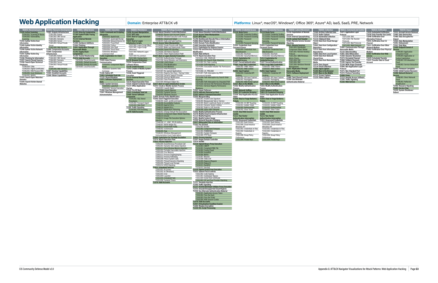### <span id="page-43-0"></span>**Web Application Hacking Domain:** Enterprise ATT&CK v8 **Platforms:** Linux®, macOS®, Windows®, Office 365®, Azure® AD, IaaS, SaaS, PRE, Network

CIS Community Defense Model v2.0 Appendix G: ATT&CK Navigator Visualizations for Attack Patterns: Web Application Hacking Page **G3**



- **T1489: Service Stop T1529: System Shutdown/**
- **Reboot**

| <b>TA0009: Collection</b>      | <b>TA0011: Command and Control</b> | <b>TA0010: Exfiltration</b>         | TA0040: Impact                    |
|--------------------------------|------------------------------------|-------------------------------------|-----------------------------------|
| T1560: Archive Collected Data  | T1071: Application Layer           | T1020: Automated Exfiltration       | T1531: Account Access Removal     |
| T1123: Audio Capture           | Protocol                           | T1030: Data Transfer Size Limits    | <b>T1485: Data Destruction</b>    |
| T1119: Automated Collection    | T1071.004: DNS                     | T1048: Exfiltration Over            | T1486: Data Encrypted for         |
| T1115: Clipboard Data          | T1071.002: File Transfer           | <b>Alternative Protocol</b>         | Impact                            |
| T1530: Data from Cloud Storage | Protocols                          | T1041: Exfiltration Over C2         | <b>T1565: Data Manipulation</b>   |
| Object                         | T1071.003: Mail Protocols          | Channel                             | T1491: Defacement                 |
| T1602: Data from Configuration | T1071.001: Web Protocols           | T1011: Exfiltration Over Other      | T1561: Disk Wipe                  |
| Repository                     | T1092: Communication Through       | Network Medium                      | <b>T1499: Endpoint Denial of</b>  |
| T1213: Data from Information   | <b>Removable Media</b>             | T1052: Exfiltration Over Physical   | <b>Service</b>                    |
| Repositories                   | T1132: Data Encoding               | Medium                              | T1499.003: Application            |
| T1005: Data from Local System  | T1001: Data Obfuscation            | <b>T1567: Exfiltration Over Web</b> | <b>Exhaustion Flood</b>           |
| T1039: Data from Network       | T1568: Dynamic Resolution          | <b>Service</b>                      | T1499.004: Application or         |
| <b>Shared Drive</b>            | T1573: Encrypted Channel           | T1029: Scheduled Transfer           | <b>System Exploitation</b>        |
| T1025: Data from Removable     | T1008: Fallback Channels           | T1537: Transfer Data to Cloud       | T1499.001: OS Exhaustion          |
| Media                          | T1105: Ingress Tool Transfer       | <b>Account</b>                      | Flood                             |
| T1074: Data Staɑed             | T1104: Multi-Stage Channels        |                                     | T1499.002: Service Exhaustion     |
| T1114: Email Collection        | T1095: Non-Application Layer       |                                     | Flood                             |
| T1056: Input Capture           | Protocol                           |                                     | <b>T1495: Firmware Corruption</b> |
| T1185: Man in the Browser      | T1571: Non-Standard Port           |                                     | T1490: Inhibit System Recovery    |
| T1557: Man-in-the-Middle       | T1572: Protocol Tunneling          |                                     | T1498: Network Denial of          |
| T1113: Screen Capture          | <b>T1090: Proxy</b>                |                                     | <b>Service</b>                    |
| T1125: Video Capture           | T1219: Remote Access Software      |                                     | T1498.001: Direct Network         |
|                                | T1205: Traffic Signaling           |                                     | Flood                             |
|                                | T1102: Web Service                 |                                     | T1498.002: Reflection             |
|                                |                                    |                                     | Amplification                     |
|                                |                                    |                                     | T1496: Resource Hijacking         |
|                                |                                    |                                     |                                   |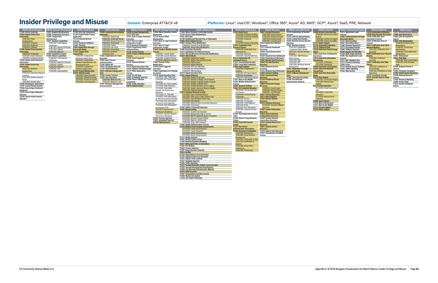| TA0040: Impact                        |  |  |  |  |  |
|---------------------------------------|--|--|--|--|--|
| T1531: Account Access Removal         |  |  |  |  |  |
| <b>T1485: Data Destruction</b>        |  |  |  |  |  |
| T1486: Data Encrypted for             |  |  |  |  |  |
| Impact                                |  |  |  |  |  |
| <b>T1565: Data Manipulation</b>       |  |  |  |  |  |
| T1565.003: Runtime Data               |  |  |  |  |  |
| <b>Manipulation</b>                   |  |  |  |  |  |
| T1565.001: Stored Data                |  |  |  |  |  |
| <b>Manipulation</b>                   |  |  |  |  |  |
| T1565.002: Transmitted Data           |  |  |  |  |  |
| <b>Manipulation</b>                   |  |  |  |  |  |
| T1491: Defacement                     |  |  |  |  |  |
| T1561: Disk Wipe                      |  |  |  |  |  |
| T1561.001: Disk Content Wipe          |  |  |  |  |  |
| T1561.002: Disk Structure             |  |  |  |  |  |
| Wipe                                  |  |  |  |  |  |
| T1499: Endpoint Denial of             |  |  |  |  |  |
| Service                               |  |  |  |  |  |
| T1495: Firmware Corruption            |  |  |  |  |  |
| <b>T1490: Inhibit System Recovery</b> |  |  |  |  |  |
| T1498: Network Denial of              |  |  |  |  |  |
| Service                               |  |  |  |  |  |
| T1496: Resource Hijacking             |  |  |  |  |  |
| T1489: Service Stop                   |  |  |  |  |  |
| T1529: System Shutdown/               |  |  |  |  |  |

**T1529: System Shutdown/ Reboot**

### **TA0009: Collection T1560: Archive Collected Data** T1560.003: Archive via Custom

: Archive via Library

<span id="page-44-0"></span>

**T1014: Rootkit**<br> **T1014: Rootkit**<br> **T121**: Signed Script Proxy Execution<br>
T1216: Signed Script Proxy Execution<br>
T1221: Template Injection<br>
T1221: Template Injection<br>
T1222: Template Injection<br>
T1222: Tused Overloper Utili

T1213.002: Sharepoint **T1005: Data from Local System T1039: Data from Network** 

**Media T1074: Data Staged** T1074.001: Local Data Staging T1074.002: Remote Data

T1114.003: Email Forwarding

Rule T1114.001: Local Email

Collection T1114.002: Remote Email

**TA0011: Command and Control T1071: Application Layer**  Protocol<br>**F1092: Con T1092: Communication Through Removable Media T1132: Data Encoding T1001: Data Obfuscation**

**T1568: Dynamic Resolution T1573: Encrypted Channel T1008: Fallback Channels T1105: Ingress Tool Transfer T1104: Multi-Stage Channels T1095: Non-Application Layer Protocol**

**T1571: Non-Standard Port T1572: Protocol Tunneling**

**T1090: Proxy T1219: Remote Access Software T1205: Traffic Signaling T1102: Web Service**

| ntrol | <b>TA0010: Exfiltration</b>              |
|-------|------------------------------------------|
|       | <b>T1020: Automated Exfiltration</b>     |
|       | <b>T1030: Data Transfer Size Limits</b>  |
| vuah  | T1048: Exfiltration Over                 |
|       | <b>Alternative Protocol</b>              |
|       | T1041: Exfiltration Over C2              |
|       | Channel                                  |
|       | <b>T1011: Exfiltration Over Other</b>    |
|       | <b>Network Medium</b>                    |
|       | T1011.001: Exfiltration Over             |
|       | Bluetooth                                |
| Ś     | <b>T1052: Exfiltration Over Physical</b> |
| er    | <b>Medium</b>                            |
|       | T1052.001: Exfiltration                  |
|       | over USB                                 |
|       | <b>T1567: Exfiltration Over Web</b>      |
|       | <b>Service</b>                           |
| vare  | T1567.002: Exfiltration to               |

T1567.002: Exfiltration to Cloud Storage T1567.001: Exfiltration to Code

Repository **T1029: Scheduled Transfer T1537: Transfer Data to Cloud Account**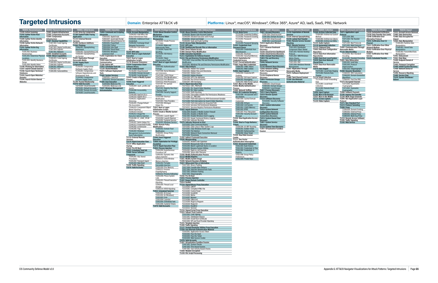# <span id="page-45-0"></span>**Targeted Intrusions Domain:** Enterprise ATT&CK v8 **Platforms:** Linux®, macOS®, Windows®, Office 365®, Azure® AD, IaaS, SaaS, PRE, Network

| TA0043: Reconnaissance                                          | A0042: Resource Develo                                         | 01: Initial Access                                       | <b>TA0002: Execution</b>                                     | <b>TA0003: Persistence</b>                                        | 004: Privilege Escalatio                                        | <b>TA0005: Defense Evasion</b>                                                               | A0006: Credential Access                                           | <b>TA0007: Discovery</b>                                                     | <b>TA0008: Lateral Moveme</b>                          | <b>TA0009: Collection</b>                               | <b>A0011: Command and Contro</b>                             | <b>TA0010: Exfiltration</b>                                         | TA0040: Impact                                             |
|-----------------------------------------------------------------|----------------------------------------------------------------|----------------------------------------------------------|--------------------------------------------------------------|-------------------------------------------------------------------|-----------------------------------------------------------------|----------------------------------------------------------------------------------------------|--------------------------------------------------------------------|------------------------------------------------------------------------------|--------------------------------------------------------|---------------------------------------------------------|--------------------------------------------------------------|---------------------------------------------------------------------|------------------------------------------------------------|
| T1595: Active Scanning                                          | [1583: Acquire Infrastructure                                  | T1189: Drive-by Compromise                               | 1059: Command and Scripting                                  | <b>T1098: Account Manipulation</b>                                | <b>T1548: Abuse Elevation Control</b><br>echanism               | <b>T1548: Abuse Elevation Control Mechanisn</b>                                              | T1110: Brute Force                                                 | T1087: Account Discovery                                                     | <b>T1210: Exploitation of Remote</b>                   | <b>T1560: Archive Collected Data</b>                    | <b>T1071: Application Laver</b>                              | Г1020: Automated Exfiltration                                       | T1531: Account Access Removal                              |
| T1592: Gather Victim Host                                       | T1586: Compromise Accounts<br>T1584: Compromise                | T1190: Exploit Public-Facing<br>pplication               | [1059.002: AppleScript                                       | Г1098.003: Add Office 365<br>Global Administrator Role            | T1134: Access Token                                             | 1548.002: Bypass User Account Control<br>1548.004: Elevated Execution with Prompt            | L110.004: Credential Stuffing<br>1110.002: Password Cracking       | L087.004: Cloud Account<br>1087.002: Domain Account                          | Services<br>T1534: Internal Spearphishing              | T1560.003: Archive via Custom Protocol<br>Method        | 1071.004: DNS                                                | l1030: Data Transfer Size Limits<br><b>M1048: Exfiltration Over</b> | T1485: Data Destruction<br>T1486: Data Encrypted for       |
| T1589: Gather Victim Identity                                   | Infrastructure                                                 | T1133: External Remote                                   | 1059.007: JavaScript/JScript                                 | [1098.001: Additional Cloud                                       |                                                                 | 1548.001: Setuid and Setgio                                                                  | T1110.001: Password                                                | 1087.003: Email Account                                                      | <b>T1570: Lateral Tool Transfer</b>                    | 1560.002: Archive via Library                           | .071.002: File Transfer                                      | <b>Alternative Protocol</b>                                         |                                                            |
| Information<br>T1590: Gather Victim Network                     | 1587: Develop Capabilities<br>T1587.002: Code Signing          | Services<br>T1200: Hardware Additions                    | L059.008: Network Device Cl<br>059.001: PowerShell           | 1098.002: Exchange Email                                          | T1134.002: Create Process<br>with Token                         | T1548.003: Sudo and Sudo Caching<br><b>[1134: Access Token Manipulation</b>                  | uessino<br>T1110.003: Password Spraying  T1010: Application Window | 1087.001: Local Account                                                      | T1563: Remote Service Session                          | 1560.001: Archive via Utility<br>T1123: Audio Capture   | 071.003: Mail Protocols                                      | T1041: Exfiltration Over C2<br>Channel                              | T1565: Data Manipulation<br>T1565.003: Runtime Data        |
| Information                                                     | Certificates                                                   |                                                          | 1059.006: Python                                             | elegate Permissions                                               | T1134.003: Make and                                             | T1197: BITS Jobs                                                                             | T1555: Credentials from                                            | Discoverv                                                                    | T1021: Remote Services                                 | <b>T1119: Automated Collection</b>                      | 171.001: Web Protocols                                       | T1011: Exfiltration Over Other                                      | Manipulation                                               |
| T1591: Gather Victim Org<br>Information                         | [1587.003: Digital Certificates<br><b>T1587.004: Exploits</b>  | T1566.001: Spearphishing                                 | 1059.004: Unix Shell<br>L059.005: Visual Basic               | T1098.004: SSH Authorized                                         | mpersonate Token<br>1134.004: Parent PID                        | T1140: Deobfuscate/Decode Files or Information<br>T1006: Direct Volume Access                | Password Stores<br>1555.003: Credentials from                      | T1217: Browser Bookmark<br><b>Discovery</b>                                  | T1021.003: Distributed<br>omponent Object Model        | T1115: Clipboard Data<br>T1602: Data from Configuration | T1092: Communication Through<br>Removable Media              | Network Medium<br>T1052: Exfiltration Over Physical                 | 1565.001: Stored Data<br>ninulation                        |
| T1591.002: Business                                             | T1587.001: Malware                                             | 1566.002: Spearphishing Link                             | [1059.003: Windows                                           | T1197: BITS Jobs                                                  |                                                                 | T1484: Domain Policy Modificatior                                                            | Veb Browsers                                                       | T1538: Cloud Service Dashboard                                               | 1021.001: Remote Desktop                               | Repository                                              | <b>T1132: Data Encoding</b>                                  | Medium                                                              | 1565.002: Transmitted Data                                 |
| <b>Relationships</b><br>T1591.001: Determine Physical           | [1585: Establish Accounts<br><b>T1588: Obtain Capabilities</b> | T1566.003: Spearphishing<br>via Service                  | <b>Command Shell</b><br>T1203: Exploitation for Client       | T1547: Boot or Logon Autostart                                    | [1134.005: SID-History                                          | <b>T1480: Execution Guardrails</b><br>T1211: Exploitation for Defense Evasion                | 1555.001: Keychair<br><b>[1555.002: Securityd Memory</b>           | <b>1526: Cloud Service Discovery</b><br><b>T1482: Domain Trust Discovery</b> | 1021.002: SMB/Windows                                  | T1213: Data from Information<br>Repositories            | T1132.002: Non-Standard<br>ncodini                           | T1567: Exfiltration Over Web<br>Service                             | Manipulation<br>Г1491: Defacement                          |
| Locations                                                       | T1588.003: Code Signing                                        | T1091: Replication Through                               | Execution                                                    | T1037: Boot or Logon                                              | T1134.001: Token                                                | T1222: File and Directory Permissions Modification                                           | T1212: Exploitation for                                            | T1083: File and Directory                                                    | \dmin Shares                                           | T1005: Data from Local System                           | T1132.001: Standard Encoding T1029: Scheduled Transfer       |                                                                     | T1561: Disk Wipe                                           |
| T1591.003: Identify Business                                    | Certificates<br>1588.004: Digital Certificates                 | Removable Media<br>T1195: Supply Chain                   | T1559: Inter-Process<br>Communication                        | <b>Initialization Scripts</b><br><b>T1176: Browser Extensions</b> | Impersonation/Theft<br>T1547: Boot or Logon Autostart           | T1222.002: Linux and Mac File and Directory Permissions<br>Modification                      | <b>Credential Access</b><br>[1187: Forced Authentication           | T1046: Network Service                                                       | LO21.004: SSH<br>1021.005: VNC                         | T1039: Data from Network<br>Shared Drive                | T1001: Data Obfuscation<br>T1001.001: Junk Data              |                                                                     | l1499: Endpoint Denial of<br>Service                       |
| T1591.004: Identify Roles                                       | 1588.005: Exploits                                             |                                                          | T1106: Native API                                            | T1554: Compromise Client                                          | Execution                                                       | T1222.001: Windows File and Directory Permissions Modification                               | T1606: Forge Web Credentials                                       | Scanning                                                                     | 1021.006: Windows Remote                               | T1025: Data from Removable                              | T1001.003: Protocol                                          |                                                                     | <b>T1495: Firmware Corruption</b>                          |
| T1598: Phishing for Information<br>T1597: Search Closed Sources | 1588.001: Malware<br>1588.002: Tool                            | T1195.003: Compromise<br>Hardware Supply Chain           | T1053: Scheduled Task/Job<br><b>T1129: Shared Modules</b>    | Software Binary<br>T1136: Create Account                          | T1547.002: Authentication<br>Package                            | T1564: Hide Artifacts<br>1564.005: Hidden File Syster                                        | L606.002: SAML Tokens<br>1606.001: Web Cookies                     | T1135: Network Share Discovery<br>T1040: Network Sniffing                    | T1091: Replication Through                             | T1074: Data Staged                                      | npersonation<br>1001.002: Steganography                      |                                                                     | T1490: Inhibit System Recovery<br>T1498: Network Denial of |
| T1596: Search Open Technical                                    | T1588.006: Vulnerabilities                                     | T1195.001: Compromise                                    | T1072: Software Deployment                                   | T1136.003: Cloud Account                                          | T1547.006: Kernel Modules                                       | 1564.001: Hidden Files and Directories                                                       | T1056: Input Capture                                               | T1201: Password Policy                                                       | Removable Media                                        | [1074.001: Local Data Staging                           | <b>T1568: Dynamic Resolution</b>                             |                                                                     | Service                                                    |
| Databases<br>T1593: Search Open Websites/                       |                                                                | Software Dependencies and<br>Development Tools           | Tools<br>T1569: System Services                              | [1136.002: Domain Account<br>T1136.001: Local Account             | and Extensions<br>[1547.008: LSASS Driver                       | 1564.002: Hidden Users<br>.564.003: Hidden Windov                                            | T1056.004: Credential API<br>Hookina                               | Discovery<br>T1120: Peripheral Device                                        | T1072: Software Deployment                             | T1074.002: Remote Data                                  | .568.003: DNS Calculation<br>568.002: Domain Generation      |                                                                     | T1496: Resource Hiiacking<br>T1489: Service Stop           |
| Domains                                                         |                                                                | T1195.002: Compromise                                    | T1569.001: Launchctl                                         | T1543: Create or Modify System                                    | [1547.011: Plist Modification<br>1547.010: Port Monitors        | 1564.004: NTFS File Attribute:                                                               | 1056.002: GUI Input Capture                                        | Discovery                                                                    | T1080: Taint Shared Content                            | <b>T1114: Email Collection</b>                          |                                                              |                                                                     | T1529: System Shutdown/                                    |
| T1594: Search Victim-Owned<br>Websites                          |                                                                | Software Supply Chain<br>T1199: Trusted Relationship     | T1569.002: Service Execution<br><b>T1204: User Execution</b> | Process<br>T1546: Event Triggered                                 | T1547.012: Print Processors                                     | 1564.006: Run Virtual Instance<br>1564.007: VBA Stomping                                     | L056.001: Keylogging<br>[1056.003: Web Portal Capture   Discovery  | <b>T1069: Permission Groups</b>                                              | T1550: Use Alternate<br><b>Authentication Material</b> | T1114.003: Email Forwarding                             | [1568.001: Fast Flux DNS<br><b>[1573: Encrypted Channel</b>  |                                                                     |                                                            |
|                                                                 |                                                                | T1078: Valid Accounts                                    | T1204.002: Malicious File                                    |                                                                   | T1547.007: Re-opened                                            | <b>T1574: Hijack Execution Flow</b>                                                          | T1557: Man-in-the-Middle                                           | 1069.003: Cloud Groups                                                       |                                                        | T1114.001: Local Email<br>:ollection                    | T1573.002: Asymmetric                                        |                                                                     |                                                            |
|                                                                 |                                                                | 1078.004: Cloud Accounts<br>T1078.001: Default Accounts  | 1204.001: Malicious Link<br><b>T1047: Windows Management</b> | T1546.004: .bash_profile and                                      | Applications<br>[1547.001: Registry Run Keys                    | .574.012: COR PROFILER<br>1574.001: DLL Search Order Hijacking                               | T1556: Modify Authentication<br>Process                            | 1069.002: Domain Groups<br>T1069.001: Local Groups                           |                                                        | T1114.002: Remote Email                                 | Cryptography<br>T1573.001: Symmetric                         |                                                                     |                                                            |
|                                                                 |                                                                | [1078.002: Domain Accounts]<br>T1078.003: Local Accounts | Instrumentation                                              | T1546.008: Accessibility                                          | ' Startup Folder                                                | 1574.002: DLL Side-Loading                                                                   | T1040: Network Sniffing<br>T1003: OS Credential Dumping            | <b>T1057: Process Discovery</b>                                              |                                                        |                                                         | Crvotograph<br><b>[1008: Fallback Channels</b>               |                                                                     |                                                            |
|                                                                 |                                                                |                                                          |                                                              | -eatures<br>[1546.009: AppCert DLLs                               | T1547.005: Security Support                                     | 1574.004: Dylib Hijacking<br>1574.005: Executable Installer File Permissions Weakness        | T1003.008: /etc/passwd and                                         | T1012: Query Registry<br>T1018: Remote System                                |                                                        | T1056: Input Capture<br>T1185: Man in the Browser       | T1105: Ingress Tool Transfer                                 |                                                                     |                                                            |
|                                                                 |                                                                |                                                          |                                                              | Г1546.010: AppInit DLLs<br>T1546.011: Application                 | T1547.009: Shortcut<br>Modification                             | [1574.006: LD PRELOAD<br>1574.007: Path Interception by PATH Environment Variable            | Г1003.005: Cached Domain                                           | <b>T1518: Software Discovery</b>                                             |                                                        | T1557: Man-in-the-Middle<br>T1113: Screen Capture       | T1104: Multi-Stage Channels<br>T1095: Non-Application Layer  |                                                                     |                                                            |
|                                                                 |                                                                |                                                          |                                                              | Shimmina                                                          | T1547.003: Time Providers                                       | 1574.008: Path Interception by Search Order Hijacking                                        | Credentials                                                        | T1518.001: Security Software                                                 |                                                        | T1125: Video Capture                                    | Protocol                                                     |                                                                     |                                                            |
|                                                                 |                                                                |                                                          |                                                              | T1546.001: Change Default<br>File Association                     | T1547.004: Winlogon<br>Helper DLL                               | 1574.009: Path Interception by Unquoted Path<br>1574.010: Services File Permissions Weakness | 1003.006: DCSync<br>L003.004: LSA Secrets                          | T1082: System Information                                                    |                                                        |                                                         | <b>T1571: Non-Standard Port</b><br>T1572: Protocol Tunneling |                                                                     |                                                            |
|                                                                 |                                                                |                                                          |                                                              |                                                                   |                                                                 | T1574.011: Services Registry Permissions Weakness                                            | 003.001: LSASS Memory                                              | <b>Discovery</b>                                                             |                                                        |                                                         | <b>T1090: Proxy</b>                                          |                                                                     |                                                            |
|                                                                 |                                                                |                                                          |                                                              | Model Hijacking<br>1546.014: Emond                                | <b>Initialization Scripts</b><br>T1543: Create or Modify System | Г1562: Impair Defenses<br>T1562.004: Disable or Modify System Firewall                       | L003.003: NTDS<br>1003.007: Proc Filesystem                        | T1016: System Network<br><b>Configuration Discovery</b>                      |                                                        |                                                         | T1090.004: Domain Fronting<br>1090.002: External Proxy       |                                                                     |                                                            |
|                                                                 |                                                                |                                                          |                                                              | 1546.012: Image File                                              | <b>Process</b>                                                  | 1562.001: Disable or Modify Tools                                                            | 1003.002: Security Account                                         | T1049: System Network                                                        |                                                        |                                                         | 1090.001: Internal Proxy                                     |                                                                     |                                                            |
|                                                                 |                                                                |                                                          |                                                              | Execution Options Injection<br>T1546.006: LC_LOAD_DYLIB           | T1543.001: Launch Agent<br>T1543.004: Launch Daemon             | 1562.002: Disable Windows Event Logging<br>T1562.003: Impair Command History Logging         | T1528: Steal Application Access                                    | Connections Discovery<br>T1033: System Owner/User                            |                                                        |                                                         | T1090.003: Multi-hop Proxy<br>T1219: Remote Access Software  |                                                                     |                                                            |
|                                                                 |                                                                |                                                          |                                                              | Addition                                                          | 1543.002: Systemd Service                                       | T1562.006: Indicator Blocking                                                                |                                                                    |                                                                              |                                                        |                                                         | <b>T1205: Traffic Signaling</b>                              |                                                                     |                                                            |
|                                                                 |                                                                |                                                          |                                                              | T1546.007: Netsh Helper DLL<br>1546.013: PowerShell Profile       | T1543.003: Windows Service<br><b>T1484: Domain Policy</b>       | 070: Indicator Removal on Host<br>1070.003: Clear Command History                            | T1558: Steal or Forge Kerberos                                     | T1007: System Service                                                        |                                                        |                                                         | T1102: Web Service                                           |                                                                     |                                                            |
|                                                                 |                                                                |                                                          |                                                              | 1546.002: Screensaver                                             | Modification                                                    | .070.002: Clear Linux or Mac System Logs                                                     | [1558.004: AS-REP Roasting                                         | T1124: System Time Discovery                                                 |                                                        |                                                         |                                                              |                                                                     |                                                            |
|                                                                 |                                                                |                                                          |                                                              | Г1546.005: Trap<br>T1546.003: Windows                             | T1484.002: Domain Trust<br>Modification                         | 1070.001: Clear Windows Event Logs<br>1070.004: File Deletion                                | 1558.001: Golden Ticket<br>1558.003: Kerberoasting                 | T1497: Virtualization/Sandbox<br>Evasion                                     |                                                        |                                                         |                                                              |                                                                     |                                                            |
|                                                                 |                                                                |                                                          |                                                              | Management Instrumentation                                        | T1484.001: Group Policy                                         | 1070.005: Network Share Connection Removal                                                   | [1558.002: Silver Ticket                                           |                                                                              |                                                        |                                                         |                                                              |                                                                     |                                                            |
|                                                                 |                                                                |                                                          |                                                              | <b>Event Subscription</b><br>T1133: External Remote               | Modification<br>T1546: Event Triggered                          | T1070.006: Timestomp<br>T1202: Indirect Command Execution                                    | T1539: Steal Web Session<br>Cookie                                 |                                                                              |                                                        |                                                         |                                                              |                                                                     |                                                            |
|                                                                 |                                                                |                                                          |                                                              | Services                                                          | xecution                                                        | T1036: Masquerading                                                                          | T1111: Two-Factor                                                  |                                                                              |                                                        |                                                         |                                                              |                                                                     |                                                            |
|                                                                 |                                                                |                                                          |                                                              | <b>T1574: Hijack Execution Flow</b><br>T1137: Office Application  | <b>T1068: Exploitation for Privilege</b><br><b>Escalation</b>   | .036.001: Invalid Code Signature<br>036.004: Masquerade Task or Service                      | <b>Authentication Interception</b><br>T1552: Unsecured Credentials |                                                                              |                                                        |                                                         |                                                              |                                                                     |                                                            |
|                                                                 |                                                                |                                                          |                                                              | Startup                                                           | <b>[1574: Hijack Execution Flow</b>                             | .036.005: Match Legitimate Name or Location                                                  | T1552.003: Bash History                                            |                                                                              |                                                        |                                                         |                                                              |                                                                     |                                                            |
|                                                                 |                                                                |                                                          |                                                              | T1542: Pre-OS Boot<br>T1053: Scheduled Task/Job                   | [1055: Process Injection<br>T1055.004: Asynchronous             | 1036.003: Rename System Utilities<br>1036.002: Right-to-Left Override                        | 1552.001: Credentials In File<br>1552.002: Credentials in          |                                                                              |                                                        |                                                         |                                                              |                                                                     |                                                            |
|                                                                 |                                                                |                                                          |                                                              | T1505: Server Software                                            | Procedure Call                                                  | 1036.006: Space after Filename                                                               | eaistrv                                                            |                                                                              |                                                        |                                                         |                                                              |                                                                     |                                                            |
|                                                                 |                                                                |                                                          |                                                              | Component<br>T1505.001: SQL Stored                                | T1055.001: Dynamic-link<br>Library Injection                    | <b>T1556: Modify Authentication Process</b><br>T1112: Modify Registry                        | 1552.006: Group Policy<br>reterences                               |                                                                              |                                                        |                                                         |                                                              |                                                                     |                                                            |
|                                                                 |                                                                |                                                          |                                                              | Procedures                                                        | T1055.011: Extra Window<br>Memory Injection                     | T1601: Modify System Image<br><b>1599: Network Boundary Bridging</b>                         | T1552.004: Private Keys                                            |                                                                              |                                                        |                                                         |                                                              |                                                                     |                                                            |
|                                                                 |                                                                |                                                          |                                                              | [1505.002: Transport Agent<br>T1505.003: Web Shell                | 1055.002: Portable                                              | T1027: Obfuscated Files or Information                                                       |                                                                    |                                                                              |                                                        |                                                         |                                                              |                                                                     |                                                            |
|                                                                 |                                                                |                                                          |                                                              | T1205: Traffic Signaling<br><b>T1078: Valid Accounts</b>          | Executable Injection<br>1055.009: Proc Memory                   | T1027.001: Binary Padding<br>1027.004: Compile After Delivery                                |                                                                    |                                                                              |                                                        |                                                         |                                                              |                                                                     |                                                            |
|                                                                 |                                                                |                                                          |                                                              |                                                                   | Г1055.013: Process                                              | 1027.005: Indicator Removal from Tools                                                       |                                                                    |                                                                              |                                                        |                                                         |                                                              |                                                                     |                                                            |
|                                                                 |                                                                |                                                          |                                                              |                                                                   | T1055.012: Process Hollowing                                    | 1027.002: Software Packing<br>1027.003: Steganography                                        |                                                                    |                                                                              |                                                        |                                                         |                                                              |                                                                     |                                                            |
|                                                                 |                                                                |                                                          |                                                              |                                                                   | T1055.008: Ptrace System                                        | Г1542: Pre-OS Boot                                                                           |                                                                    |                                                                              |                                                        |                                                         |                                                              |                                                                     |                                                            |
|                                                                 |                                                                |                                                          |                                                              |                                                                   | T1055.003: Thread Execution                                     | L055: Process Injection<br><b>T1207: Rogue Domain Controller</b>                             |                                                                    |                                                                              |                                                        |                                                         |                                                              |                                                                     |                                                            |
|                                                                 |                                                                |                                                          |                                                              |                                                                   | Hijacking                                                       | T1014: Rootkit                                                                               |                                                                    |                                                                              |                                                        |                                                         |                                                              |                                                                     |                                                            |
|                                                                 |                                                                |                                                          |                                                              |                                                                   | T1055.005: Thread Local<br>Storage                              | <b>T1218: Signed Binary Proxy Execution</b><br>1218.003: CMSTP                               |                                                                    |                                                                              |                                                        |                                                         |                                                              |                                                                     |                                                            |
|                                                                 |                                                                |                                                          |                                                              |                                                                   | T1055.014: VDSO Hijacking<br>T1053: Scheduled Task/Job          | 1218.001: Compiled HTML File<br>1218.002: Control Panel                                      |                                                                    |                                                                              |                                                        |                                                         |                                                              |                                                                     |                                                            |
|                                                                 |                                                                |                                                          |                                                              |                                                                   | T1053.001: At (Linux)                                           | 1218.004: InstallUtil                                                                        |                                                                    |                                                                              |                                                        |                                                         |                                                              |                                                                     |                                                            |
|                                                                 |                                                                |                                                          |                                                              |                                                                   | T1053.002: At (Windows)<br>T1053.003: Cron                      | 1218.005: Mshta<br>T1218.007: Msiexec                                                        |                                                                    |                                                                              |                                                        |                                                         |                                                              |                                                                     |                                                            |
|                                                                 |                                                                |                                                          |                                                              |                                                                   | T1053.004: Launchd                                              | 1218.008: Odbcconf                                                                           |                                                                    |                                                                              |                                                        |                                                         |                                                              |                                                                     |                                                            |
|                                                                 |                                                                |                                                          |                                                              |                                                                   | T1053.005: Scheduled Task<br>T1053.006: Systemd Timers          | 1218.009: Regsvcs/Regasm<br>T1218.010: Regsvr32                                              |                                                                    |                                                                              |                                                        |                                                         |                                                              |                                                                     |                                                            |
|                                                                 |                                                                |                                                          |                                                              |                                                                   | <b>T1078: Valid Accounts</b>                                    | T1218.011: Rundll32                                                                          |                                                                    |                                                                              |                                                        |                                                         |                                                              |                                                                     |                                                            |
|                                                                 |                                                                |                                                          |                                                              |                                                                   |                                                                 | T1218.012: Verclsid<br>T1216: Signed Script Proxy Execution                                  |                                                                    |                                                                              |                                                        |                                                         |                                                              |                                                                     |                                                            |
|                                                                 |                                                                |                                                          |                                                              |                                                                   |                                                                 | T1553: Subvert Trust Controls                                                                |                                                                    |                                                                              |                                                        |                                                         |                                                              |                                                                     |                                                            |
|                                                                 |                                                                |                                                          |                                                              |                                                                   |                                                                 | T1553.002: Code Signing<br>T1553.001: Gatekeeper Bypass                                      |                                                                    |                                                                              |                                                        |                                                         |                                                              |                                                                     |                                                            |
|                                                                 |                                                                |                                                          |                                                              |                                                                   |                                                                 | T1553.004: Install Root Certificate                                                          |                                                                    |                                                                              |                                                        |                                                         |                                                              |                                                                     |                                                            |
|                                                                 |                                                                |                                                          |                                                              |                                                                   |                                                                 | T1553.003: SIP and Trust Provider Hijacking<br>T1221: Template Injection                     |                                                                    |                                                                              |                                                        |                                                         |                                                              |                                                                     |                                                            |
|                                                                 |                                                                |                                                          |                                                              |                                                                   |                                                                 | T1205: Traffic Signaling<br>T1127: Trusted Developer Utilities Proxy Execution               |                                                                    |                                                                              |                                                        |                                                         |                                                              |                                                                     |                                                            |
|                                                                 |                                                                |                                                          |                                                              |                                                                   |                                                                 | T1550: Use Alternate Authentication Material                                                 |                                                                    |                                                                              |                                                        |                                                         |                                                              |                                                                     |                                                            |
|                                                                 |                                                                |                                                          |                                                              |                                                                   |                                                                 | T1550.001: Application Access Token                                                          |                                                                    |                                                                              |                                                        |                                                         |                                                              |                                                                     |                                                            |
|                                                                 |                                                                |                                                          |                                                              |                                                                   |                                                                 | T1550.002: Pass the Hash<br>T1550.003: Pass the Ticket                                       |                                                                    |                                                                              |                                                        |                                                         |                                                              |                                                                     |                                                            |
|                                                                 |                                                                |                                                          |                                                              |                                                                   |                                                                 | T1550.004: Web Session Cookie                                                                |                                                                    |                                                                              |                                                        |                                                         |                                                              |                                                                     |                                                            |
|                                                                 |                                                                |                                                          |                                                              |                                                                   |                                                                 | T1078: Valid Accounts<br>T1497: Virtualization/Sandbox Evasion                               |                                                                    |                                                                              |                                                        |                                                         |                                                              |                                                                     |                                                            |
|                                                                 |                                                                |                                                          |                                                              |                                                                   |                                                                 | T1497.001: System Checks                                                                     |                                                                    |                                                                              |                                                        |                                                         |                                                              |                                                                     |                                                            |
|                                                                 |                                                                |                                                          |                                                              |                                                                   |                                                                 | T1497.003: Time Based Evasion<br>T1497.002: User Activity Based Checks                       |                                                                    |                                                                              |                                                        |                                                         |                                                              |                                                                     |                                                            |
|                                                                 |                                                                |                                                          |                                                              |                                                                   |                                                                 | T1600: Weaken Encryption<br>T1220: XSL Script Processing                                     |                                                                    |                                                                              |                                                        |                                                         |                                                              |                                                                     |                                                            |
|                                                                 |                                                                |                                                          |                                                              |                                                                   |                                                                 |                                                                                              |                                                                    |                                                                              |                                                        |                                                         |                                                              |                                                                     |                                                            |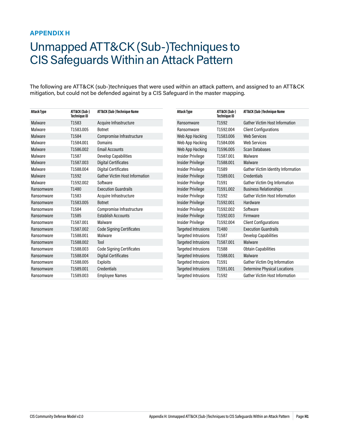### <span id="page-46-1"></span><span id="page-46-0"></span>**APPENDIX H**

# Unmapped ATT&CK (Sub-)Techniques to CIS Safeguards Within an Attack Pattern

The following are ATT&CK (sub-)techniques that were used within an attack pattern, and assigned to an ATT&CK mitigation, but could not be defended against by a CIS Safeguard in the master mapping.

| <b>Attack Type</b> | ATT&CK (Sub-)<br><b>Technique ID</b> | ATT&CK (Sub-)Technique Name           | <b>Attack Type</b>         | ATT&CK (Sub-)<br><b>Technique ID</b> | ATT&CK (Sub-)Technique Name               |
|--------------------|--------------------------------------|---------------------------------------|----------------------------|--------------------------------------|-------------------------------------------|
| Malware            | T1583                                | Acquire Infrastructure                | Ransomware                 | T1592                                | <b>Gather Victim Host Information</b>     |
| Malware            | T1583,005                            | <b>Botnet</b>                         | Ransomware                 | T1592.004                            | <b>Client Configurations</b>              |
| Malware            | T1584                                | Compromise Infrastructure             | Web App Hacking            | T1583,006                            | <b>Web Services</b>                       |
| Malware            | T1584.001                            | Domains                               | Web App Hacking            | T1584.006                            | <b>Web Services</b>                       |
| Malware            | T1586,002                            | <b>Email Accounts</b>                 | Web App Hacking            | T1596.005                            | <b>Scan Databases</b>                     |
| Malware            | T1587                                | <b>Develop Capabilities</b>           | Insider Privilege          | T1587.001                            | Malware                                   |
| Malware            | T1587.003                            | Digital Certificates                  | Insider Privilege          | T1588,001                            | Malware                                   |
| Malware            | T1588,004                            | Digital Certificates                  | Insider Privilege          | T1589                                | <b>Gather Victim Identity Information</b> |
| Malware            | T1592                                | <b>Gather Victim Host Information</b> | <b>Insider Privilege</b>   | T1589.001                            | Credentials                               |
| Malware            | T1592.002                            | Software                              | Insider Privilege          | T1591                                | Gather Victim Org Information             |
| Ransomware         | T1480                                | <b>Execution Guardrails</b>           | Insider Privilege          | T1591.002                            | <b>Business Relationships</b>             |
| Ransomware         | T1583                                | Acquire Infrastructure                | Insider Privilege          | T1592                                | <b>Gather Victim Host Information</b>     |
| Ransomware         | T1583.005                            | <b>Botnet</b>                         | Insider Privilege          | T1592.001                            | Hardware                                  |
| Ransomware         | T1584                                | Compromise Infrastructure             | Insider Privilege          | T1592,002                            | Software                                  |
| Ransomware         | T1585                                | <b>Establish Accounts</b>             | Insider Privilege          | T1592,003                            | Firmware                                  |
| Ransomware         | T1587.001                            | Malware                               | Insider Privilege          | T1592.004                            | <b>Client Configurations</b>              |
| Ransomware         | T1587.002                            | <b>Code Signing Certificates</b>      | <b>Targeted Intrusions</b> | T1480                                | <b>Execution Guardrails</b>               |
| Ransomware         | T1588,001                            | Malware                               | <b>Targeted Intrusions</b> | T1587                                | <b>Develop Capabilities</b>               |
| Ransomware         | T1588.002                            | Tool                                  | <b>Targeted Intrusions</b> | T1587.001                            | Malware                                   |
| Ransomware         | T1588,003                            | <b>Code Signing Certificates</b>      | <b>Targeted Intrusions</b> | T1588                                | <b>Obtain Capabilities</b>                |
| Ransomware         | T1588,004                            | Digital Certificates                  | <b>Targeted Intrusions</b> | T1588,001                            | Malware                                   |
| Ransomware         | T1588.005                            | Exploits                              | <b>Targeted Intrusions</b> | T1591                                | Gather Victim Org Information             |
| Ransomware         | T1589.001                            | Credentials                           | <b>Targeted Intrusions</b> | T1591.001                            | <b>Determine Physical Locations</b>       |
| Ransomware         | T1589,003                            | <b>Employee Names</b>                 | Targeted Intrusions        | T1592                                | <b>Gather Victim Host Information</b>     |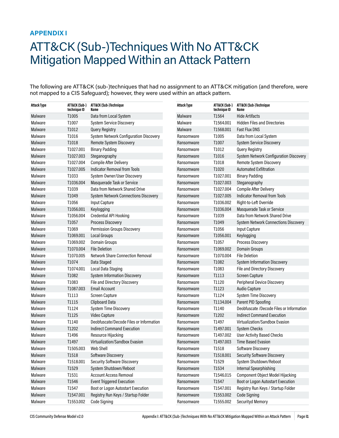### <span id="page-47-1"></span><span id="page-47-0"></span>**APPENDIX I**

# ATT&CK (Sub-)Techniques With No ATT&CK Mitigation Mapped Within an Attack Pattern

The following are ATT&CK (sub-)techniques that had no assignment to an ATT&CK mitigation (and therefore, were not mapped to a CIS Safeguard); however, they were used within an attack pattern.

| <b>Attack Type</b> | ATT&CK (Sub-)<br>technique ID | ATT&CK (Sub-)Technique<br>Name                | <b>Attack Type</b> | ATT&CK (Sub-)<br>technique ID | ATT&CK (Sub-)Technique<br>Name              |
|--------------------|-------------------------------|-----------------------------------------------|--------------------|-------------------------------|---------------------------------------------|
| Malware            | T1005                         | Data from Local System                        | Malware            | T1564                         | Hide Artifacts                              |
| Malware            | T1007                         | <b>System Service Discovery</b>               | Malware            | T1564.001                     | <b>Hidden Files and Directories</b>         |
| Malware            | T1012                         | <b>Query Registry</b>                         | Malware            | T1568.001                     | <b>Fast Flux DNS</b>                        |
| Malware            | T1016                         | <b>System Network Configuration Discovery</b> | Ransomware         | T1005                         | Data from Local System                      |
| Malware            | T1018                         | Remote System Discovery                       | Ransomware         | T1007                         | <b>System Service Discovery</b>             |
| Malware            | T1027.001                     | <b>Binary Padding</b>                         | Ransomware         | T1012                         | Query Registry                              |
| Malware            | T1027.003                     | Steganography                                 | Ransomware         | T1016                         | System Network Configuration Discovery      |
| Malware            | T1027.004                     | <b>Compile After Delivery</b>                 | Ransomware         | T1018                         | Remote System Discovery                     |
| Malware            | T1027.005                     | <b>Indicator Removal from Tools</b>           | Ransomware         | T1020                         | <b>Automated Exfiltration</b>               |
| Malware            | T1033                         | System Owner/User Discovery                   | Ransomware         | T1027.001                     | <b>Binary Padding</b>                       |
| Malware            | T1036.004                     | Masquerade Task or Service                    | Ransomware         | T1027.003                     | Steganography                               |
| Malware            | T1039                         | Data from Network Shared Drive                | Ransomware         | T1027.004                     | <b>Compile After Delivery</b>               |
| Malware            | T1049                         | <b>System Network Connections Discovery</b>   | Ransomware         | T1027.005                     | <b>Indicator Removal from Tools</b>         |
| Malware            | T1056                         | Input Capture                                 | Ransomware         | T1036.002                     | Right-to-Left Override                      |
| Malware            | T1056.001                     | Keylogging                                    | Ransomware         | T1036.004                     | Masquerade Task or Service                  |
| Malware            | T1056.004                     | <b>Credential API Hooking</b>                 | Ransomware         | T1039                         | Data from Network Shared Drive              |
| Malware            | T1057                         | <b>Process Discovery</b>                      | Ransomware         | T1049                         | <b>System Network Connections Discovery</b> |
| Malware            | T1069                         | Permission Groups Discovery                   | Ransomware         | T1056                         | Input Capture                               |
| Malware            | T1069.001                     | Local Groups                                  | Ransomware         | T1056.001                     | Keylogging                                  |
| Malware            | T1069.002                     | Domain Groups                                 | Ransomware         | T1057                         | Process Discovery                           |
| Malware            | T1070.004                     | <b>File Deletion</b>                          | Ransomware         | T1069.002                     | Domain Groups                               |
| Malware            | T1070.005                     | <b>Network Share Connection Removal</b>       | Ransomware         | T1070.004                     | <b>File Deletion</b>                        |
| Malware            | T1074                         | Data Staged                                   | Ransomware         | T1082                         | <b>System Information Discovery</b>         |
| Malware            | T1074.001                     | Local Data Staging                            | Ransomware         | T1083                         | File and Directory Discovery                |
| Malware            | T1082                         | <b>System Information Discovery</b>           | Ransomware         | T1113                         | <b>Screen Capture</b>                       |
| Malware            | T1083                         | File and Directory Discovery                  | Ransomware         | T1120                         | Peripheral Device Discovery                 |
| Malware            | T1087.003                     | <b>Email Account</b>                          | Ransomware         | T1123                         | <b>Audio Capture</b>                        |
| Malware            | T1113                         | <b>Screen Capture</b>                         | Ransomware         | T1124                         | <b>System Time Discovery</b>                |
| Malware            | T1115                         | <b>Clipboard Data</b>                         | Ransomware         | T1134.004                     | Parent PID Spoofing                         |
| Malware            | T1124                         | <b>System Time Discovery</b>                  | Ransomware         | T1140                         | Deobfuscate /Decode Files or Information    |
| Malware            | T1125                         | Video Capture                                 | Ransomware         | T1202                         | <b>Indirect Command Execution</b>           |
| Malware            | T1140                         | Deobfuscate/Decode Files or Information       | Ransomware         | T1497                         | Virtualization/Sandbox Evasion              |
| Malware            | T1202                         | <b>Indirect Command Execution</b>             | Ransomware         | T1497.001                     | <b>System Checks</b>                        |
| Malware            | T1496                         | Resource Hijacking                            | Ransomware         | T1497.002                     | <b>User Activity Based Checks</b>           |
| Malware            | T1497                         | Virtualization/Sandbox Evasion                | Ransomware         | T1497.003                     | <b>Time Based Evasion</b>                   |
| Malware            | T1505.003                     | Web Shell                                     | Ransomware         | T1518                         | Software Discovery                          |
| Malware            | T1518                         | Software Discovery                            | Ransomware         | T1518.001                     | <b>Security Software Discovery</b>          |
| Malware            | T1518.001                     | Security Software Discovery                   | Ransomware         | T1529                         | System Shutdown/Reboot                      |
| Malware            | T1529                         | System Shutdown/Reboot                        | Ransomware         | T1534                         | Internal Spearphishing                      |
| Malware            | T1531                         | <b>Account Access Removal</b>                 | Ransomware         | T1546.015                     | Component Object Model Hijacking            |
| Malware            | T1546                         | <b>Event Triggered Execution</b>              | Ransomware         | T1547                         | Boot or Logon Autostart Execution           |
| Malware            | T1547                         | Boot or Logon Autostart Execution             | Ransomware         | T1547.001                     | Registry Run Keys / Startup Folder          |
| Malware            | T1547.001                     | Registry Run Keys / Startup Folder            | Ransomware         | T1553.002                     | Code Signing                                |
| Malware            | T1553.002                     | Code Signing                                  | Ransomware         | T1555.002                     | Securityd Memory                            |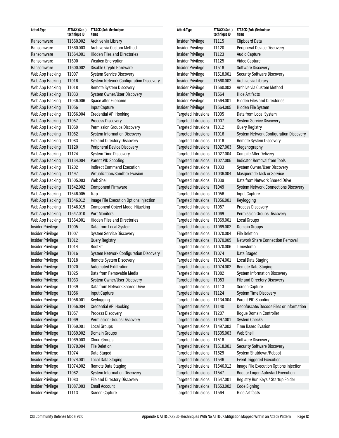| Attack Type              | ATT&CK (Sub-)<br>technique ID | ATT&CK (Sub-)Technique<br>Name          | <b>Attack Type</b>            | ATT&CK (Sub-)<br>technique ID | ATT&CK (Sub-)Technique<br>Name              |
|--------------------------|-------------------------------|-----------------------------------------|-------------------------------|-------------------------------|---------------------------------------------|
| Ransomware               | T1560.002                     | Archive via Library                     | Insider Privilege             | T1115                         | <b>Clipboard Data</b>                       |
| Ransomware               | T1560.003                     | Archive via Custom Method               | <b>Insider Privilege</b>      | T1120                         | Peripheral Device Discovery                 |
| Ransomware               | T1564.001                     | <b>Hidden Files and Directories</b>     | Insider Privilege             | T1123                         | <b>Audio Capture</b>                        |
| Ransomware               | T1600                         | <b>Weaken Encryption</b>                | Insider Privilege             | T1125                         | Video Capture                               |
| Ransomware               | T1600.002                     | Disable Crypto Hardware                 | Insider Privilege             | T1518                         | Software Discovery                          |
| Web App Hacking          | T1007                         | <b>System Service Discovery</b>         | Insider Privilege             | T1518.001                     | Security Software Discovery                 |
| Web App Hacking          | T1016                         | System Network Configuration Discovery  | Insider Privilege             | T1560.002                     | Archive via Library                         |
| Web App Hacking          | T1018                         | Remote System Discovery                 | Insider Privilege             | T1560.003                     | Archive via Custom Method                   |
| Web App Hacking          | T1033                         | System Owner/User Discovery             | Insider Privilege             | T1564                         | <b>Hide Artifacts</b>                       |
| Web App Hacking          | T1036.006                     | Space after Filename                    | Insider Privilege             | T1564.001                     | <b>Hidden Files and Directories</b>         |
| Web App Hacking          | T1056                         | <b>Input Capture</b>                    | Insider Privilege             | T1564.005                     | Hidden File System                          |
| Web App Hacking          | T1056.004                     | Credential API Hooking                  | <b>Targeted Intrusions</b>    | T1005                         | Data from Local System                      |
| Web App Hacking          | T1057                         | Process Discovery                       | <b>Targeted Intrusions</b>    | T1007                         | System Service Discovery                    |
| Web App Hacking          | T1069                         | Permission Groups Discovery             | Targeted Intrusions           | T1012                         | <b>Query Registry</b>                       |
| Web App Hacking          | T1082                         | <b>System Information Discovery</b>     | <b>Targeted Intrusions</b>    | T1016                         | System Network Configuration Discovery      |
| Web App Hacking          | T1083                         | File and Directory Discovery            | <b>Targeted Intrusions</b>    | T1018                         | Remote System Discovery                     |
| Web App Hacking          | T1120                         | Peripheral Device Discovery             | Targeted Intrusions T1027.003 |                               | Steganography                               |
| Web App Hacking          | T1124                         | <b>System Time Discovery</b>            | Targeted Intrusions T1027.004 |                               | <b>Compile After Delivery</b>               |
| Web App Hacking          | T1134.004                     | Parent PID Spoofing                     | Targeted Intrusions T1027.005 |                               | <b>Indicator Removal from Tools</b>         |
| Web App Hacking          | T1202                         | <b>Indirect Command Execution</b>       | Targeted Intrusions T1033     |                               | System Owner/User Discovery                 |
| Web App Hacking          | T1497                         | Virtualization/Sandbox Evasion          | Targeted Intrusions T1036.004 |                               | Masquerade Task or Service                  |
| Web App Hacking          | T1505.003                     | Web Shell                               | Targeted Intrusions T1039     |                               | Data from Network Shared Drive              |
| Web App Hacking          | T1542.002                     | <b>Component Firmware</b>               | <b>Targeted Intrusions</b>    | T1049                         | <b>System Network Connections Discovery</b> |
| Web App Hacking          | T1546.005                     | Trap                                    | Targeted Intrusions T1056     |                               | Input Capture                               |
| Web App Hacking          | T1546.012                     | Image File Execution Options Injection  | Targeted Intrusions T1056.001 |                               | Keylogging                                  |
| Web App Hacking          | T1546.015                     | <b>Component Object Model Hijacking</b> | Targeted Intrusions T1057     |                               | Process Discovery                           |
| Web App Hacking          | T1547.010                     | <b>Port Monitors</b>                    | <b>Targeted Intrusions</b>    | T1069                         | <b>Permission Groups Discovery</b>          |
| Web App Hacking          | T1564.001                     | <b>Hidden Files and Directories</b>     | Targeted Intrusions T1069.001 |                               | Local Groups                                |
| <b>Insider Privilege</b> | T1005                         | Data from Local System                  | Targeted Intrusions T1069.002 |                               | Domain Groups                               |
| Insider Privilege        | T1007                         | <b>System Service Discovery</b>         | Targeted Intrusions T1070.004 |                               | <b>File Deletion</b>                        |
| <b>Insider Privilege</b> | T1012                         | <b>Query Registry</b>                   | Targeted Intrusions T1070.005 |                               | <b>Network Share Connection Removal</b>     |
| Insider Privilege        | T1014                         | Rootkit                                 | <b>Targeted Intrusions</b>    | T1070.006                     | Timestomp                                   |
| Insider Privilege        | T1016                         | System Network Configuration Discovery  | <b>Targeted Intrusions</b>    | T1074                         | Data Staged                                 |
| Insider Privilege        | T1018                         | Remote System Discovery                 | Targeted Intrusions T1074.001 |                               | Local Data Staging                          |
| <b>Insider Privilege</b> | T1020                         | <b>Automated Exfiltration</b>           | Targeted Intrusions T1074.002 |                               | Remote Data Staging                         |
| Insider Privilege        | T1025                         | Data from Removable Media               | Targeted Intrusions T1082     |                               | <b>System Information Discovery</b>         |
| Insider Privilege        | T1033                         | System Owner/User Discovery             | Targeted Intrusions T1083     |                               | File and Directory Discovery                |
| Insider Privilege        | T1039                         | Data from Network Shared Drive          | <b>Targeted Intrusions</b>    | T1113                         | Screen Capture                              |
| Insider Privilege        | T1056                         | <b>Input Capture</b>                    | Targeted Intrusions T1124     |                               | System Time Discovery                       |
| Insider Privilege        | T1056.001                     | Keylogging                              | Targeted Intrusions T1134.004 |                               | Parent PID Spoofing                         |
| Insider Privilege        | T1056.004                     | Credential API Hooking                  | Targeted Intrusions T1140     |                               | Deobfuscate/Decode Files or Information     |
| Insider Privilege        | T1057                         | Process Discovery                       | Targeted Intrusions T1207     |                               | <b>Rogue Domain Controller</b>              |
| Insider Privilege        | T1069                         | Permission Groups Discovery             | Targeted Intrusions T1497.001 |                               | System Checks                               |
| Insider Privilege        | T1069.001                     | Local Groups                            | Targeted Intrusions T1497.003 |                               | <b>Time Based Evasion</b>                   |
| Insider Privilege        | T1069.002                     | Domain Groups                           | Targeted Intrusions T1505.003 |                               | Web Shell                                   |
| Insider Privilege        | T1069.003                     | <b>Cloud Groups</b>                     | Targeted Intrusions T1518     |                               | Software Discovery                          |
| Insider Privilege        | T1070.004                     | <b>File Deletion</b>                    | <b>Targeted Intrusions</b>    | T1518.001                     | <b>Security Software Discovery</b>          |
| Insider Privilege        | T1074                         | Data Staged                             | <b>Targeted Intrusions</b>    | T1529                         | System Shutdown/Reboot                      |
| Insider Privilege        | T1074.001                     | Local Data Staging                      | Targeted Intrusions T1546     |                               | <b>Event Triggered Execution</b>            |
| Insider Privilege        | T1074.002                     | Remote Data Staging                     | <b>Targeted Intrusions</b>    | T1546.012                     | Image File Execution Options Injection      |
| Insider Privilege        | T1082                         | <b>System Information Discovery</b>     | Targeted Intrusions T1547     |                               | Boot or Logon Autostart Execution           |
| Insider Privilege        | T1083                         | File and Directory Discovery            | Targeted Intrusions T1547.001 |                               | Registry Run Keys / Startup Folder          |
| Insider Privilege        | T1087.003                     | <b>Email Account</b>                    | <b>Targeted Intrusions</b>    | T1553.002                     | Code Signing                                |
| Insider Privilege        | T1113                         | Screen Capture                          | Targeted Intrusions T1564     |                               | <b>Hide Artifacts</b>                       |